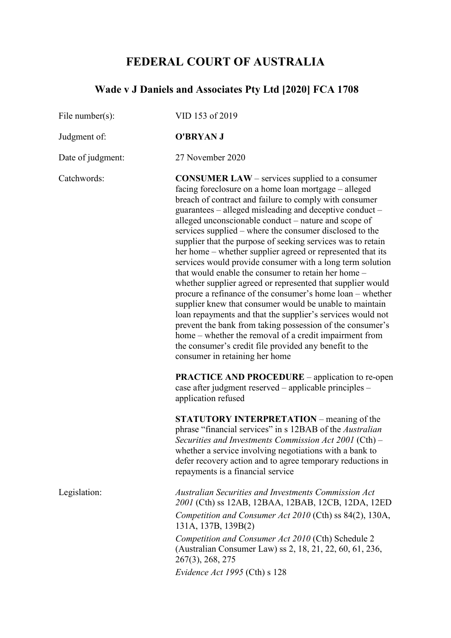## **FEDERAL COURT OF AUSTRALIA**

# **Wade v J Daniels and Associates Pty Ltd [2020] FCA 1708**

| File number( $s$ ): | VID 153 of 2019                                                                                                                                                                                                                                                                                                                                                                                                                                                                                                                                                                                                                                                                                                                                                                                                                                                                                                                                                                                                                                                               |
|---------------------|-------------------------------------------------------------------------------------------------------------------------------------------------------------------------------------------------------------------------------------------------------------------------------------------------------------------------------------------------------------------------------------------------------------------------------------------------------------------------------------------------------------------------------------------------------------------------------------------------------------------------------------------------------------------------------------------------------------------------------------------------------------------------------------------------------------------------------------------------------------------------------------------------------------------------------------------------------------------------------------------------------------------------------------------------------------------------------|
| Judgment of:        | <b>O'BRYAN J</b>                                                                                                                                                                                                                                                                                                                                                                                                                                                                                                                                                                                                                                                                                                                                                                                                                                                                                                                                                                                                                                                              |
| Date of judgment:   | 27 November 2020                                                                                                                                                                                                                                                                                                                                                                                                                                                                                                                                                                                                                                                                                                                                                                                                                                                                                                                                                                                                                                                              |
| Catchwords:         | <b>CONSUMER LAW</b> – services supplied to a consumer<br>facing foreclosure on a home loan mortgage – alleged<br>breach of contract and failure to comply with consumer<br>guarantees – alleged misleading and deceptive conduct –<br>alleged unconscionable conduct – nature and scope of<br>services supplied – where the consumer disclosed to the<br>supplier that the purpose of seeking services was to retain<br>her home – whether supplier agreed or represented that its<br>services would provide consumer with a long term solution<br>that would enable the consumer to retain her home –<br>whether supplier agreed or represented that supplier would<br>procure a refinance of the consumer's home loan – whether<br>supplier knew that consumer would be unable to maintain<br>loan repayments and that the supplier's services would not<br>prevent the bank from taking possession of the consumer's<br>home – whether the removal of a credit impairment from<br>the consumer's credit file provided any benefit to the<br>consumer in retaining her home |
|                     | <b>PRACTICE AND PROCEDURE</b> – application to re-open<br>case after judgment reserved - applicable principles -<br>application refused                                                                                                                                                                                                                                                                                                                                                                                                                                                                                                                                                                                                                                                                                                                                                                                                                                                                                                                                       |
|                     | <b>STATUTORY INTERPRETATION</b> – meaning of the<br>phrase "financial services" in s 12BAB of the Australian<br>Securities and Investments Commission Act 2001 (Cth) $-$<br>whether a service involving negotiations with a bank to<br>defer recovery action and to agree temporary reductions in<br>repayments is a financial service                                                                                                                                                                                                                                                                                                                                                                                                                                                                                                                                                                                                                                                                                                                                        |
| Legislation:        | <b>Australian Securities and Investments Commission Act</b><br>2001 (Cth) ss 12AB, 12BAA, 12BAB, 12CB, 12DA, 12ED<br>Competition and Consumer Act 2010 (Cth) ss 84(2), 130A,<br>131A, 137B, 139B(2)<br>Competition and Consumer Act 2010 (Cth) Schedule 2<br>(Australian Consumer Law) ss 2, 18, 21, 22, 60, 61, 236,<br>267(3), 268, 275<br>Evidence Act 1995 (Cth) $s$ 128                                                                                                                                                                                                                                                                                                                                                                                                                                                                                                                                                                                                                                                                                                  |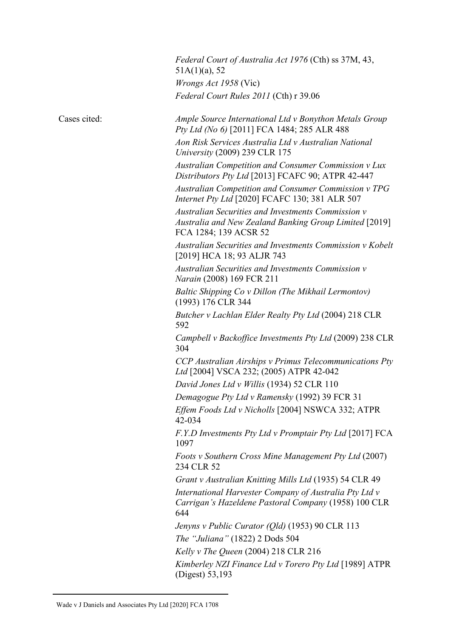|              | Federal Court of Australia Act 1976 (Cth) ss 37M, 43,<br>$51A(1)(a)$ , 52                                                             |
|--------------|---------------------------------------------------------------------------------------------------------------------------------------|
|              | Wrongs Act 1958 (Vic)                                                                                                                 |
|              | Federal Court Rules 2011 (Cth) r 39.06                                                                                                |
| Cases cited: | Ample Source International Ltd v Bonython Metals Group<br>Pty Ltd (No 6) [2011] FCA 1484; 285 ALR 488                                 |
|              | Aon Risk Services Australia Ltd v Australian National<br><i>University</i> (2009) 239 CLR 175                                         |
|              | Australian Competition and Consumer Commission v Lux<br>Distributors Pty Ltd [2013] FCAFC 90; ATPR 42-447                             |
|              | Australian Competition and Consumer Commission v TPG<br>Internet Pty Ltd [2020] FCAFC 130; 381 ALR 507                                |
|              | Australian Securities and Investments Commission v<br>Australia and New Zealand Banking Group Limited [2019]<br>FCA 1284; 139 ACSR 52 |
|              | Australian Securities and Investments Commission v Kobelt<br>[2019] HCA 18; 93 ALJR 743                                               |
|              | Australian Securities and Investments Commission v<br>Narain (2008) 169 FCR 211                                                       |
|              | Baltic Shipping Co v Dillon (The Mikhail Lermontov)<br>(1993) 176 CLR 344                                                             |
|              | Butcher v Lachlan Elder Realty Pty Ltd (2004) 218 CLR<br>592                                                                          |
|              | Campbell v Backoffice Investments Pty Ltd (2009) 238 CLR<br>304                                                                       |
|              | CCP Australian Airships v Primus Telecommunications Pty<br>Ltd [2004] VSCA 232; (2005) ATPR 42-042                                    |
|              | David Jones Ltd v Willis (1934) 52 CLR 110                                                                                            |
|              | Demagogue Pty Ltd v Ramensky (1992) 39 FCR 31                                                                                         |
|              | Effem Foods Ltd v Nicholls [2004] NSWCA 332; ATPR<br>42-034                                                                           |
|              | F.Y.D Investments Pty Ltd v Promptair Pty Ltd [2017] FCA<br>1097                                                                      |
|              | Foots v Southern Cross Mine Management Pty Ltd (2007)<br>234 CLR 52                                                                   |
|              | Grant v Australian Knitting Mills Ltd (1935) 54 CLR 49                                                                                |
|              | International Harvester Company of Australia Pty Ltd v<br>Carrigan's Hazeldene Pastoral Company (1958) 100 CLR<br>644                 |
|              | Jenyns v Public Curator ( $Qld$ ) (1953) 90 CLR 113                                                                                   |
|              | The "Juliana" (1822) 2 Dods 504                                                                                                       |
|              | Kelly v The Queen $(2004)$ 218 CLR 216                                                                                                |
|              | Kimberley NZI Finance Ltd v Torero Pty Ltd [1989] ATPR<br>(Digest) 53,193                                                             |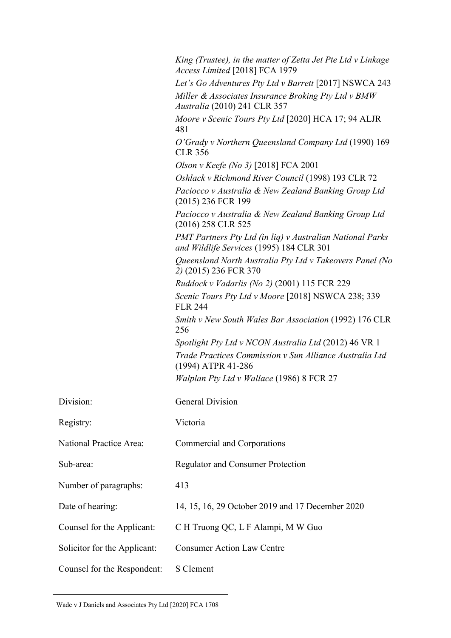|                              | King (Trustee), in the matter of Zetta Jet Pte Ltd v Linkage<br>Access Limited [2018] FCA 1979               |
|------------------------------|--------------------------------------------------------------------------------------------------------------|
|                              | Let's Go Adventures Pty Ltd v Barrett [2017] NSWCA 243                                                       |
|                              | Miller & Associates Insurance Broking Pty Ltd v BMW<br>Australia (2010) 241 CLR 357                          |
|                              | Moore v Scenic Tours Pty Ltd [2020] HCA 17; 94 ALJR<br>481                                                   |
|                              | O'Grady v Northern Queensland Company Ltd (1990) 169<br><b>CLR 356</b>                                       |
|                              | Olson v Keefe (No 3) [2018] FCA 2001                                                                         |
|                              | Oshlack v Richmond River Council (1998) 193 CLR 72                                                           |
|                              | Paciocco v Australia & New Zealand Banking Group Ltd<br>(2015) 236 FCR 199                                   |
|                              | Paciocco v Australia & New Zealand Banking Group Ltd<br>(2016) 258 CLR 525                                   |
|                              | <b>PMT Partners Pty Ltd (in lig) v Australian National Parks</b><br>and Wildlife Services (1995) 184 CLR 301 |
|                              | Queensland North Australia Pty Ltd v Takeovers Panel (No<br>2) (2015) 236 FCR 370                            |
|                              | <i>Ruddock v Vadarlis (No 2)</i> (2001) 115 FCR 229                                                          |
|                              | Scenic Tours Pty Ltd v Moore [2018] NSWCA 238; 339<br><b>FLR 244</b>                                         |
|                              | Smith v New South Wales Bar Association (1992) 176 CLR<br>256                                                |
|                              | Spotlight Pty Ltd v NCON Australia Ltd (2012) 46 VR 1                                                        |
|                              | Trade Practices Commission v Sun Alliance Australia Ltd<br>(1994) ATPR 41-286                                |
|                              | Walplan Pty Ltd v Wallace (1986) 8 FCR 27                                                                    |
| Division:                    | <b>General Division</b>                                                                                      |
| Registry:                    | Victoria                                                                                                     |
| National Practice Area:      | Commercial and Corporations                                                                                  |
| Sub-area:                    | <b>Regulator and Consumer Protection</b>                                                                     |
| Number of paragraphs:        | 413                                                                                                          |
| Date of hearing:             | 14, 15, 16, 29 October 2019 and 17 December 2020                                                             |
| Counsel for the Applicant:   | C H Truong QC, L F Alampi, M W Guo                                                                           |
| Solicitor for the Applicant: | <b>Consumer Action Law Centre</b>                                                                            |
| Counsel for the Respondent:  | S Clement                                                                                                    |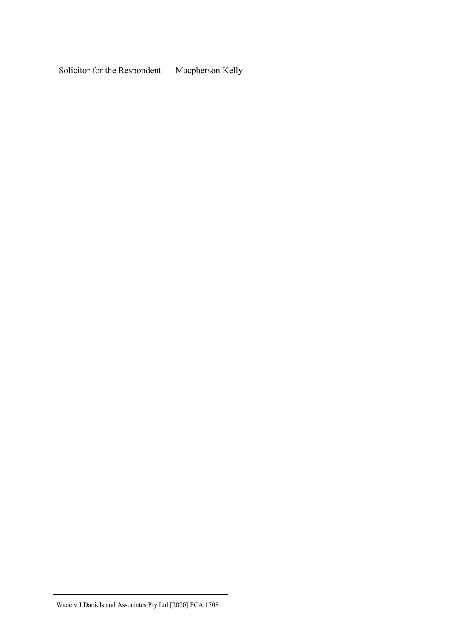Solicitor for the Respondent Macpherson Kelly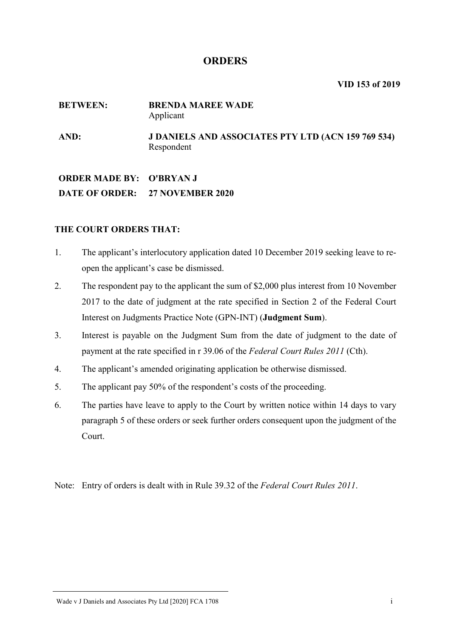## **ORDERS**

**VID 153 of 2019**

#### **BETWEEN: BRENDA MAREE WADE** Applicant

**AND: J DANIELS AND ASSOCIATES PTY LTD (ACN 159 769 534)** Respondent

## **ORDER MADE BY: O'BRYAN J DATE OF ORDER: 27 NOVEMBER 2020**

## **THE COURT ORDERS THAT:**

- 1. The applicant's interlocutory application dated 10 December 2019 seeking leave to reopen the applicant's case be dismissed.
- 2. The respondent pay to the applicant the sum of \$2,000 plus interest from 10 November 2017 to the date of judgment at the rate specified in Section 2 of the Federal Court Interest on Judgments Practice Note (GPN-INT) (**Judgment Sum**).
- 3. Interest is payable on the Judgment Sum from the date of judgment to the date of payment at the rate specified in r 39.06 of the *Federal Court Rules 2011* (Cth).
- 4. The applicant's amended originating application be otherwise dismissed.
- 5. The applicant pay 50% of the respondent's costs of the proceeding.
- 6. The parties have leave to apply to the Court by written notice within 14 days to vary paragraph 5 of these orders or seek further orders consequent upon the judgment of the Court.

Note: Entry of orders is dealt with in Rule 39.32 of the *Federal Court Rules 2011*.

#### Wade v J Daniels and Associates Pty Ltd [2020] FCA 1708 in the state of the state of the state of the state of the state of the state of the state of the state of the state of the state of the state of the state of the sta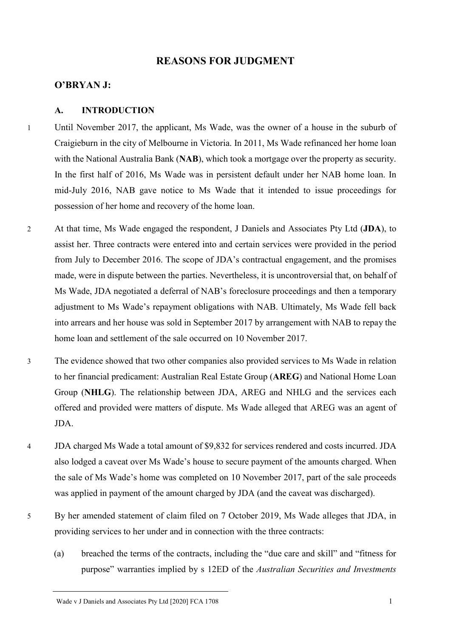## **REASONS FOR JUDGMENT**

#### **O'BRYAN J:**

#### **A. INTRODUCTION**

- 1 Until November 2017, the applicant, Ms Wade, was the owner of a house in the suburb of Craigieburn in the city of Melbourne in Victoria. In 2011, Ms Wade refinanced her home loan with the National Australia Bank (**NAB**), which took a mortgage over the property as security. In the first half of 2016, Ms Wade was in persistent default under her NAB home loan. In mid-July 2016, NAB gave notice to Ms Wade that it intended to issue proceedings for possession of her home and recovery of the home loan.
- 2 At that time, Ms Wade engaged the respondent, J Daniels and Associates Pty Ltd (**JDA**), to assist her. Three contracts were entered into and certain services were provided in the period from July to December 2016. The scope of JDA's contractual engagement, and the promises made, were in dispute between the parties. Nevertheless, it is uncontroversial that, on behalf of Ms Wade, JDA negotiated a deferral of NAB's foreclosure proceedings and then a temporary adjustment to Ms Wade's repayment obligations with NAB. Ultimately, Ms Wade fell back into arrears and her house was sold in September 2017 by arrangement with NAB to repay the home loan and settlement of the sale occurred on 10 November 2017.
- 3 The evidence showed that two other companies also provided services to Ms Wade in relation to her financial predicament: Australian Real Estate Group (**AREG**) and National Home Loan Group (**NHLG**). The relationship between JDA, AREG and NHLG and the services each offered and provided were matters of dispute. Ms Wade alleged that AREG was an agent of JDA.
- 4 JDA charged Ms Wade a total amount of \$9,832 for services rendered and costs incurred. JDA also lodged a caveat over Ms Wade's house to secure payment of the amounts charged. When the sale of Ms Wade's home was completed on 10 November 2017, part of the sale proceeds was applied in payment of the amount charged by JDA (and the caveat was discharged).
- 5 By her amended statement of claim filed on 7 October 2019, Ms Wade alleges that JDA, in providing services to her under and in connection with the three contracts:
	- (a) breached the terms of the contracts, including the "due care and skill" and "fitness for purpose" warranties implied by s 12ED of the *Australian Securities and Investments*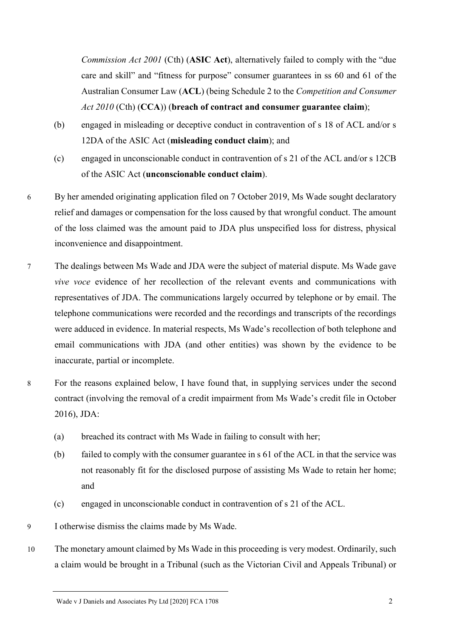*Commission Act 2001* (Cth) (**ASIC Act**), alternatively failed to comply with the "due care and skill" and "fitness for purpose" consumer guarantees in ss 60 and 61 of the Australian Consumer Law (**ACL**) (being Schedule 2 to the *Competition and Consumer Act 2010* (Cth) (**CCA**)) (**breach of contract and consumer guarantee claim**);

- (b) engaged in misleading or deceptive conduct in contravention of s 18 of ACL and/or s 12DA of the ASIC Act (**misleading conduct claim**); and
- (c) engaged in unconscionable conduct in contravention of s 21 of the ACL and/or s 12CB of the ASIC Act (**unconscionable conduct claim**).
- 6 By her amended originating application filed on 7 October 2019, Ms Wade sought declaratory relief and damages or compensation for the loss caused by that wrongful conduct. The amount of the loss claimed was the amount paid to JDA plus unspecified loss for distress, physical inconvenience and disappointment.
- 7 The dealings between Ms Wade and JDA were the subject of material dispute. Ms Wade gave *vive voce* evidence of her recollection of the relevant events and communications with representatives of JDA. The communications largely occurred by telephone or by email. The telephone communications were recorded and the recordings and transcripts of the recordings were adduced in evidence. In material respects, Ms Wade's recollection of both telephone and email communications with JDA (and other entities) was shown by the evidence to be inaccurate, partial or incomplete.
- 8 For the reasons explained below, I have found that, in supplying services under the second contract (involving the removal of a credit impairment from Ms Wade's credit file in October 2016), JDA:
	- (a) breached its contract with Ms Wade in failing to consult with her;
	- (b) failed to comply with the consumer guarantee in s 61 of the ACL in that the service was not reasonably fit for the disclosed purpose of assisting Ms Wade to retain her home; and
	- (c) engaged in unconscionable conduct in contravention of s 21 of the ACL.
- 9 I otherwise dismiss the claims made by Ms Wade.
- 10 The monetary amount claimed by Ms Wade in this proceeding is very modest. Ordinarily, such a claim would be brought in a Tribunal (such as the Victorian Civil and Appeals Tribunal) or

Wade v J Daniels and Associates Pty Ltd [2020] FCA 1708 2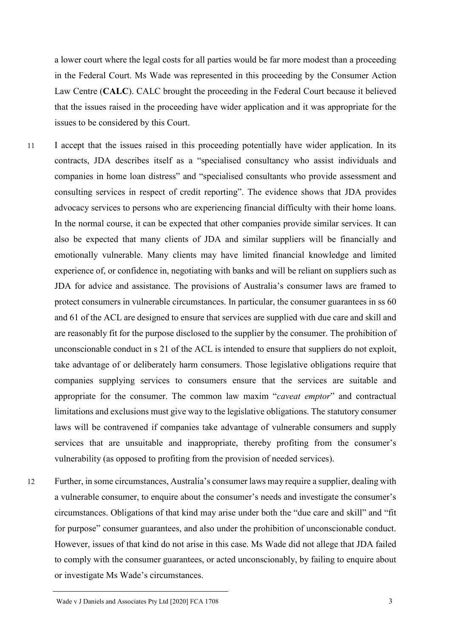a lower court where the legal costs for all parties would be far more modest than a proceeding in the Federal Court. Ms Wade was represented in this proceeding by the Consumer Action Law Centre (**CALC**). CALC brought the proceeding in the Federal Court because it believed that the issues raised in the proceeding have wider application and it was appropriate for the issues to be considered by this Court.

- 11 I accept that the issues raised in this proceeding potentially have wider application. In its contracts, JDA describes itself as a "specialised consultancy who assist individuals and companies in home loan distress" and "specialised consultants who provide assessment and consulting services in respect of credit reporting". The evidence shows that JDA provides advocacy services to persons who are experiencing financial difficulty with their home loans. In the normal course, it can be expected that other companies provide similar services. It can also be expected that many clients of JDA and similar suppliers will be financially and emotionally vulnerable. Many clients may have limited financial knowledge and limited experience of, or confidence in, negotiating with banks and will be reliant on suppliers such as JDA for advice and assistance. The provisions of Australia's consumer laws are framed to protect consumers in vulnerable circumstances. In particular, the consumer guarantees in ss 60 and 61 of the ACL are designed to ensure that services are supplied with due care and skill and are reasonably fit for the purpose disclosed to the supplier by the consumer. The prohibition of unconscionable conduct in s 21 of the ACL is intended to ensure that suppliers do not exploit, take advantage of or deliberately harm consumers. Those legislative obligations require that companies supplying services to consumers ensure that the services are suitable and appropriate for the consumer. The common law maxim "*caveat emptor*" and contractual limitations and exclusions must give way to the legislative obligations. The statutory consumer laws will be contravened if companies take advantage of vulnerable consumers and supply services that are unsuitable and inappropriate, thereby profiting from the consumer's vulnerability (as opposed to profiting from the provision of needed services).
- 12 Further, in some circumstances, Australia's consumer laws may require a supplier, dealing with a vulnerable consumer, to enquire about the consumer's needs and investigate the consumer's circumstances. Obligations of that kind may arise under both the "due care and skill" and "fit for purpose" consumer guarantees, and also under the prohibition of unconscionable conduct. However, issues of that kind do not arise in this case. Ms Wade did not allege that JDA failed to comply with the consumer guarantees, or acted unconscionably, by failing to enquire about or investigate Ms Wade's circumstances.

Wade v J Daniels and Associates Pty Ltd [2020] FCA 1708 3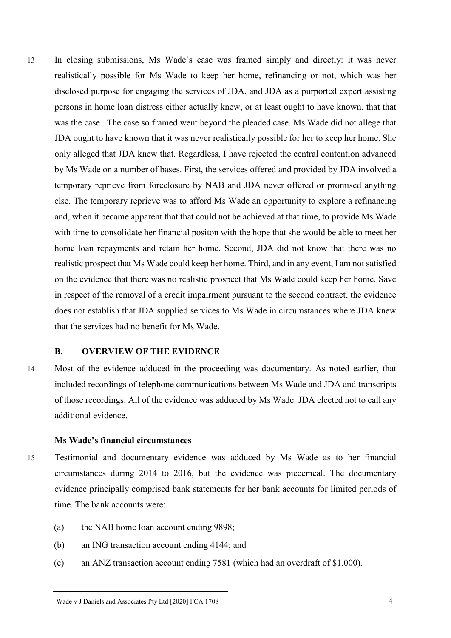13 In closing submissions, Ms Wade's case was framed simply and directly: it was never realistically possible for Ms Wade to keep her home, refinancing or not, which was her disclosed purpose for engaging the services of JDA, and JDA as a purported expert assisting persons in home loan distress either actually knew, or at least ought to have known, that that was the case. The case so framed went beyond the pleaded case. Ms Wade did not allege that JDA ought to have known that it was never realistically possible for her to keep her home. She only alleged that JDA knew that. Regardless, I have rejected the central contention advanced by Ms Wade on a number of bases. First, the services offered and provided by JDA involved a temporary reprieve from foreclosure by NAB and JDA never offered or promised anything else. The temporary reprieve was to afford Ms Wade an opportunity to explore a refinancing and, when it became apparent that that could not be achieved at that time, to provide Ms Wade with time to consolidate her financial positon with the hope that she would be able to meet her home loan repayments and retain her home. Second, JDA did not know that there was no realistic prospect that Ms Wade could keep her home. Third, and in any event, I am not satisfied on the evidence that there was no realistic prospect that Ms Wade could keep her home. Save in respect of the removal of a credit impairment pursuant to the second contract, the evidence does not establish that JDA supplied services to Ms Wade in circumstances where JDA knew that the services had no benefit for Ms Wade.

#### **B. OVERVIEW OF THE EVIDENCE**

14 Most of the evidence adduced in the proceeding was documentary. As noted earlier, that included recordings of telephone communications between Ms Wade and JDA and transcripts of those recordings. All of the evidence was adduced by Ms Wade. JDA elected not to call any additional evidence.

#### **Ms Wade's financial circumstances**

- 15 Testimonial and documentary evidence was adduced by Ms Wade as to her financial circumstances during 2014 to 2016, but the evidence was piecemeal. The documentary evidence principally comprised bank statements for her bank accounts for limited periods of time. The bank accounts were:
	- (a) the NAB home loan account ending 9898;
	- (b) an ING transaction account ending 4144; and
	- (c) an ANZ transaction account ending 7581 (which had an overdraft of \$1,000).

Wade v J Daniels and Associates Pty Ltd [2020] FCA 1708 4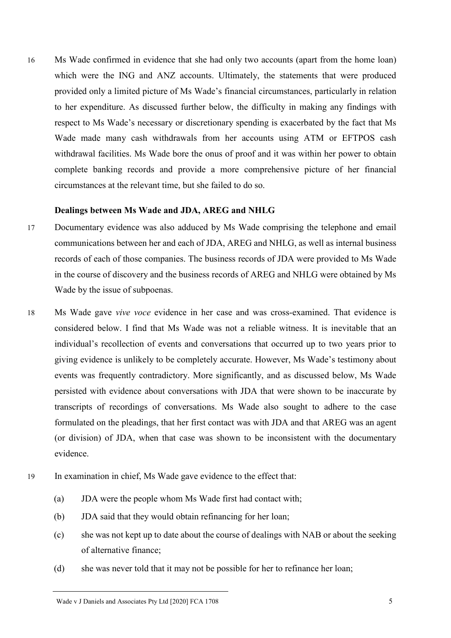16 Ms Wade confirmed in evidence that she had only two accounts (apart from the home loan) which were the ING and ANZ accounts. Ultimately, the statements that were produced provided only a limited picture of Ms Wade's financial circumstances, particularly in relation to her expenditure. As discussed further below, the difficulty in making any findings with respect to Ms Wade's necessary or discretionary spending is exacerbated by the fact that Ms Wade made many cash withdrawals from her accounts using ATM or EFTPOS cash withdrawal facilities. Ms Wade bore the onus of proof and it was within her power to obtain complete banking records and provide a more comprehensive picture of her financial circumstances at the relevant time, but she failed to do so.

### **Dealings between Ms Wade and JDA, AREG and NHLG**

- 17 Documentary evidence was also adduced by Ms Wade comprising the telephone and email communications between her and each of JDA, AREG and NHLG, as well as internal business records of each of those companies. The business records of JDA were provided to Ms Wade in the course of discovery and the business records of AREG and NHLG were obtained by Ms Wade by the issue of subpoenas.
- 18 Ms Wade gave *vive voce* evidence in her case and was cross-examined. That evidence is considered below. I find that Ms Wade was not a reliable witness. It is inevitable that an individual's recollection of events and conversations that occurred up to two years prior to giving evidence is unlikely to be completely accurate. However, Ms Wade's testimony about events was frequently contradictory. More significantly, and as discussed below, Ms Wade persisted with evidence about conversations with JDA that were shown to be inaccurate by transcripts of recordings of conversations. Ms Wade also sought to adhere to the case formulated on the pleadings, that her first contact was with JDA and that AREG was an agent (or division) of JDA, when that case was shown to be inconsistent with the documentary evidence.
- 19 In examination in chief, Ms Wade gave evidence to the effect that:
	- (a) JDA were the people whom Ms Wade first had contact with;
	- (b) JDA said that they would obtain refinancing for her loan;
	- (c) she was not kept up to date about the course of dealings with NAB or about the seeking of alternative finance;
	- (d) she was never told that it may not be possible for her to refinance her loan;

Wade v J Daniels and Associates Pty Ltd [2020] FCA 1708 5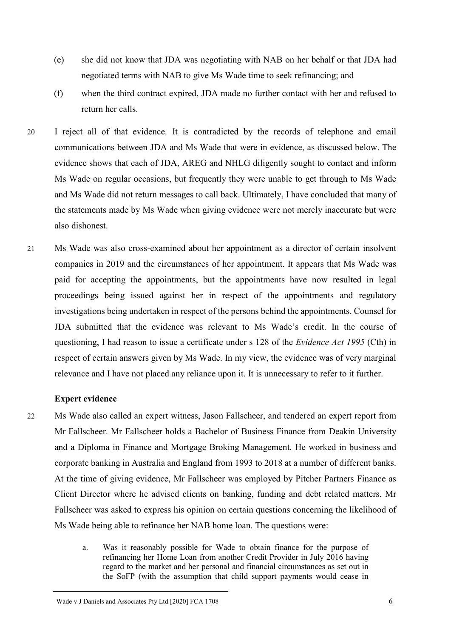- (e) she did not know that JDA was negotiating with NAB on her behalf or that JDA had negotiated terms with NAB to give Ms Wade time to seek refinancing; and
- (f) when the third contract expired, JDA made no further contact with her and refused to return her calls.
- 20 I reject all of that evidence. It is contradicted by the records of telephone and email communications between JDA and Ms Wade that were in evidence, as discussed below. The evidence shows that each of JDA, AREG and NHLG diligently sought to contact and inform Ms Wade on regular occasions, but frequently they were unable to get through to Ms Wade and Ms Wade did not return messages to call back. Ultimately, I have concluded that many of the statements made by Ms Wade when giving evidence were not merely inaccurate but were also dishonest.
- 21 Ms Wade was also cross-examined about her appointment as a director of certain insolvent companies in 2019 and the circumstances of her appointment. It appears that Ms Wade was paid for accepting the appointments, but the appointments have now resulted in legal proceedings being issued against her in respect of the appointments and regulatory investigations being undertaken in respect of the persons behind the appointments. Counsel for JDA submitted that the evidence was relevant to Ms Wade's credit. In the course of questioning, I had reason to issue a certificate under s 128 of the *Evidence Act 1995* (Cth) in respect of certain answers given by Ms Wade. In my view, the evidence was of very marginal relevance and I have not placed any reliance upon it. It is unnecessary to refer to it further.

#### **Expert evidence**

- 22 Ms Wade also called an expert witness, Jason Fallscheer, and tendered an expert report from Mr Fallscheer. Mr Fallscheer holds a Bachelor of Business Finance from Deakin University and a Diploma in Finance and Mortgage Broking Management. He worked in business and corporate banking in Australia and England from 1993 to 2018 at a number of different banks. At the time of giving evidence, Mr Fallscheer was employed by Pitcher Partners Finance as Client Director where he advised clients on banking, funding and debt related matters. Mr Fallscheer was asked to express his opinion on certain questions concerning the likelihood of Ms Wade being able to refinance her NAB home loan. The questions were:
	- a. Was it reasonably possible for Wade to obtain finance for the purpose of refinancing her Home Loan from another Credit Provider in July 2016 having regard to the market and her personal and financial circumstances as set out in the SoFP (with the assumption that child support payments would cease in

Wade v J Daniels and Associates Pty Ltd [2020] FCA 1708 6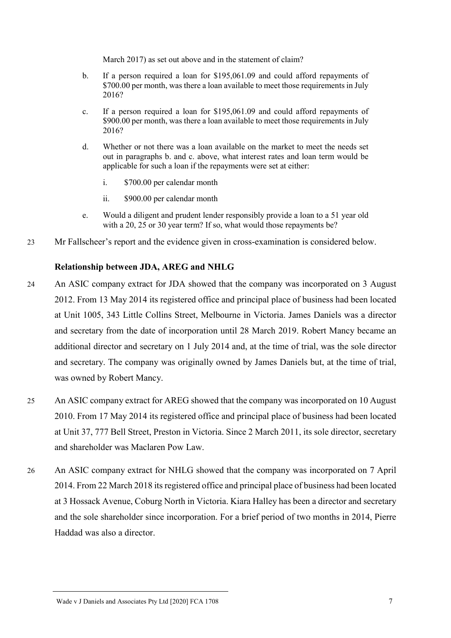March 2017) as set out above and in the statement of claim?

- b. If a person required a loan for \$195,061.09 and could afford repayments of \$700.00 per month, was there a loan available to meet those requirements in July 2016?
- c. If a person required a loan for \$195,061.09 and could afford repayments of \$900.00 per month, was there a loan available to meet those requirements in July 2016?
- d. Whether or not there was a loan available on the market to meet the needs set out in paragraphs b. and c. above, what interest rates and loan term would be applicable for such a loan if the repayments were set at either:
	- i. \$700.00 per calendar month
	- ii. \$900.00 per calendar month
- e. Would a diligent and prudent lender responsibly provide a loan to a 51 year old with a 20, 25 or 30 year term? If so, what would those repayments be?
- 23 Mr Fallscheer's report and the evidence given in cross-examination is considered below.

## **Relationship between JDA, AREG and NHLG**

- 24 An ASIC company extract for JDA showed that the company was incorporated on 3 August 2012. From 13 May 2014 its registered office and principal place of business had been located at Unit 1005, 343 Little Collins Street, Melbourne in Victoria. James Daniels was a director and secretary from the date of incorporation until 28 March 2019. Robert Mancy became an additional director and secretary on 1 July 2014 and, at the time of trial, was the sole director and secretary. The company was originally owned by James Daniels but, at the time of trial, was owned by Robert Mancy.
- 25 An ASIC company extract for AREG showed that the company was incorporated on 10 August 2010. From 17 May 2014 its registered office and principal place of business had been located at Unit 37, 777 Bell Street, Preston in Victoria. Since 2 March 2011, its sole director, secretary and shareholder was Maclaren Pow Law.
- 26 An ASIC company extract for NHLG showed that the company was incorporated on 7 April 2014. From 22 March 2018 its registered office and principal place of business had been located at 3 Hossack Avenue, Coburg North in Victoria. Kiara Halley has been a director and secretary and the sole shareholder since incorporation. For a brief period of two months in 2014, Pierre Haddad was also a director.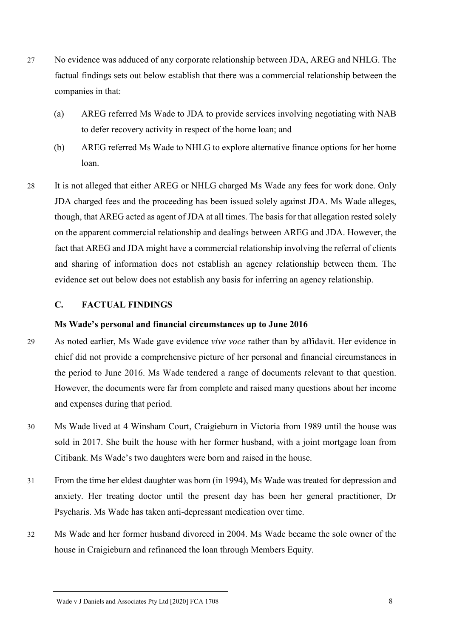- 27 No evidence was adduced of any corporate relationship between JDA, AREG and NHLG. The factual findings sets out below establish that there was a commercial relationship between the companies in that:
	- (a) AREG referred Ms Wade to JDA to provide services involving negotiating with NAB to defer recovery activity in respect of the home loan; and
	- (b) AREG referred Ms Wade to NHLG to explore alternative finance options for her home loan.
- 28 It is not alleged that either AREG or NHLG charged Ms Wade any fees for work done. Only JDA charged fees and the proceeding has been issued solely against JDA. Ms Wade alleges, though, that AREG acted as agent of JDA at all times. The basis for that allegation rested solely on the apparent commercial relationship and dealings between AREG and JDA. However, the fact that AREG and JDA might have a commercial relationship involving the referral of clients and sharing of information does not establish an agency relationship between them. The evidence set out below does not establish any basis for inferring an agency relationship.

### **C. FACTUAL FINDINGS**

#### **Ms Wade's personal and financial circumstances up to June 2016**

- 29 As noted earlier, Ms Wade gave evidence *vive voce* rather than by affidavit. Her evidence in chief did not provide a comprehensive picture of her personal and financial circumstances in the period to June 2016. Ms Wade tendered a range of documents relevant to that question. However, the documents were far from complete and raised many questions about her income and expenses during that period.
- 30 Ms Wade lived at 4 Winsham Court, Craigieburn in Victoria from 1989 until the house was sold in 2017. She built the house with her former husband, with a joint mortgage loan from Citibank. Ms Wade's two daughters were born and raised in the house.
- 31 From the time her eldest daughter was born (in 1994), Ms Wade was treated for depression and anxiety. Her treating doctor until the present day has been her general practitioner, Dr Psycharis. Ms Wade has taken anti-depressant medication over time.
- 32 Ms Wade and her former husband divorced in 2004. Ms Wade became the sole owner of the house in Craigieburn and refinanced the loan through Members Equity.

Wade v J Daniels and Associates Pty Ltd [2020] FCA 1708 8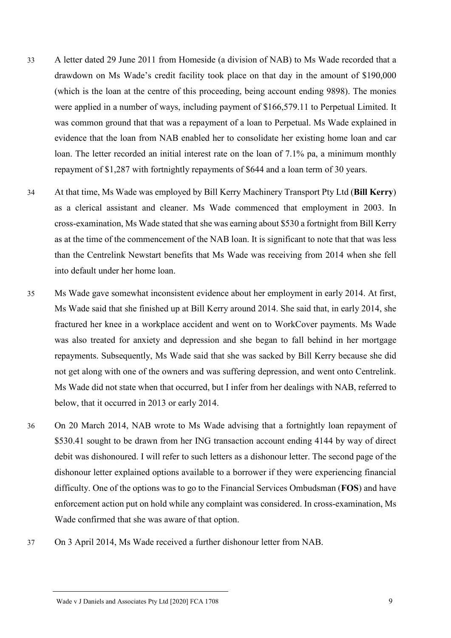- 33 A letter dated 29 June 2011 from Homeside (a division of NAB) to Ms Wade recorded that a drawdown on Ms Wade's credit facility took place on that day in the amount of \$190,000 (which is the loan at the centre of this proceeding, being account ending 9898). The monies were applied in a number of ways, including payment of \$166,579.11 to Perpetual Limited. It was common ground that that was a repayment of a loan to Perpetual. Ms Wade explained in evidence that the loan from NAB enabled her to consolidate her existing home loan and car loan. The letter recorded an initial interest rate on the loan of 7.1% pa, a minimum monthly repayment of \$1,287 with fortnightly repayments of \$644 and a loan term of 30 years.
- 34 At that time, Ms Wade was employed by Bill Kerry Machinery Transport Pty Ltd (**Bill Kerry**) as a clerical assistant and cleaner. Ms Wade commenced that employment in 2003. In cross-examination, Ms Wade stated that she was earning about \$530 a fortnight from Bill Kerry as at the time of the commencement of the NAB loan. It is significant to note that that was less than the Centrelink Newstart benefits that Ms Wade was receiving from 2014 when she fell into default under her home loan.
- 35 Ms Wade gave somewhat inconsistent evidence about her employment in early 2014. At first, Ms Wade said that she finished up at Bill Kerry around 2014. She said that, in early 2014, she fractured her knee in a workplace accident and went on to WorkCover payments. Ms Wade was also treated for anxiety and depression and she began to fall behind in her mortgage repayments. Subsequently, Ms Wade said that she was sacked by Bill Kerry because she did not get along with one of the owners and was suffering depression, and went onto Centrelink. Ms Wade did not state when that occurred, but I infer from her dealings with NAB, referred to below, that it occurred in 2013 or early 2014.
- 36 On 20 March 2014, NAB wrote to Ms Wade advising that a fortnightly loan repayment of \$530.41 sought to be drawn from her ING transaction account ending 4144 by way of direct debit was dishonoured. I will refer to such letters as a dishonour letter. The second page of the dishonour letter explained options available to a borrower if they were experiencing financial difficulty. One of the options was to go to the Financial Services Ombudsman (**FOS**) and have enforcement action put on hold while any complaint was considered. In cross-examination, Ms Wade confirmed that she was aware of that option.
- 37 On 3 April 2014, Ms Wade received a further dishonour letter from NAB.

#### Wade v J Daniels and Associates Pty Ltd [2020] FCA 1708 9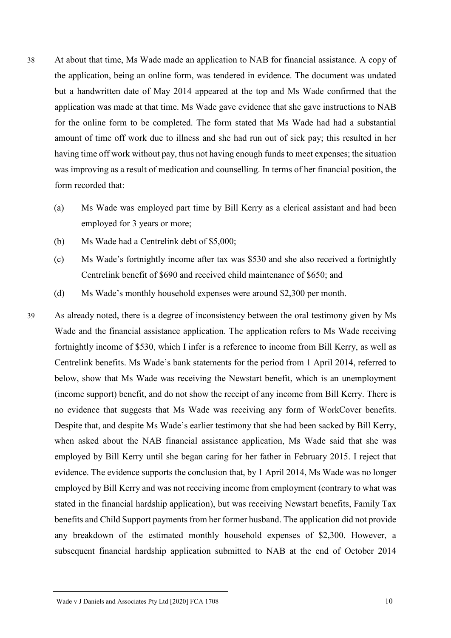- 38 At about that time, Ms Wade made an application to NAB for financial assistance. A copy of the application, being an online form, was tendered in evidence. The document was undated but a handwritten date of May 2014 appeared at the top and Ms Wade confirmed that the application was made at that time. Ms Wade gave evidence that she gave instructions to NAB for the online form to be completed. The form stated that Ms Wade had had a substantial amount of time off work due to illness and she had run out of sick pay; this resulted in her having time off work without pay, thus not having enough funds to meet expenses; the situation was improving as a result of medication and counselling. In terms of her financial position, the form recorded that:
	- (a) Ms Wade was employed part time by Bill Kerry as a clerical assistant and had been employed for 3 years or more;
	- (b) Ms Wade had a Centrelink debt of \$5,000;
	- (c) Ms Wade's fortnightly income after tax was \$530 and she also received a fortnightly Centrelink benefit of \$690 and received child maintenance of \$650; and
	- (d) Ms Wade's monthly household expenses were around \$2,300 per month.
- 39 As already noted, there is a degree of inconsistency between the oral testimony given by Ms Wade and the financial assistance application. The application refers to Ms Wade receiving fortnightly income of \$530, which I infer is a reference to income from Bill Kerry, as well as Centrelink benefits. Ms Wade's bank statements for the period from 1 April 2014, referred to below, show that Ms Wade was receiving the Newstart benefit, which is an unemployment (income support) benefit, and do not show the receipt of any income from Bill Kerry. There is no evidence that suggests that Ms Wade was receiving any form of WorkCover benefits. Despite that, and despite Ms Wade's earlier testimony that she had been sacked by Bill Kerry, when asked about the NAB financial assistance application, Ms Wade said that she was employed by Bill Kerry until she began caring for her father in February 2015. I reject that evidence. The evidence supports the conclusion that, by 1 April 2014, Ms Wade was no longer employed by Bill Kerry and was not receiving income from employment (contrary to what was stated in the financial hardship application), but was receiving Newstart benefits, Family Tax benefits and Child Support payments from her former husband. The application did not provide any breakdown of the estimated monthly household expenses of \$2,300. However, a subsequent financial hardship application submitted to NAB at the end of October 2014

Wade v J Daniels and Associates Pty Ltd [2020] FCA 1708 10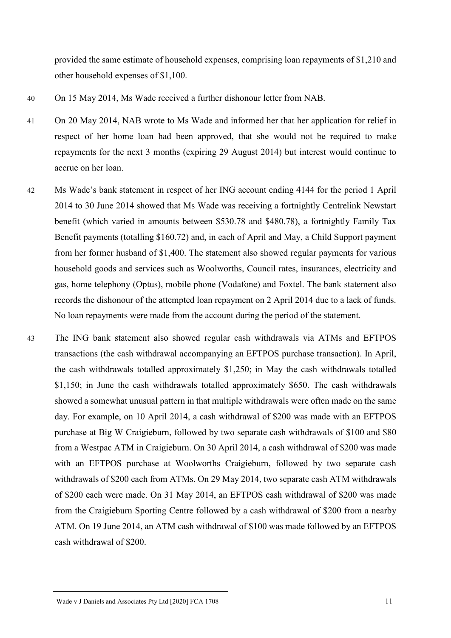provided the same estimate of household expenses, comprising loan repayments of \$1,210 and other household expenses of \$1,100.

- 40 On 15 May 2014, Ms Wade received a further dishonour letter from NAB.
- 41 On 20 May 2014, NAB wrote to Ms Wade and informed her that her application for relief in respect of her home loan had been approved, that she would not be required to make repayments for the next 3 months (expiring 29 August 2014) but interest would continue to accrue on her loan.
- 42 Ms Wade's bank statement in respect of her ING account ending 4144 for the period 1 April 2014 to 30 June 2014 showed that Ms Wade was receiving a fortnightly Centrelink Newstart benefit (which varied in amounts between \$530.78 and \$480.78), a fortnightly Family Tax Benefit payments (totalling \$160.72) and, in each of April and May, a Child Support payment from her former husband of \$1,400. The statement also showed regular payments for various household goods and services such as Woolworths, Council rates, insurances, electricity and gas, home telephony (Optus), mobile phone (Vodafone) and Foxtel. The bank statement also records the dishonour of the attempted loan repayment on 2 April 2014 due to a lack of funds. No loan repayments were made from the account during the period of the statement.
- 43 The ING bank statement also showed regular cash withdrawals via ATMs and EFTPOS transactions (the cash withdrawal accompanying an EFTPOS purchase transaction). In April, the cash withdrawals totalled approximately \$1,250; in May the cash withdrawals totalled \$1,150; in June the cash withdrawals totalled approximately \$650. The cash withdrawals showed a somewhat unusual pattern in that multiple withdrawals were often made on the same day. For example, on 10 April 2014, a cash withdrawal of \$200 was made with an EFTPOS purchase at Big W Craigieburn, followed by two separate cash withdrawals of \$100 and \$80 from a Westpac ATM in Craigieburn. On 30 April 2014, a cash withdrawal of \$200 was made with an EFTPOS purchase at Woolworths Craigieburn, followed by two separate cash withdrawals of \$200 each from ATMs. On 29 May 2014, two separate cash ATM withdrawals of \$200 each were made. On 31 May 2014, an EFTPOS cash withdrawal of \$200 was made from the Craigieburn Sporting Centre followed by a cash withdrawal of \$200 from a nearby ATM. On 19 June 2014, an ATM cash withdrawal of \$100 was made followed by an EFTPOS cash withdrawal of \$200.

Wade v J Daniels and Associates Pty Ltd [2020] FCA 1708 11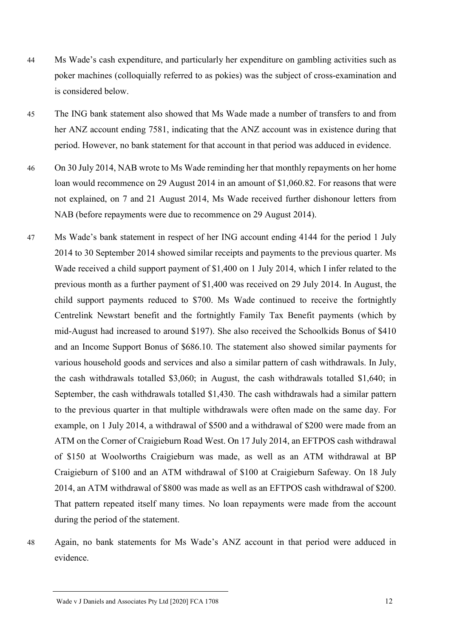- 44 Ms Wade's cash expenditure, and particularly her expenditure on gambling activities such as poker machines (colloquially referred to as pokies) was the subject of cross-examination and is considered below.
- 45 The ING bank statement also showed that Ms Wade made a number of transfers to and from her ANZ account ending 7581, indicating that the ANZ account was in existence during that period. However, no bank statement for that account in that period was adduced in evidence.
- 46 On 30 July 2014, NAB wrote to Ms Wade reminding her that monthly repayments on her home loan would recommence on 29 August 2014 in an amount of \$1,060.82. For reasons that were not explained, on 7 and 21 August 2014, Ms Wade received further dishonour letters from NAB (before repayments were due to recommence on 29 August 2014).
- 47 Ms Wade's bank statement in respect of her ING account ending 4144 for the period 1 July 2014 to 30 September 2014 showed similar receipts and payments to the previous quarter. Ms Wade received a child support payment of \$1,400 on 1 July 2014, which I infer related to the previous month as a further payment of \$1,400 was received on 29 July 2014. In August, the child support payments reduced to \$700. Ms Wade continued to receive the fortnightly Centrelink Newstart benefit and the fortnightly Family Tax Benefit payments (which by mid-August had increased to around \$197). She also received the Schoolkids Bonus of \$410 and an Income Support Bonus of \$686.10. The statement also showed similar payments for various household goods and services and also a similar pattern of cash withdrawals. In July, the cash withdrawals totalled \$3,060; in August, the cash withdrawals totalled \$1,640; in September, the cash withdrawals totalled \$1,430. The cash withdrawals had a similar pattern to the previous quarter in that multiple withdrawals were often made on the same day. For example, on 1 July 2014, a withdrawal of \$500 and a withdrawal of \$200 were made from an ATM on the Corner of Craigieburn Road West. On 17 July 2014, an EFTPOS cash withdrawal of \$150 at Woolworths Craigieburn was made, as well as an ATM withdrawal at BP Craigieburn of \$100 and an ATM withdrawal of \$100 at Craigieburn Safeway. On 18 July 2014, an ATM withdrawal of \$800 was made as well as an EFTPOS cash withdrawal of \$200. That pattern repeated itself many times. No loan repayments were made from the account during the period of the statement.
- 

<sup>48</sup> Again, no bank statements for Ms Wade's ANZ account in that period were adduced in evidence.

Wade v J Daniels and Associates Pty Ltd [2020] FCA 1708 12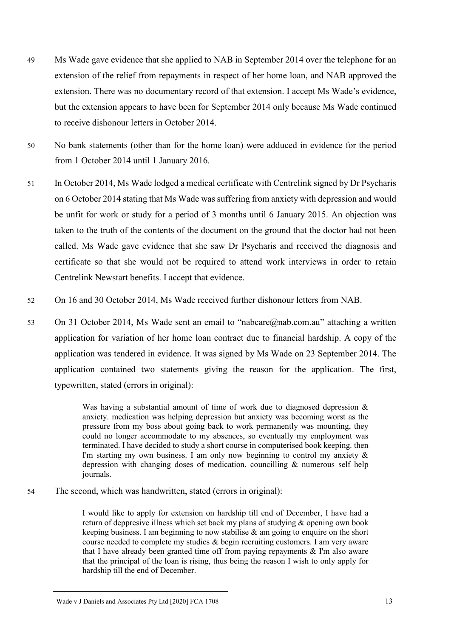- 49 Ms Wade gave evidence that she applied to NAB in September 2014 over the telephone for an extension of the relief from repayments in respect of her home loan, and NAB approved the extension. There was no documentary record of that extension. I accept Ms Wade's evidence, but the extension appears to have been for September 2014 only because Ms Wade continued to receive dishonour letters in October 2014.
- 50 No bank statements (other than for the home loan) were adduced in evidence for the period from 1 October 2014 until 1 January 2016.
- 51 In October 2014, Ms Wade lodged a medical certificate with Centrelink signed by Dr Psycharis on 6 October 2014 stating that Ms Wade was suffering from anxiety with depression and would be unfit for work or study for a period of 3 months until 6 January 2015. An objection was taken to the truth of the contents of the document on the ground that the doctor had not been called. Ms Wade gave evidence that she saw Dr Psycharis and received the diagnosis and certificate so that she would not be required to attend work interviews in order to retain Centrelink Newstart benefits. I accept that evidence.
- 52 On 16 and 30 October 2014, Ms Wade received further dishonour letters from NAB.
- 53 On 31 October 2014, Ms Wade sent an email to "nabcare@nab.com.au" attaching a written application for variation of her home loan contract due to financial hardship. A copy of the application was tendered in evidence. It was signed by Ms Wade on 23 September 2014. The application contained two statements giving the reason for the application. The first, typewritten, stated (errors in original):

Was having a substantial amount of time of work due to diagnosed depression  $\&$ anxiety. medication was helping depression but anxiety was becoming worst as the pressure from my boss about going back to work permanently was mounting, they could no longer accommodate to my absences, so eventually my employment was terminated. I have decided to study a short course in computerised book keeping. then I'm starting my own business. I am only now beginning to control my anxiety  $\&$ depression with changing doses of medication, councilling & numerous self help journals.

54 The second, which was handwritten, stated (errors in original):

I would like to apply for extension on hardship till end of December, I have had a return of deppresive illness which set back my plans of studying & opening own book keeping business. I am beginning to now stabilise & am going to enquire on the short course needed to complete my studies & begin recruiting customers. I am very aware that I have already been granted time off from paying repayments  $\&$  I'm also aware that the principal of the loan is rising, thus being the reason I wish to only apply for hardship till the end of December.

Wade v J Daniels and Associates Pty Ltd [2020] FCA 1708 13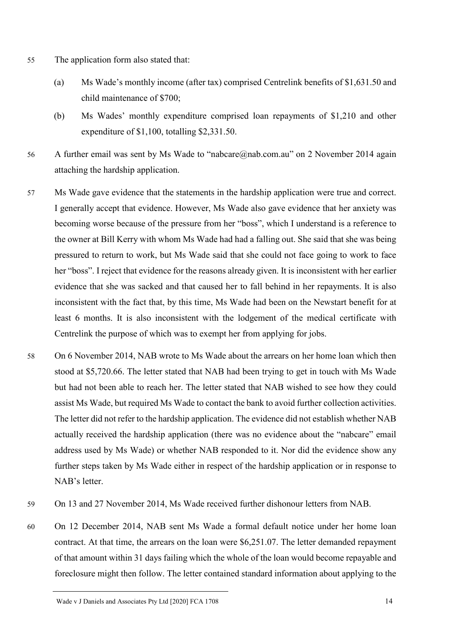- 55 The application form also stated that:
	- (a) Ms Wade's monthly income (after tax) comprised Centrelink benefits of \$1,631.50 and child maintenance of \$700;
	- (b) Ms Wades' monthly expenditure comprised loan repayments of \$1,210 and other expenditure of \$1,100, totalling \$2,331.50.
- 56 A further email was sent by Ms Wade to "nabcare@nab.com.au" on 2 November 2014 again attaching the hardship application.
- 57 Ms Wade gave evidence that the statements in the hardship application were true and correct. I generally accept that evidence. However, Ms Wade also gave evidence that her anxiety was becoming worse because of the pressure from her "boss", which I understand is a reference to the owner at Bill Kerry with whom Ms Wade had had a falling out. She said that she was being pressured to return to work, but Ms Wade said that she could not face going to work to face her "boss". I reject that evidence for the reasons already given. It is inconsistent with her earlier evidence that she was sacked and that caused her to fall behind in her repayments. It is also inconsistent with the fact that, by this time, Ms Wade had been on the Newstart benefit for at least 6 months. It is also inconsistent with the lodgement of the medical certificate with Centrelink the purpose of which was to exempt her from applying for jobs.
- 58 On 6 November 2014, NAB wrote to Ms Wade about the arrears on her home loan which then stood at \$5,720.66. The letter stated that NAB had been trying to get in touch with Ms Wade but had not been able to reach her. The letter stated that NAB wished to see how they could assist Ms Wade, but required Ms Wade to contact the bank to avoid further collection activities. The letter did not refer to the hardship application. The evidence did not establish whether NAB actually received the hardship application (there was no evidence about the "nabcare" email address used by Ms Wade) or whether NAB responded to it. Nor did the evidence show any further steps taken by Ms Wade either in respect of the hardship application or in response to NAB's letter.
- 59 On 13 and 27 November 2014, Ms Wade received further dishonour letters from NAB.
- 60 On 12 December 2014, NAB sent Ms Wade a formal default notice under her home loan contract. At that time, the arrears on the loan were \$6,251.07. The letter demanded repayment of that amount within 31 days failing which the whole of the loan would become repayable and foreclosure might then follow. The letter contained standard information about applying to the

Wade v J Daniels and Associates Pty Ltd [2020] FCA 1708 14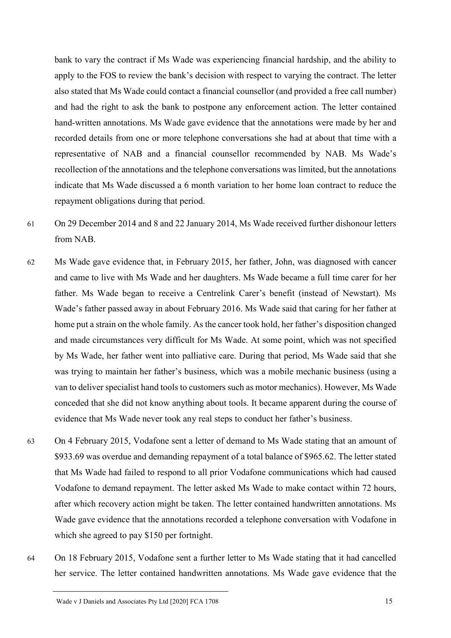bank to vary the contract if Ms Wade was experiencing financial hardship, and the ability to apply to the FOS to review the bank's decision with respect to varying the contract. The letter also stated that Ms Wade could contact a financial counsellor (and provided a free call number) and had the right to ask the bank to postpone any enforcement action. The letter contained hand-written annotations. Ms Wade gave evidence that the annotations were made by her and recorded details from one or more telephone conversations she had at about that time with a representative of NAB and a financial counsellor recommended by NAB. Ms Wade's recollection of the annotations and the telephone conversations was limited, but the annotations indicate that Ms Wade discussed a 6 month variation to her home loan contract to reduce the repayment obligations during that period.

- 61 On 29 December 2014 and 8 and 22 January 2014, Ms Wade received further dishonour letters from NAB.
- 62 Ms Wade gave evidence that, in February 2015, her father, John, was diagnosed with cancer and came to live with Ms Wade and her daughters. Ms Wade became a full time carer for her father. Ms Wade began to receive a Centrelink Carer's benefit (instead of Newstart). Ms Wade's father passed away in about February 2016. Ms Wade said that caring for her father at home put a strain on the whole family. As the cancer took hold, her father's disposition changed and made circumstances very difficult for Ms Wade. At some point, which was not specified by Ms Wade, her father went into palliative care. During that period, Ms Wade said that she was trying to maintain her father's business, which was a mobile mechanic business (using a van to deliver specialist hand tools to customers such as motor mechanics). However, Ms Wade conceded that she did not know anything about tools. It became apparent during the course of evidence that Ms Wade never took any real steps to conduct her father's business.
- 63 On 4 February 2015, Vodafone sent a letter of demand to Ms Wade stating that an amount of \$933.69 was overdue and demanding repayment of a total balance of \$965.62. The letter stated that Ms Wade had failed to respond to all prior Vodafone communications which had caused Vodafone to demand repayment. The letter asked Ms Wade to make contact within 72 hours, after which recovery action might be taken. The letter contained handwritten annotations. Ms Wade gave evidence that the annotations recorded a telephone conversation with Vodafone in which she agreed to pay \$150 per fortnight.
- 64 On 18 February 2015, Vodafone sent a further letter to Ms Wade stating that it had cancelled her service. The letter contained handwritten annotations. Ms Wade gave evidence that the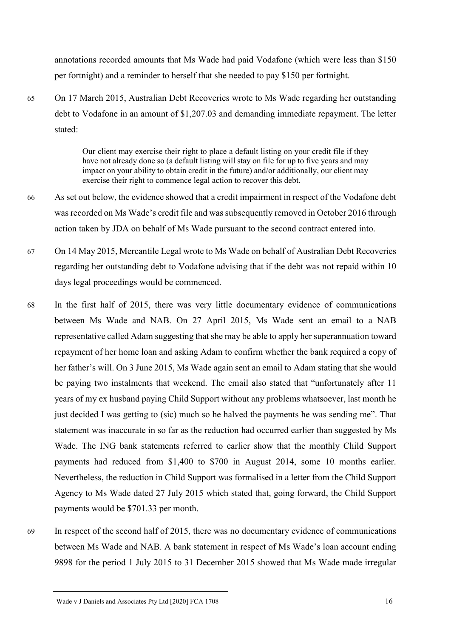annotations recorded amounts that Ms Wade had paid Vodafone (which were less than \$150 per fortnight) and a reminder to herself that she needed to pay \$150 per fortnight.

65 On 17 March 2015, Australian Debt Recoveries wrote to Ms Wade regarding her outstanding debt to Vodafone in an amount of \$1,207.03 and demanding immediate repayment. The letter stated:

> Our client may exercise their right to place a default listing on your credit file if they have not already done so (a default listing will stay on file for up to five years and may impact on your ability to obtain credit in the future) and/or additionally, our client may exercise their right to commence legal action to recover this debt.

- 66 As set out below, the evidence showed that a credit impairment in respect of the Vodafone debt was recorded on Ms Wade's credit file and was subsequently removed in October 2016 through action taken by JDA on behalf of Ms Wade pursuant to the second contract entered into.
- 67 On 14 May 2015, Mercantile Legal wrote to Ms Wade on behalf of Australian Debt Recoveries regarding her outstanding debt to Vodafone advising that if the debt was not repaid within 10 days legal proceedings would be commenced.
- 68 In the first half of 2015, there was very little documentary evidence of communications between Ms Wade and NAB. On 27 April 2015, Ms Wade sent an email to a NAB representative called Adam suggesting that she may be able to apply her superannuation toward repayment of her home loan and asking Adam to confirm whether the bank required a copy of her father's will. On 3 June 2015, Ms Wade again sent an email to Adam stating that she would be paying two instalments that weekend. The email also stated that "unfortunately after 11 years of my ex husband paying Child Support without any problems whatsoever, last month he just decided I was getting to (sic) much so he halved the payments he was sending me". That statement was inaccurate in so far as the reduction had occurred earlier than suggested by Ms Wade. The ING bank statements referred to earlier show that the monthly Child Support payments had reduced from \$1,400 to \$700 in August 2014, some 10 months earlier. Nevertheless, the reduction in Child Support was formalised in a letter from the Child Support Agency to Ms Wade dated 27 July 2015 which stated that, going forward, the Child Support payments would be \$701.33 per month.
- 69 In respect of the second half of 2015, there was no documentary evidence of communications between Ms Wade and NAB. A bank statement in respect of Ms Wade's loan account ending 9898 for the period 1 July 2015 to 31 December 2015 showed that Ms Wade made irregular

Wade v J Daniels and Associates Pty Ltd [2020] FCA 1708 16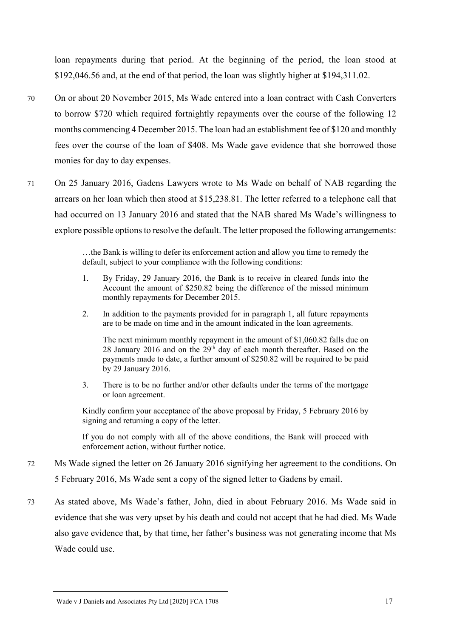loan repayments during that period. At the beginning of the period, the loan stood at \$192,046.56 and, at the end of that period, the loan was slightly higher at \$194,311.02.

- 70 On or about 20 November 2015, Ms Wade entered into a loan contract with Cash Converters to borrow \$720 which required fortnightly repayments over the course of the following 12 months commencing 4 December 2015. The loan had an establishment fee of \$120 and monthly fees over the course of the loan of \$408. Ms Wade gave evidence that she borrowed those monies for day to day expenses.
- 71 On 25 January 2016, Gadens Lawyers wrote to Ms Wade on behalf of NAB regarding the arrears on her loan which then stood at \$15,238.81. The letter referred to a telephone call that had occurred on 13 January 2016 and stated that the NAB shared Ms Wade's willingness to explore possible options to resolve the default. The letter proposed the following arrangements:

…the Bank is willing to defer its enforcement action and allow you time to remedy the default, subject to your compliance with the following conditions:

- 1. By Friday, 29 January 2016, the Bank is to receive in cleared funds into the Account the amount of \$250.82 being the difference of the missed minimum monthly repayments for December 2015.
- 2. In addition to the payments provided for in paragraph 1, all future repayments are to be made on time and in the amount indicated in the loan agreements.

The next minimum monthly repayment in the amount of \$1,060.82 falls due on 28 January 2016 and on the 29<sup>th</sup> day of each month thereafter. Based on the payments made to date, a further amount of \$250.82 will be required to be paid by 29 January 2016.

3. There is to be no further and/or other defaults under the terms of the mortgage or loan agreement.

Kindly confirm your acceptance of the above proposal by Friday, 5 February 2016 by signing and returning a copy of the letter.

If you do not comply with all of the above conditions, the Bank will proceed with enforcement action, without further notice.

- 72 Ms Wade signed the letter on 26 January 2016 signifying her agreement to the conditions. On 5 February 2016, Ms Wade sent a copy of the signed letter to Gadens by email.
- 73 As stated above, Ms Wade's father, John, died in about February 2016. Ms Wade said in evidence that she was very upset by his death and could not accept that he had died. Ms Wade also gave evidence that, by that time, her father's business was not generating income that Ms Wade could use.

Wade v J Daniels and Associates Pty Ltd [2020] FCA 1708 17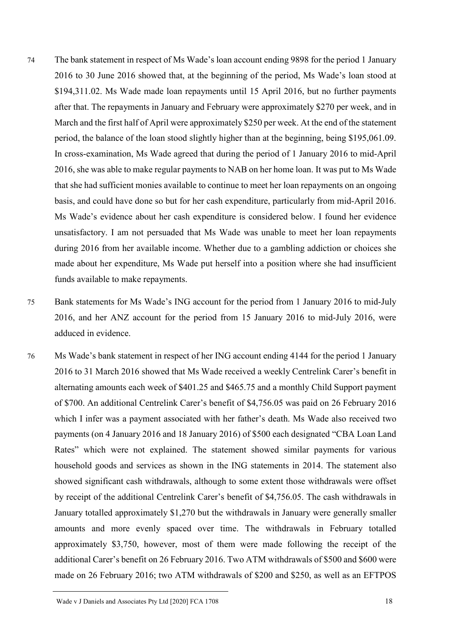- 74 The bank statement in respect of Ms Wade's loan account ending 9898 for the period 1 January 2016 to 30 June 2016 showed that, at the beginning of the period, Ms Wade's loan stood at \$194,311.02. Ms Wade made loan repayments until 15 April 2016, but no further payments after that. The repayments in January and February were approximately \$270 per week, and in March and the first half of April were approximately \$250 per week. At the end of the statement period, the balance of the loan stood slightly higher than at the beginning, being \$195,061.09. In cross-examination, Ms Wade agreed that during the period of 1 January 2016 to mid-April 2016, she was able to make regular payments to NAB on her home loan. It was put to Ms Wade that she had sufficient monies available to continue to meet her loan repayments on an ongoing basis, and could have done so but for her cash expenditure, particularly from mid-April 2016. Ms Wade's evidence about her cash expenditure is considered below. I found her evidence unsatisfactory. I am not persuaded that Ms Wade was unable to meet her loan repayments during 2016 from her available income. Whether due to a gambling addiction or choices she made about her expenditure, Ms Wade put herself into a position where she had insufficient funds available to make repayments.
- 75 Bank statements for Ms Wade's ING account for the period from 1 January 2016 to mid-July 2016, and her ANZ account for the period from 15 January 2016 to mid-July 2016, were adduced in evidence.
- 76 Ms Wade's bank statement in respect of her ING account ending 4144 for the period 1 January 2016 to 31 March 2016 showed that Ms Wade received a weekly Centrelink Carer's benefit in alternating amounts each week of \$401.25 and \$465.75 and a monthly Child Support payment of \$700. An additional Centrelink Carer's benefit of \$4,756.05 was paid on 26 February 2016 which I infer was a payment associated with her father's death. Ms Wade also received two payments (on 4 January 2016 and 18 January 2016) of \$500 each designated "CBA Loan Land Rates" which were not explained. The statement showed similar payments for various household goods and services as shown in the ING statements in 2014. The statement also showed significant cash withdrawals, although to some extent those withdrawals were offset by receipt of the additional Centrelink Carer's benefit of \$4,756.05. The cash withdrawals in January totalled approximately \$1,270 but the withdrawals in January were generally smaller amounts and more evenly spaced over time. The withdrawals in February totalled approximately \$3,750, however, most of them were made following the receipt of the additional Carer's benefit on 26 February 2016. Two ATM withdrawals of \$500 and \$600 were made on 26 February 2016; two ATM withdrawals of \$200 and \$250, as well as an EFTPOS

Wade v J Daniels and Associates Pty Ltd [2020] FCA 1708 18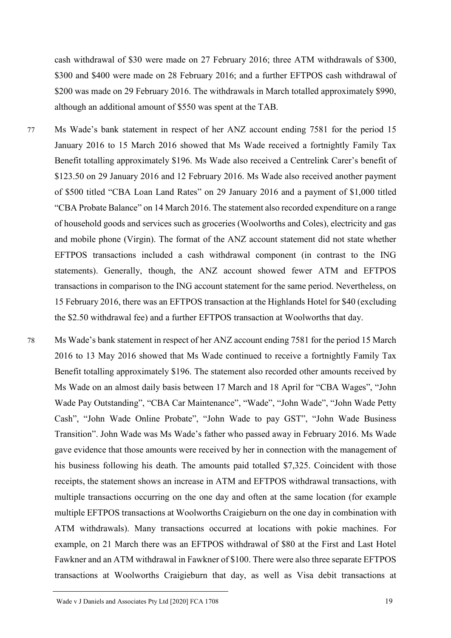cash withdrawal of \$30 were made on 27 February 2016; three ATM withdrawals of \$300, \$300 and \$400 were made on 28 February 2016; and a further EFTPOS cash withdrawal of \$200 was made on 29 February 2016. The withdrawals in March totalled approximately \$990, although an additional amount of \$550 was spent at the TAB.

- 77 Ms Wade's bank statement in respect of her ANZ account ending 7581 for the period 15 January 2016 to 15 March 2016 showed that Ms Wade received a fortnightly Family Tax Benefit totalling approximately \$196. Ms Wade also received a Centrelink Carer's benefit of \$123.50 on 29 January 2016 and 12 February 2016. Ms Wade also received another payment of \$500 titled "CBA Loan Land Rates" on 29 January 2016 and a payment of \$1,000 titled "CBA Probate Balance" on 14 March 2016. The statement also recorded expenditure on a range of household goods and services such as groceries (Woolworths and Coles), electricity and gas and mobile phone (Virgin). The format of the ANZ account statement did not state whether EFTPOS transactions included a cash withdrawal component (in contrast to the ING statements). Generally, though, the ANZ account showed fewer ATM and EFTPOS transactions in comparison to the ING account statement for the same period. Nevertheless, on 15 February 2016, there was an EFTPOS transaction at the Highlands Hotel for \$40 (excluding the \$2.50 withdrawal fee) and a further EFTPOS transaction at Woolworths that day.
- 78 Ms Wade's bank statement in respect of her ANZ account ending 7581 for the period 15 March 2016 to 13 May 2016 showed that Ms Wade continued to receive a fortnightly Family Tax Benefit totalling approximately \$196. The statement also recorded other amounts received by Ms Wade on an almost daily basis between 17 March and 18 April for "CBA Wages", "John Wade Pay Outstanding", "CBA Car Maintenance", "Wade", "John Wade", "John Wade Petty Cash", "John Wade Online Probate", "John Wade to pay GST", "John Wade Business Transition". John Wade was Ms Wade's father who passed away in February 2016. Ms Wade gave evidence that those amounts were received by her in connection with the management of his business following his death. The amounts paid totalled \$7,325. Coincident with those receipts, the statement shows an increase in ATM and EFTPOS withdrawal transactions, with multiple transactions occurring on the one day and often at the same location (for example multiple EFTPOS transactions at Woolworths Craigieburn on the one day in combination with ATM withdrawals). Many transactions occurred at locations with pokie machines. For example, on 21 March there was an EFTPOS withdrawal of \$80 at the First and Last Hotel Fawkner and an ATM withdrawal in Fawkner of \$100. There were also three separate EFTPOS transactions at Woolworths Craigieburn that day, as well as Visa debit transactions at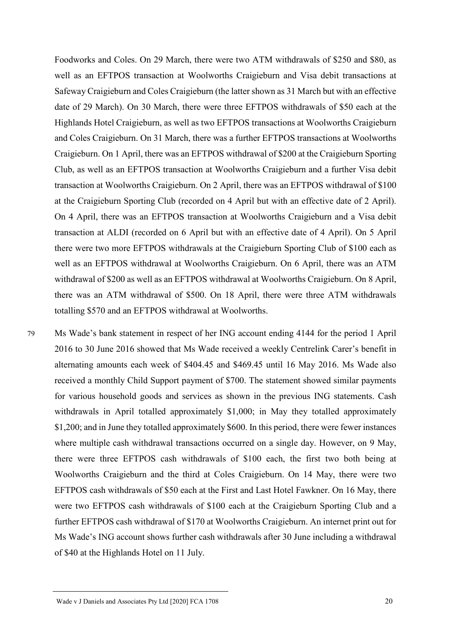Foodworks and Coles. On 29 March, there were two ATM withdrawals of \$250 and \$80, as well as an EFTPOS transaction at Woolworths Craigieburn and Visa debit transactions at Safeway Craigieburn and Coles Craigieburn (the latter shown as 31 March but with an effective date of 29 March). On 30 March, there were three EFTPOS withdrawals of \$50 each at the Highlands Hotel Craigieburn, as well as two EFTPOS transactions at Woolworths Craigieburn and Coles Craigieburn. On 31 March, there was a further EFTPOS transactions at Woolworths Craigieburn. On 1 April, there was an EFTPOS withdrawal of \$200 at the Craigieburn Sporting Club, as well as an EFTPOS transaction at Woolworths Craigieburn and a further Visa debit transaction at Woolworths Craigieburn. On 2 April, there was an EFTPOS withdrawal of \$100 at the Craigieburn Sporting Club (recorded on 4 April but with an effective date of 2 April). On 4 April, there was an EFTPOS transaction at Woolworths Craigieburn and a Visa debit transaction at ALDI (recorded on 6 April but with an effective date of 4 April). On 5 April there were two more EFTPOS withdrawals at the Craigieburn Sporting Club of \$100 each as well as an EFTPOS withdrawal at Woolworths Craigieburn. On 6 April, there was an ATM withdrawal of \$200 as well as an EFTPOS withdrawal at Woolworths Craigieburn. On 8 April, there was an ATM withdrawal of \$500. On 18 April, there were three ATM withdrawals totalling \$570 and an EFTPOS withdrawal at Woolworths.

79 Ms Wade's bank statement in respect of her ING account ending 4144 for the period 1 April 2016 to 30 June 2016 showed that Ms Wade received a weekly Centrelink Carer's benefit in alternating amounts each week of \$404.45 and \$469.45 until 16 May 2016. Ms Wade also received a monthly Child Support payment of \$700. The statement showed similar payments for various household goods and services as shown in the previous ING statements. Cash withdrawals in April totalled approximately \$1,000; in May they totalled approximately \$1,200; and in June they totalled approximately \$600. In this period, there were fewer instances where multiple cash withdrawal transactions occurred on a single day. However, on 9 May, there were three EFTPOS cash withdrawals of \$100 each, the first two both being at Woolworths Craigieburn and the third at Coles Craigieburn. On 14 May, there were two EFTPOS cash withdrawals of \$50 each at the First and Last Hotel Fawkner. On 16 May, there were two EFTPOS cash withdrawals of \$100 each at the Craigieburn Sporting Club and a further EFTPOS cash withdrawal of \$170 at Woolworths Craigieburn. An internet print out for Ms Wade's ING account shows further cash withdrawals after 30 June including a withdrawal of \$40 at the Highlands Hotel on 11 July.

Wade v J Daniels and Associates Pty Ltd [2020] FCA 1708 20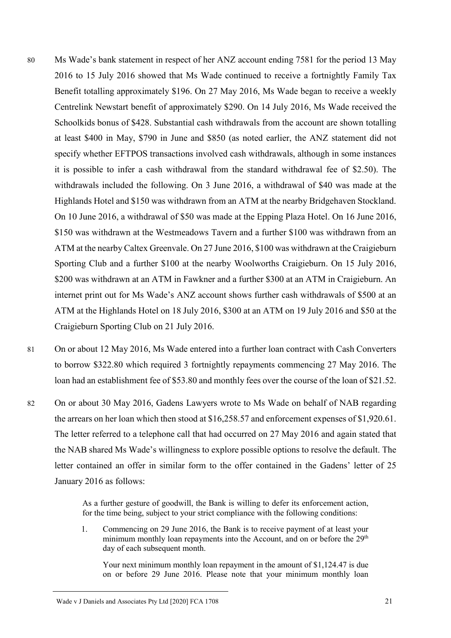- 80 Ms Wade's bank statement in respect of her ANZ account ending 7581 for the period 13 May 2016 to 15 July 2016 showed that Ms Wade continued to receive a fortnightly Family Tax Benefit totalling approximately \$196. On 27 May 2016, Ms Wade began to receive a weekly Centrelink Newstart benefit of approximately \$290. On 14 July 2016, Ms Wade received the Schoolkids bonus of \$428. Substantial cash withdrawals from the account are shown totalling at least \$400 in May, \$790 in June and \$850 (as noted earlier, the ANZ statement did not specify whether EFTPOS transactions involved cash withdrawals, although in some instances it is possible to infer a cash withdrawal from the standard withdrawal fee of \$2.50). The withdrawals included the following. On 3 June 2016, a withdrawal of \$40 was made at the Highlands Hotel and \$150 was withdrawn from an ATM at the nearby Bridgehaven Stockland. On 10 June 2016, a withdrawal of \$50 was made at the Epping Plaza Hotel. On 16 June 2016, \$150 was withdrawn at the Westmeadows Tavern and a further \$100 was withdrawn from an ATM at the nearby Caltex Greenvale. On 27 June 2016, \$100 was withdrawn at the Craigieburn Sporting Club and a further \$100 at the nearby Woolworths Craigieburn. On 15 July 2016, \$200 was withdrawn at an ATM in Fawkner and a further \$300 at an ATM in Craigieburn. An internet print out for Ms Wade's ANZ account shows further cash withdrawals of \$500 at an ATM at the Highlands Hotel on 18 July 2016, \$300 at an ATM on 19 July 2016 and \$50 at the Craigieburn Sporting Club on 21 July 2016.
- 81 On or about 12 May 2016, Ms Wade entered into a further loan contract with Cash Converters to borrow \$322.80 which required 3 fortnightly repayments commencing 27 May 2016. The loan had an establishment fee of \$53.80 and monthly fees over the course of the loan of \$21.52.
- 82 On or about 30 May 2016, Gadens Lawyers wrote to Ms Wade on behalf of NAB regarding the arrears on her loan which then stood at \$16,258.57 and enforcement expenses of \$1,920.61. The letter referred to a telephone call that had occurred on 27 May 2016 and again stated that the NAB shared Ms Wade's willingness to explore possible options to resolve the default. The letter contained an offer in similar form to the offer contained in the Gadens' letter of 25 January 2016 as follows:

As a further gesture of goodwill, the Bank is willing to defer its enforcement action, for the time being, subject to your strict compliance with the following conditions:

1. Commencing on 29 June 2016, the Bank is to receive payment of at least your minimum monthly loan repayments into the Account, and on or before the 29<sup>th</sup> day of each subsequent month.

Your next minimum monthly loan repayment in the amount of \$1,124.47 is due on or before 29 June 2016. Please note that your minimum monthly loan

Wade v J Daniels and Associates Pty Ltd [2020] FCA 1708 21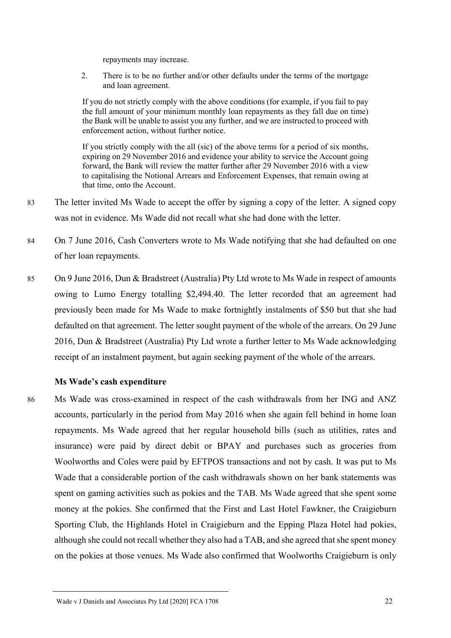repayments may increase.

2. There is to be no further and/or other defaults under the terms of the mortgage and loan agreement.

If you do not strictly comply with the above conditions (for example, if you fail to pay the full amount of your minimum monthly loan repayments as they fall due on time) the Bank will be unable to assist you any further, and we are instructed to proceed with enforcement action, without further notice.

If you strictly comply with the all (sic) of the above terms for a period of six months, expiring on 29 November 2016 and evidence your ability to service the Account going forward, the Bank will review the matter further after 29 November 2016 with a view to capitalising the Notional Arrears and Enforcement Expenses, that remain owing at that time, onto the Account.

- 83 The letter invited Ms Wade to accept the offer by signing a copy of the letter. A signed copy was not in evidence. Ms Wade did not recall what she had done with the letter.
- 84 On 7 June 2016, Cash Converters wrote to Ms Wade notifying that she had defaulted on one of her loan repayments.
- 85 On 9 June 2016, Dun & Bradstreet (Australia) Pty Ltd wrote to Ms Wade in respect of amounts owing to Lumo Energy totalling \$2,494.40. The letter recorded that an agreement had previously been made for Ms Wade to make fortnightly instalments of \$50 but that she had defaulted on that agreement. The letter sought payment of the whole of the arrears. On 29 June 2016, Dun & Bradstreet (Australia) Pty Ltd wrote a further letter to Ms Wade acknowledging receipt of an instalment payment, but again seeking payment of the whole of the arrears.

## **Ms Wade's cash expenditure**

86 Ms Wade was cross-examined in respect of the cash withdrawals from her ING and ANZ accounts, particularly in the period from May 2016 when she again fell behind in home loan repayments. Ms Wade agreed that her regular household bills (such as utilities, rates and insurance) were paid by direct debit or BPAY and purchases such as groceries from Woolworths and Coles were paid by EFTPOS transactions and not by cash. It was put to Ms Wade that a considerable portion of the cash withdrawals shown on her bank statements was spent on gaming activities such as pokies and the TAB. Ms Wade agreed that she spent some money at the pokies. She confirmed that the First and Last Hotel Fawkner, the Craigieburn Sporting Club, the Highlands Hotel in Craigieburn and the Epping Plaza Hotel had pokies, although she could not recall whether they also had a TAB, and she agreed that she spent money on the pokies at those venues. Ms Wade also confirmed that Woolworths Craigieburn is only

Wade v J Daniels and Associates Pty Ltd [2020] FCA 1708 22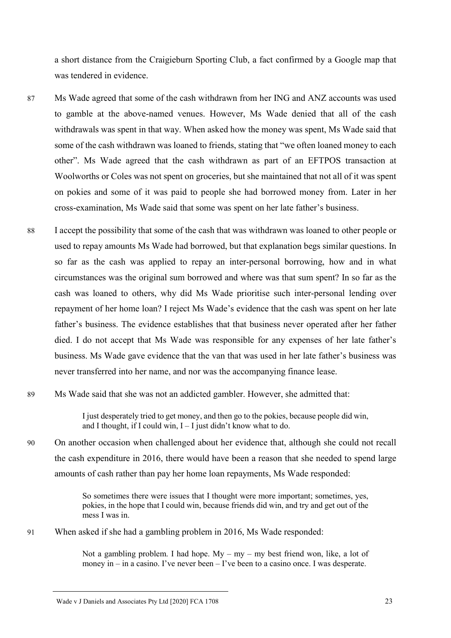a short distance from the Craigieburn Sporting Club, a fact confirmed by a Google map that was tendered in evidence.

- 87 Ms Wade agreed that some of the cash withdrawn from her ING and ANZ accounts was used to gamble at the above-named venues. However, Ms Wade denied that all of the cash withdrawals was spent in that way. When asked how the money was spent, Ms Wade said that some of the cash withdrawn was loaned to friends, stating that "we often loaned money to each other". Ms Wade agreed that the cash withdrawn as part of an EFTPOS transaction at Woolworths or Coles was not spent on groceries, but she maintained that not all of it was spent on pokies and some of it was paid to people she had borrowed money from. Later in her cross-examination, Ms Wade said that some was spent on her late father's business.
- 88 I accept the possibility that some of the cash that was withdrawn was loaned to other people or used to repay amounts Ms Wade had borrowed, but that explanation begs similar questions. In so far as the cash was applied to repay an inter-personal borrowing, how and in what circumstances was the original sum borrowed and where was that sum spent? In so far as the cash was loaned to others, why did Ms Wade prioritise such inter-personal lending over repayment of her home loan? I reject Ms Wade's evidence that the cash was spent on her late father's business. The evidence establishes that that business never operated after her father died. I do not accept that Ms Wade was responsible for any expenses of her late father's business. Ms Wade gave evidence that the van that was used in her late father's business was never transferred into her name, and nor was the accompanying finance lease.
- 89 Ms Wade said that she was not an addicted gambler. However, she admitted that:

I just desperately tried to get money, and then go to the pokies, because people did win, and I thought, if I could win,  $I - I$  just didn't know what to do.

90 On another occasion when challenged about her evidence that, although she could not recall the cash expenditure in 2016, there would have been a reason that she needed to spend large amounts of cash rather than pay her home loan repayments, Ms Wade responded:

> So sometimes there were issues that I thought were more important; sometimes, yes, pokies, in the hope that I could win, because friends did win, and try and get out of the mess I was in.

91 When asked if she had a gambling problem in 2016, Ms Wade responded:

Not a gambling problem. I had hope.  $My - my - my$  best friend won, like, a lot of money in – in a casino. I've never been – I've been to a casino once. I was desperate.

Wade v J Daniels and Associates Pty Ltd [2020] FCA 1708 23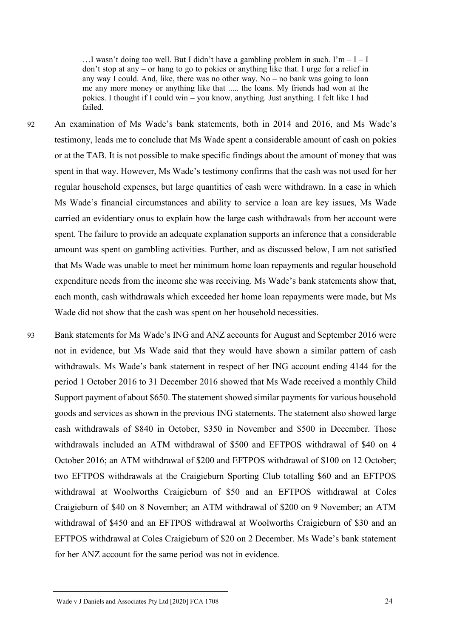$\dots$  wasn't doing too well. But I didn't have a gambling problem in such. I'm  $-1 - I$ don't stop at any – or hang to go to pokies or anything like that. I urge for a relief in any way I could. And, like, there was no other way. No – no bank was going to loan me any more money or anything like that ..... the loans. My friends had won at the pokies. I thought if I could win – you know, anything. Just anything. I felt like I had failed.

- 92 An examination of Ms Wade's bank statements, both in 2014 and 2016, and Ms Wade's testimony, leads me to conclude that Ms Wade spent a considerable amount of cash on pokies or at the TAB. It is not possible to make specific findings about the amount of money that was spent in that way. However, Ms Wade's testimony confirms that the cash was not used for her regular household expenses, but large quantities of cash were withdrawn. In a case in which Ms Wade's financial circumstances and ability to service a loan are key issues, Ms Wade carried an evidentiary onus to explain how the large cash withdrawals from her account were spent. The failure to provide an adequate explanation supports an inference that a considerable amount was spent on gambling activities. Further, and as discussed below, I am not satisfied that Ms Wade was unable to meet her minimum home loan repayments and regular household expenditure needs from the income she was receiving. Ms Wade's bank statements show that, each month, cash withdrawals which exceeded her home loan repayments were made, but Ms Wade did not show that the cash was spent on her household necessities.
- 93 Bank statements for Ms Wade's ING and ANZ accounts for August and September 2016 were not in evidence, but Ms Wade said that they would have shown a similar pattern of cash withdrawals. Ms Wade's bank statement in respect of her ING account ending 4144 for the period 1 October 2016 to 31 December 2016 showed that Ms Wade received a monthly Child Support payment of about \$650. The statement showed similar payments for various household goods and services as shown in the previous ING statements. The statement also showed large cash withdrawals of \$840 in October, \$350 in November and \$500 in December. Those withdrawals included an ATM withdrawal of \$500 and EFTPOS withdrawal of \$40 on 4 October 2016; an ATM withdrawal of \$200 and EFTPOS withdrawal of \$100 on 12 October; two EFTPOS withdrawals at the Craigieburn Sporting Club totalling \$60 and an EFTPOS withdrawal at Woolworths Craigieburn of \$50 and an EFTPOS withdrawal at Coles Craigieburn of \$40 on 8 November; an ATM withdrawal of \$200 on 9 November; an ATM withdrawal of \$450 and an EFTPOS withdrawal at Woolworths Craigieburn of \$30 and an EFTPOS withdrawal at Coles Craigieburn of \$20 on 2 December. Ms Wade's bank statement for her ANZ account for the same period was not in evidence.

Wade v J Daniels and Associates Pty Ltd [2020] FCA 1708 24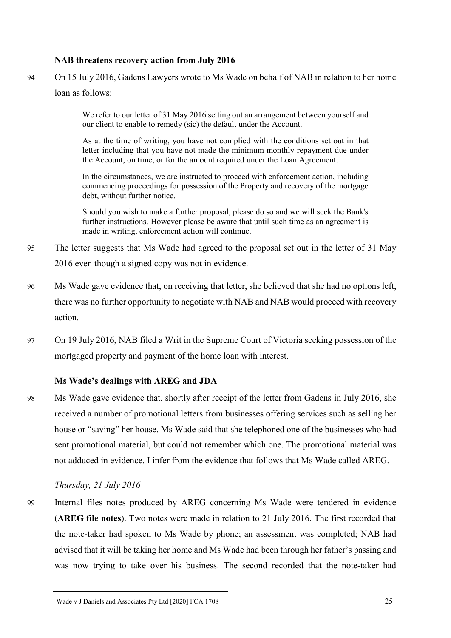#### **NAB threatens recovery action from July 2016**

94 On 15 July 2016, Gadens Lawyers wrote to Ms Wade on behalf of NAB in relation to her home loan as follows:

> We refer to our letter of 31 May 2016 setting out an arrangement between yourself and our client to enable to remedy (sic) the default under the Account.

> As at the time of writing, you have not complied with the conditions set out in that letter including that you have not made the minimum monthly repayment due under the Account, on time, or for the amount required under the Loan Agreement.

> In the circumstances, we are instructed to proceed with enforcement action, including commencing proceedings for possession of the Property and recovery of the mortgage debt, without further notice.

> Should you wish to make a further proposal, please do so and we will seek the Bank's further instructions. However please be aware that until such time as an agreement is made in writing, enforcement action will continue.

- 95 The letter suggests that Ms Wade had agreed to the proposal set out in the letter of 31 May 2016 even though a signed copy was not in evidence.
- 96 Ms Wade gave evidence that, on receiving that letter, she believed that she had no options left, there was no further opportunity to negotiate with NAB and NAB would proceed with recovery action.
- 97 On 19 July 2016, NAB filed a Writ in the Supreme Court of Victoria seeking possession of the mortgaged property and payment of the home loan with interest.

#### **Ms Wade's dealings with AREG and JDA**

98 Ms Wade gave evidence that, shortly after receipt of the letter from Gadens in July 2016, she received a number of promotional letters from businesses offering services such as selling her house or "saving" her house. Ms Wade said that she telephoned one of the businesses who had sent promotional material, but could not remember which one. The promotional material was not adduced in evidence. I infer from the evidence that follows that Ms Wade called AREG.

#### *Thursday, 21 July 2016*

99 Internal files notes produced by AREG concerning Ms Wade were tendered in evidence (**AREG file notes**). Two notes were made in relation to 21 July 2016. The first recorded that the note-taker had spoken to Ms Wade by phone; an assessment was completed; NAB had advised that it will be taking her home and Ms Wade had been through her father's passing and was now trying to take over his business. The second recorded that the note-taker had

Wade v J Daniels and Associates Pty Ltd [2020] FCA 1708 25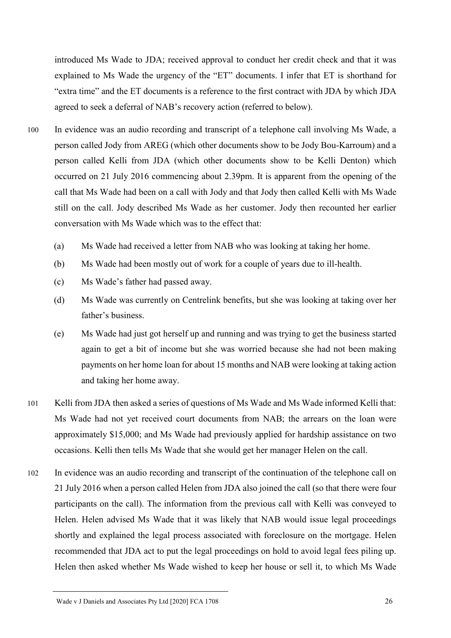introduced Ms Wade to JDA; received approval to conduct her credit check and that it was explained to Ms Wade the urgency of the "ET" documents. I infer that ET is shorthand for "extra time" and the ET documents is a reference to the first contract with JDA by which JDA agreed to seek a deferral of NAB's recovery action (referred to below).

- 100 In evidence was an audio recording and transcript of a telephone call involving Ms Wade, a person called Jody from AREG (which other documents show to be Jody Bou-Karroum) and a person called Kelli from JDA (which other documents show to be Kelli Denton) which occurred on 21 July 2016 commencing about 2.39pm. It is apparent from the opening of the call that Ms Wade had been on a call with Jody and that Jody then called Kelli with Ms Wade still on the call. Jody described Ms Wade as her customer. Jody then recounted her earlier conversation with Ms Wade which was to the effect that:
	- (a) Ms Wade had received a letter from NAB who was looking at taking her home.
	- (b) Ms Wade had been mostly out of work for a couple of years due to ill-health.
	- (c) Ms Wade's father had passed away.
	- (d) Ms Wade was currently on Centrelink benefits, but she was looking at taking over her father's business.
	- (e) Ms Wade had just got herself up and running and was trying to get the business started again to get a bit of income but she was worried because she had not been making payments on her home loan for about 15 months and NAB were looking at taking action and taking her home away.
- 101 Kelli from JDA then asked a series of questions of Ms Wade and Ms Wade informed Kelli that: Ms Wade had not yet received court documents from NAB; the arrears on the loan were approximately \$15,000; and Ms Wade had previously applied for hardship assistance on two occasions. Kelli then tells Ms Wade that she would get her manager Helen on the call.
- 102 In evidence was an audio recording and transcript of the continuation of the telephone call on 21 July 2016 when a person called Helen from JDA also joined the call (so that there were four participants on the call). The information from the previous call with Kelli was conveyed to Helen. Helen advised Ms Wade that it was likely that NAB would issue legal proceedings shortly and explained the legal process associated with foreclosure on the mortgage. Helen recommended that JDA act to put the legal proceedings on hold to avoid legal fees piling up. Helen then asked whether Ms Wade wished to keep her house or sell it, to which Ms Wade

Wade v J Daniels and Associates Pty Ltd [2020] FCA 1708 26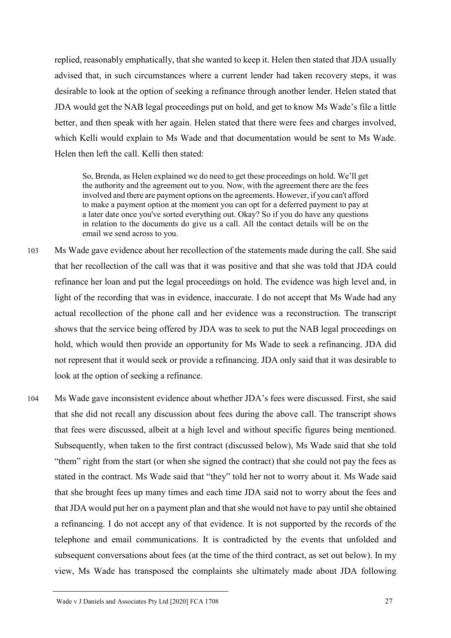replied, reasonably emphatically, that she wanted to keep it. Helen then stated that JDA usually advised that, in such circumstances where a current lender had taken recovery steps, it was desirable to look at the option of seeking a refinance through another lender. Helen stated that JDA would get the NAB legal proceedings put on hold, and get to know Ms Wade's file a little better, and then speak with her again. Helen stated that there were fees and charges involved, which Kelli would explain to Ms Wade and that documentation would be sent to Ms Wade. Helen then left the call. Kelli then stated:

So, Brenda, as Helen explained we do need to get these proceedings on hold. We'll get the authority and the agreement out to you. Now, with the agreement there are the fees involved and there are payment options on the agreements. However, if you can't afford to make a payment option at the moment you can opt for a deferred payment to pay at a later date once you've sorted everything out. Okay? So if you do have any questions in relation to the documents do give us a call. All the contact details will be on the email we send across to you.

- 103 Ms Wade gave evidence about her recollection of the statements made during the call. She said that her recollection of the call was that it was positive and that she was told that JDA could refinance her loan and put the legal proceedings on hold. The evidence was high level and, in light of the recording that was in evidence, inaccurate. I do not accept that Ms Wade had any actual recollection of the phone call and her evidence was a reconstruction. The transcript shows that the service being offered by JDA was to seek to put the NAB legal proceedings on hold, which would then provide an opportunity for Ms Wade to seek a refinancing. JDA did not represent that it would seek or provide a refinancing. JDA only said that it was desirable to look at the option of seeking a refinance.
- 104 Ms Wade gave inconsistent evidence about whether JDA's fees were discussed. First, she said that she did not recall any discussion about fees during the above call. The transcript shows that fees were discussed, albeit at a high level and without specific figures being mentioned. Subsequently, when taken to the first contract (discussed below), Ms Wade said that she told "them" right from the start (or when she signed the contract) that she could not pay the fees as stated in the contract. Ms Wade said that "they" told her not to worry about it. Ms Wade said that she brought fees up many times and each time JDA said not to worry about the fees and that JDA would put her on a payment plan and that she would not have to pay until she obtained a refinancing. I do not accept any of that evidence. It is not supported by the records of the telephone and email communications. It is contradicted by the events that unfolded and subsequent conversations about fees (at the time of the third contract, as set out below). In my view, Ms Wade has transposed the complaints she ultimately made about JDA following

Wade v J Daniels and Associates Pty Ltd [2020] FCA 1708 27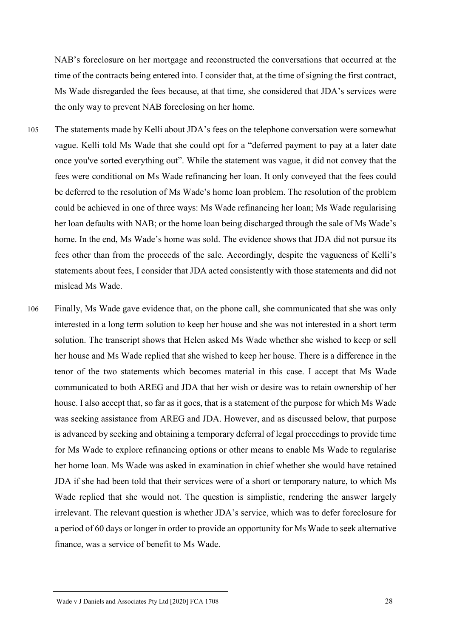NAB's foreclosure on her mortgage and reconstructed the conversations that occurred at the time of the contracts being entered into. I consider that, at the time of signing the first contract, Ms Wade disregarded the fees because, at that time, she considered that JDA's services were the only way to prevent NAB foreclosing on her home.

- 105 The statements made by Kelli about JDA's fees on the telephone conversation were somewhat vague. Kelli told Ms Wade that she could opt for a "deferred payment to pay at a later date once you've sorted everything out". While the statement was vague, it did not convey that the fees were conditional on Ms Wade refinancing her loan. It only conveyed that the fees could be deferred to the resolution of Ms Wade's home loan problem. The resolution of the problem could be achieved in one of three ways: Ms Wade refinancing her loan; Ms Wade regularising her loan defaults with NAB; or the home loan being discharged through the sale of Ms Wade's home. In the end, Ms Wade's home was sold. The evidence shows that JDA did not pursue its fees other than from the proceeds of the sale. Accordingly, despite the vagueness of Kelli's statements about fees, I consider that JDA acted consistently with those statements and did not mislead Ms Wade.
- 106 Finally, Ms Wade gave evidence that, on the phone call, she communicated that she was only interested in a long term solution to keep her house and she was not interested in a short term solution. The transcript shows that Helen asked Ms Wade whether she wished to keep or sell her house and Ms Wade replied that she wished to keep her house. There is a difference in the tenor of the two statements which becomes material in this case. I accept that Ms Wade communicated to both AREG and JDA that her wish or desire was to retain ownership of her house. I also accept that, so far as it goes, that is a statement of the purpose for which Ms Wade was seeking assistance from AREG and JDA. However, and as discussed below, that purpose is advanced by seeking and obtaining a temporary deferral of legal proceedings to provide time for Ms Wade to explore refinancing options or other means to enable Ms Wade to regularise her home loan. Ms Wade was asked in examination in chief whether she would have retained JDA if she had been told that their services were of a short or temporary nature, to which Ms Wade replied that she would not. The question is simplistic, rendering the answer largely irrelevant. The relevant question is whether JDA's service, which was to defer foreclosure for a period of 60 days or longer in order to provide an opportunity for Ms Wade to seek alternative finance, was a service of benefit to Ms Wade.

Wade v J Daniels and Associates Pty Ltd [2020] FCA 1708 28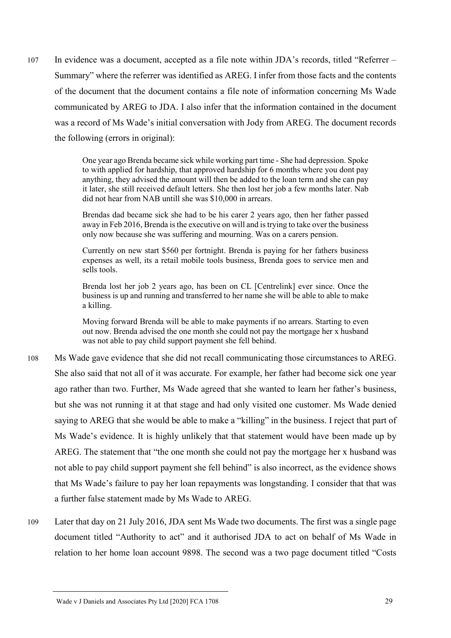107 In evidence was a document, accepted as a file note within JDA's records, titled "Referrer – Summary" where the referrer was identified as AREG. I infer from those facts and the contents of the document that the document contains a file note of information concerning Ms Wade communicated by AREG to JDA. I also infer that the information contained in the document was a record of Ms Wade's initial conversation with Jody from AREG. The document records the following (errors in original):

> One year ago Brenda became sick while working part time - She had depression. Spoke to with applied for hardship, that approved hardship for 6 months where you dont pay anything, they advised the amount will then be added to the loan term and she can pay it later, she still received default letters. She then lost her job a few months later. Nab did not hear from NAB untill she was \$10,000 in arrears.

> Brendas dad became sick she had to be his carer 2 years ago, then her father passed away in Feb 2016, Brenda is the executive on will and is trying to take over the business only now because she was suffering and mourning. Was on a carers pension.

> Currently on new start \$560 per fortnight. Brenda is paying for her fathers business expenses as well, its a retail mobile tools business, Brenda goes to service men and sells tools.

> Brenda lost her job 2 years ago, has been on CL [Centrelink] ever since. Once the business is up and running and transferred to her name she will be able to able to make a killing.

> Moving forward Brenda will be able to make payments if no arrears. Starting to even out now. Brenda advised the one month she could not pay the mortgage her x husband was not able to pay child support payment she fell behind.

- 108 Ms Wade gave evidence that she did not recall communicating those circumstances to AREG. She also said that not all of it was accurate. For example, her father had become sick one year ago rather than two. Further, Ms Wade agreed that she wanted to learn her father's business, but she was not running it at that stage and had only visited one customer. Ms Wade denied saying to AREG that she would be able to make a "killing" in the business. I reject that part of Ms Wade's evidence. It is highly unlikely that that statement would have been made up by AREG. The statement that "the one month she could not pay the mortgage her x husband was not able to pay child support payment she fell behind" is also incorrect, as the evidence shows that Ms Wade's failure to pay her loan repayments was longstanding. I consider that that was a further false statement made by Ms Wade to AREG.
- 109 Later that day on 21 July 2016, JDA sent Ms Wade two documents. The first was a single page document titled "Authority to act" and it authorised JDA to act on behalf of Ms Wade in relation to her home loan account 9898. The second was a two page document titled "Costs

Wade v J Daniels and Associates Pty Ltd [2020] FCA 1708 29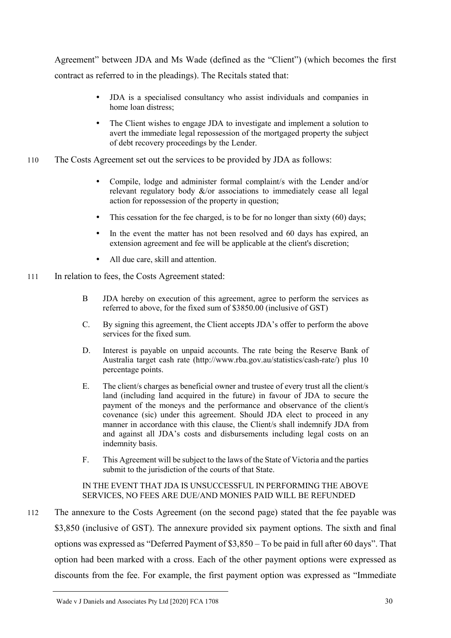Agreement" between JDA and Ms Wade (defined as the "Client") (which becomes the first contract as referred to in the pleadings). The Recitals stated that:

- JDA is a specialised consultancy who assist individuals and companies in home loan distress;
- The Client wishes to engage JDA to investigate and implement a solution to avert the immediate legal repossession of the mortgaged property the subject of debt recovery proceedings by the Lender.
- 110 The Costs Agreement set out the services to be provided by JDA as follows:
	- Compile, lodge and administer formal complaint/s with the Lender and/or relevant regulatory body  $\&$ /or associations to immediately cease all legal action for repossession of the property in question;
	- This cessation for the fee charged, is to be for no longer than sixty (60) days;
	- In the event the matter has not been resolved and 60 days has expired, an extension agreement and fee will be applicable at the client's discretion;
	- All due care, skill and attention.
- 111 In relation to fees, the Costs Agreement stated:
	- B JDA hereby on execution of this agreement, agree to perform the services as referred to above, for the fixed sum of \$3850.00 (inclusive of GST)
	- C. By signing this agreement, the Client accepts JDA's offer to perform the above services for the fixed sum.
	- D. Interest is payable on unpaid accounts. The rate being the Reserve Bank of Australia target cash rate (http://www.rba.gov.au/statistics/cash-rate/) plus 10 percentage points.
	- E. The client/s charges as beneficial owner and trustee of every trust all the client/s land (including land acquired in the future) in favour of JDA to secure the payment of the moneys and the performance and observance of the client/s covenance (sic) under this agreement. Should JDA elect to proceed in any manner in accordance with this clause, the Client/s shall indemnify JDA from and against all JDA's costs and disbursements including legal costs on an indemnity basis.
	- F. This Agreement will be subject to the laws of the State of Victoria and the parties submit to the jurisdiction of the courts of that State.

### IN THE EVENT THAT JDA IS UNSUCCESSFUL IN PERFORMING THE ABOVE SERVICES, NO FEES ARE DUE/AND MONIES PAID WILL BE REFUNDED

112 The annexure to the Costs Agreement (on the second page) stated that the fee payable was \$3,850 (inclusive of GST). The annexure provided six payment options. The sixth and final options was expressed as "Deferred Payment of \$3,850 – To be paid in full after 60 days". That option had been marked with a cross. Each of the other payment options were expressed as discounts from the fee. For example, the first payment option was expressed as "Immediate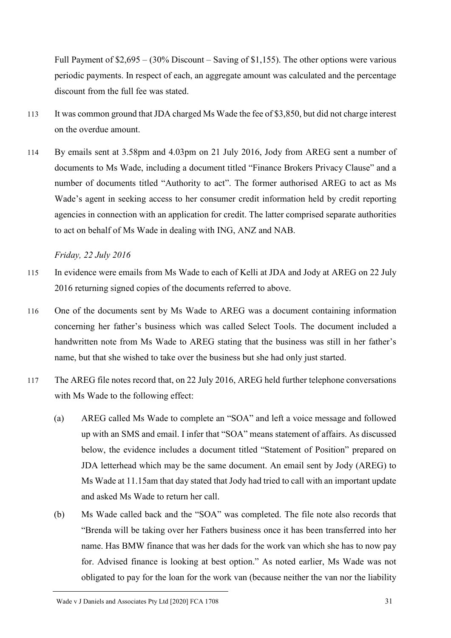Full Payment of \$2,695 – (30% Discount – Saving of \$1,155). The other options were various periodic payments. In respect of each, an aggregate amount was calculated and the percentage discount from the full fee was stated.

- 113 It was common ground that JDA charged Ms Wade the fee of \$3,850, but did not charge interest on the overdue amount.
- 114 By emails sent at 3.58pm and 4.03pm on 21 July 2016, Jody from AREG sent a number of documents to Ms Wade, including a document titled "Finance Brokers Privacy Clause" and a number of documents titled "Authority to act". The former authorised AREG to act as Ms Wade's agent in seeking access to her consumer credit information held by credit reporting agencies in connection with an application for credit. The latter comprised separate authorities to act on behalf of Ms Wade in dealing with ING, ANZ and NAB.

*Friday, 22 July 2016*

- 115 In evidence were emails from Ms Wade to each of Kelli at JDA and Jody at AREG on 22 July 2016 returning signed copies of the documents referred to above.
- 116 One of the documents sent by Ms Wade to AREG was a document containing information concerning her father's business which was called Select Tools. The document included a handwritten note from Ms Wade to AREG stating that the business was still in her father's name, but that she wished to take over the business but she had only just started.
- 117 The AREG file notes record that, on 22 July 2016, AREG held further telephone conversations with Ms Wade to the following effect:
	- (a) AREG called Ms Wade to complete an "SOA" and left a voice message and followed up with an SMS and email. I infer that "SOA" means statement of affairs. As discussed below, the evidence includes a document titled "Statement of Position" prepared on JDA letterhead which may be the same document. An email sent by Jody (AREG) to Ms Wade at 11.15am that day stated that Jody had tried to call with an important update and asked Ms Wade to return her call.
	- (b) Ms Wade called back and the "SOA" was completed. The file note also records that "Brenda will be taking over her Fathers business once it has been transferred into her name. Has BMW finance that was her dads for the work van which she has to now pay for. Advised finance is looking at best option." As noted earlier, Ms Wade was not obligated to pay for the loan for the work van (because neither the van nor the liability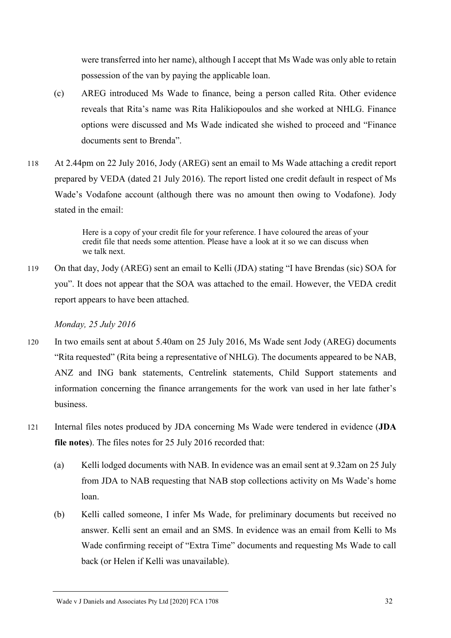were transferred into her name), although I accept that Ms Wade was only able to retain possession of the van by paying the applicable loan.

- (c) AREG introduced Ms Wade to finance, being a person called Rita. Other evidence reveals that Rita's name was Rita Halikiopoulos and she worked at NHLG. Finance options were discussed and Ms Wade indicated she wished to proceed and "Finance documents sent to Brenda".
- 118 At 2.44pm on 22 July 2016, Jody (AREG) sent an email to Ms Wade attaching a credit report prepared by VEDA (dated 21 July 2016). The report listed one credit default in respect of Ms Wade's Vodafone account (although there was no amount then owing to Vodafone). Jody stated in the email:

Here is a copy of your credit file for your reference. I have coloured the areas of your credit file that needs some attention. Please have a look at it so we can discuss when we talk next.

119 On that day, Jody (AREG) sent an email to Kelli (JDA) stating "I have Brendas (sic) SOA for you". It does not appear that the SOA was attached to the email. However, the VEDA credit report appears to have been attached.

*Monday, 25 July 2016*

- 120 In two emails sent at about 5.40am on 25 July 2016, Ms Wade sent Jody (AREG) documents "Rita requested" (Rita being a representative of NHLG). The documents appeared to be NAB, ANZ and ING bank statements, Centrelink statements, Child Support statements and information concerning the finance arrangements for the work van used in her late father's business.
- 121 Internal files notes produced by JDA concerning Ms Wade were tendered in evidence (**JDA file notes**). The files notes for 25 July 2016 recorded that:
	- (a) Kelli lodged documents with NAB. In evidence was an email sent at 9.32am on 25 July from JDA to NAB requesting that NAB stop collections activity on Ms Wade's home loan.
	- (b) Kelli called someone, I infer Ms Wade, for preliminary documents but received no answer. Kelli sent an email and an SMS. In evidence was an email from Kelli to Ms Wade confirming receipt of "Extra Time" documents and requesting Ms Wade to call back (or Helen if Kelli was unavailable).

Wade v J Daniels and Associates Pty Ltd [2020] FCA 1708 32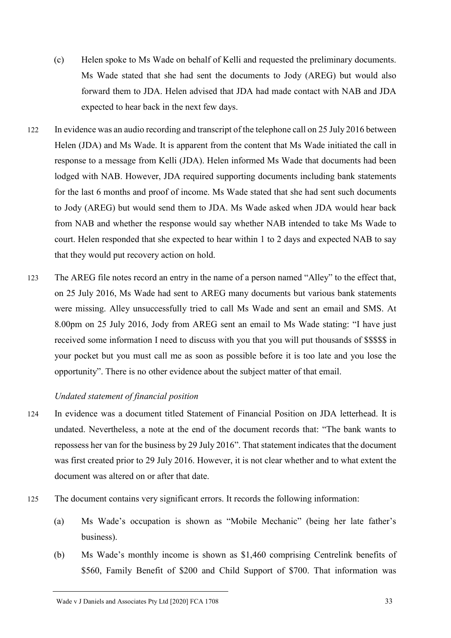- (c) Helen spoke to Ms Wade on behalf of Kelli and requested the preliminary documents. Ms Wade stated that she had sent the documents to Jody (AREG) but would also forward them to JDA. Helen advised that JDA had made contact with NAB and JDA expected to hear back in the next few days.
- 122 In evidence was an audio recording and transcript of the telephone call on 25 July 2016 between Helen (JDA) and Ms Wade. It is apparent from the content that Ms Wade initiated the call in response to a message from Kelli (JDA). Helen informed Ms Wade that documents had been lodged with NAB. However, JDA required supporting documents including bank statements for the last 6 months and proof of income. Ms Wade stated that she had sent such documents to Jody (AREG) but would send them to JDA. Ms Wade asked when JDA would hear back from NAB and whether the response would say whether NAB intended to take Ms Wade to court. Helen responded that she expected to hear within 1 to 2 days and expected NAB to say that they would put recovery action on hold.
- 123 The AREG file notes record an entry in the name of a person named "Alley" to the effect that, on 25 July 2016, Ms Wade had sent to AREG many documents but various bank statements were missing. Alley unsuccessfully tried to call Ms Wade and sent an email and SMS. At 8.00pm on 25 July 2016, Jody from AREG sent an email to Ms Wade stating: "I have just received some information I need to discuss with you that you will put thousands of \$\$\$\$\$ in your pocket but you must call me as soon as possible before it is too late and you lose the opportunity". There is no other evidence about the subject matter of that email.

### *Undated statement of financial position*

- 124 In evidence was a document titled Statement of Financial Position on JDA letterhead. It is undated. Nevertheless, a note at the end of the document records that: "The bank wants to repossess her van for the business by 29 July 2016". That statement indicates that the document was first created prior to 29 July 2016. However, it is not clear whether and to what extent the document was altered on or after that date.
- 125 The document contains very significant errors. It records the following information:
	- (a) Ms Wade's occupation is shown as "Mobile Mechanic" (being her late father's business).
	- (b) Ms Wade's monthly income is shown as \$1,460 comprising Centrelink benefits of \$560, Family Benefit of \$200 and Child Support of \$700. That information was

Wade v J Daniels and Associates Pty Ltd [2020] FCA 1708 33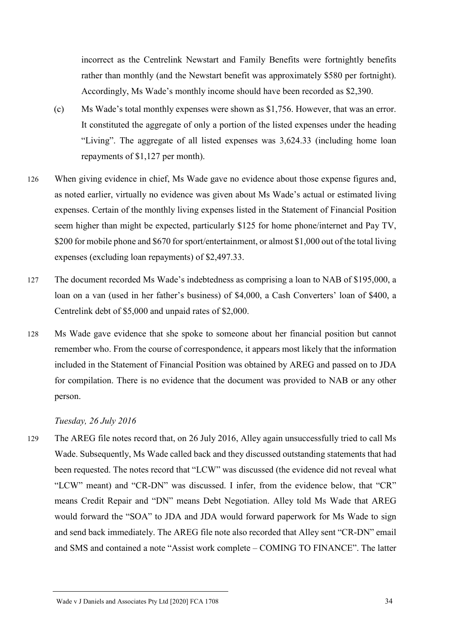incorrect as the Centrelink Newstart and Family Benefits were fortnightly benefits rather than monthly (and the Newstart benefit was approximately \$580 per fortnight). Accordingly, Ms Wade's monthly income should have been recorded as \$2,390.

- (c) Ms Wade's total monthly expenses were shown as \$1,756. However, that was an error. It constituted the aggregate of only a portion of the listed expenses under the heading "Living". The aggregate of all listed expenses was 3,624.33 (including home loan repayments of \$1,127 per month).
- 126 When giving evidence in chief, Ms Wade gave no evidence about those expense figures and, as noted earlier, virtually no evidence was given about Ms Wade's actual or estimated living expenses. Certain of the monthly living expenses listed in the Statement of Financial Position seem higher than might be expected, particularly \$125 for home phone/internet and Pay TV, \$200 for mobile phone and \$670 for sport/entertainment, or almost \$1,000 out of the total living expenses (excluding loan repayments) of \$2,497.33.
- 127 The document recorded Ms Wade's indebtedness as comprising a loan to NAB of \$195,000, a loan on a van (used in her father's business) of \$4,000, a Cash Converters' loan of \$400, a Centrelink debt of \$5,000 and unpaid rates of \$2,000.
- 128 Ms Wade gave evidence that she spoke to someone about her financial position but cannot remember who. From the course of correspondence, it appears most likely that the information included in the Statement of Financial Position was obtained by AREG and passed on to JDA for compilation. There is no evidence that the document was provided to NAB or any other person.

#### *Tuesday, 26 July 2016*

129 The AREG file notes record that, on 26 July 2016, Alley again unsuccessfully tried to call Ms Wade. Subsequently, Ms Wade called back and they discussed outstanding statements that had been requested. The notes record that "LCW" was discussed (the evidence did not reveal what "LCW" meant) and "CR-DN" was discussed. I infer, from the evidence below, that "CR" means Credit Repair and "DN" means Debt Negotiation. Alley told Ms Wade that AREG would forward the "SOA" to JDA and JDA would forward paperwork for Ms Wade to sign and send back immediately. The AREG file note also recorded that Alley sent "CR-DN" email and SMS and contained a note "Assist work complete – COMING TO FINANCE". The latter

Wade v J Daniels and Associates Pty Ltd [2020] FCA 1708 34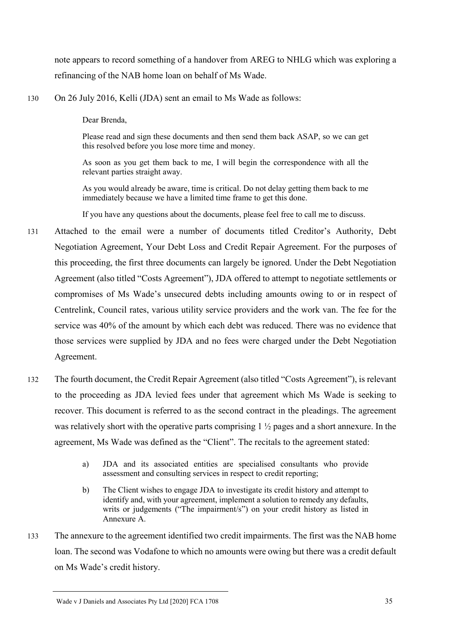note appears to record something of a handover from AREG to NHLG which was exploring a refinancing of the NAB home loan on behalf of Ms Wade.

130 On 26 July 2016, Kelli (JDA) sent an email to Ms Wade as follows:

Dear Brenda,

Please read and sign these documents and then send them back ASAP, so we can get this resolved before you lose more time and money.

As soon as you get them back to me, I will begin the correspondence with all the relevant parties straight away.

As you would already be aware, time is critical. Do not delay getting them back to me immediately because we have a limited time frame to get this done.

If you have any questions about the documents, please feel free to call me to discuss.

- 131 Attached to the email were a number of documents titled Creditor's Authority, Debt Negotiation Agreement, Your Debt Loss and Credit Repair Agreement. For the purposes of this proceeding, the first three documents can largely be ignored. Under the Debt Negotiation Agreement (also titled "Costs Agreement"), JDA offered to attempt to negotiate settlements or compromises of Ms Wade's unsecured debts including amounts owing to or in respect of Centrelink, Council rates, various utility service providers and the work van. The fee for the service was 40% of the amount by which each debt was reduced. There was no evidence that those services were supplied by JDA and no fees were charged under the Debt Negotiation Agreement.
- 132 The fourth document, the Credit Repair Agreement (also titled "Costs Agreement"), is relevant to the proceeding as JDA levied fees under that agreement which Ms Wade is seeking to recover. This document is referred to as the second contract in the pleadings. The agreement was relatively short with the operative parts comprising 1 ½ pages and a short annexure. In the agreement, Ms Wade was defined as the "Client". The recitals to the agreement stated:
	- a) JDA and its associated entities are specialised consultants who provide assessment and consulting services in respect to credit reporting;
	- b) The Client wishes to engage JDA to investigate its credit history and attempt to identify and, with your agreement, implement a solution to remedy any defaults, writs or judgements ("The impairment/s") on your credit history as listed in Annexure A.
- 133 The annexure to the agreement identified two credit impairments. The first was the NAB home loan. The second was Vodafone to which no amounts were owing but there was a credit default on Ms Wade's credit history.

Wade v J Daniels and Associates Pty Ltd [2020] FCA 1708 35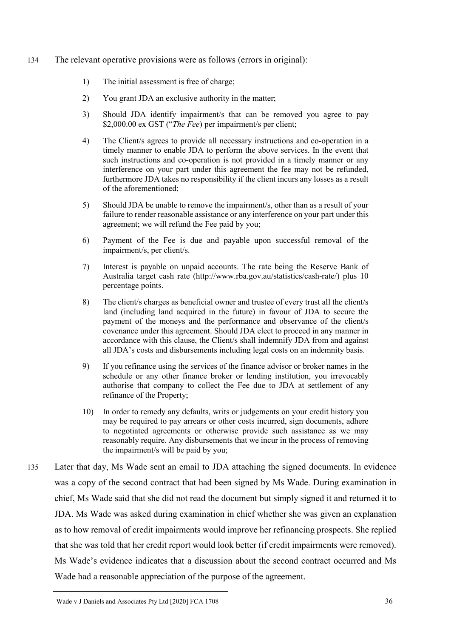#### 134 The relevant operative provisions were as follows (errors in original):

- 1) The initial assessment is free of charge;
- 2) You grant JDA an exclusive authority in the matter;
- 3) Should JDA identify impairment/s that can be removed you agree to pay \$2,000.00 ex GST ("*The Fee*) per impairment/s per client;
- 4) The Client/s agrees to provide all necessary instructions and co-operation in a timely manner to enable JDA to perform the above services. In the event that such instructions and co-operation is not provided in a timely manner or any interference on your part under this agreement the fee may not be refunded, furthermore JDA takes no responsibility if the client incurs any losses as a result of the aforementioned;
- 5) Should JDA be unable to remove the impairment/s, other than as a result of your failure to render reasonable assistance or any interference on your part under this agreement; we will refund the Fee paid by you;
- 6) Payment of the Fee is due and payable upon successful removal of the impairment/s, per client/s.
- 7) Interest is payable on unpaid accounts. The rate being the Reserve Bank of Australia target cash rate (http://www.rba.gov.au/statistics/cash-rate/) plus 10 percentage points.
- 8) The client/s charges as beneficial owner and trustee of every trust all the client/s land (including land acquired in the future) in favour of JDA to secure the payment of the moneys and the performance and observance of the client/s covenance under this agreement. Should JDA elect to proceed in any manner in accordance with this clause, the Client/s shall indemnify JDA from and against all JDA's costs and disbursements including legal costs on an indemnity basis.
- 9) If you refinance using the services of the finance advisor or broker names in the schedule or any other finance broker or lending institution, you irrevocably authorise that company to collect the Fee due to JDA at settlement of any refinance of the Property;
- 10) In order to remedy any defaults, writs or judgements on your credit history you may be required to pay arrears or other costs incurred, sign documents, adhere to negotiated agreements or otherwise provide such assistance as we may reasonably require. Any disbursements that we incur in the process of removing the impairment/s will be paid by you;
- 135 Later that day, Ms Wade sent an email to JDA attaching the signed documents. In evidence was a copy of the second contract that had been signed by Ms Wade. During examination in chief, Ms Wade said that she did not read the document but simply signed it and returned it to JDA. Ms Wade was asked during examination in chief whether she was given an explanation as to how removal of credit impairments would improve her refinancing prospects. She replied that she was told that her credit report would look better (if credit impairments were removed). Ms Wade's evidence indicates that a discussion about the second contract occurred and Ms Wade had a reasonable appreciation of the purpose of the agreement.

Wade v J Daniels and Associates Pty Ltd [2020] FCA 1708 36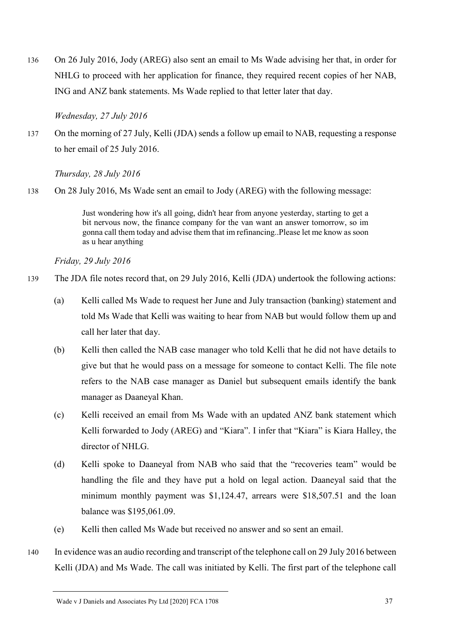136 On 26 July 2016, Jody (AREG) also sent an email to Ms Wade advising her that, in order for NHLG to proceed with her application for finance, they required recent copies of her NAB, ING and ANZ bank statements. Ms Wade replied to that letter later that day.

### *Wednesday, 27 July 2016*

137 On the morning of 27 July, Kelli (JDA) sends a follow up email to NAB, requesting a response to her email of 25 July 2016.

*Thursday, 28 July 2016*

138 On 28 July 2016, Ms Wade sent an email to Jody (AREG) with the following message:

Just wondering how it's all going, didn't hear from anyone yesterday, starting to get a bit nervous now, the finance company for the van want an answer tomorrow, so im gonna call them today and advise them that im refinancing..Please let me know as soon as u hear anything

*Friday, 29 July 2016*

- 139 The JDA file notes record that, on 29 July 2016, Kelli (JDA) undertook the following actions:
	- (a) Kelli called Ms Wade to request her June and July transaction (banking) statement and told Ms Wade that Kelli was waiting to hear from NAB but would follow them up and call her later that day.
	- (b) Kelli then called the NAB case manager who told Kelli that he did not have details to give but that he would pass on a message for someone to contact Kelli. The file note refers to the NAB case manager as Daniel but subsequent emails identify the bank manager as Daaneyal Khan.
	- (c) Kelli received an email from Ms Wade with an updated ANZ bank statement which Kelli forwarded to Jody (AREG) and "Kiara". I infer that "Kiara" is Kiara Halley, the director of NHLG.
	- (d) Kelli spoke to Daaneyal from NAB who said that the "recoveries team" would be handling the file and they have put a hold on legal action. Daaneyal said that the minimum monthly payment was \$1,124.47, arrears were \$18,507.51 and the loan balance was \$195,061.09.
	- (e) Kelli then called Ms Wade but received no answer and so sent an email.
- 140 In evidence was an audio recording and transcript of the telephone call on 29 July 2016 between Kelli (JDA) and Ms Wade. The call was initiated by Kelli. The first part of the telephone call

Wade v J Daniels and Associates Pty Ltd [2020] FCA 1708 37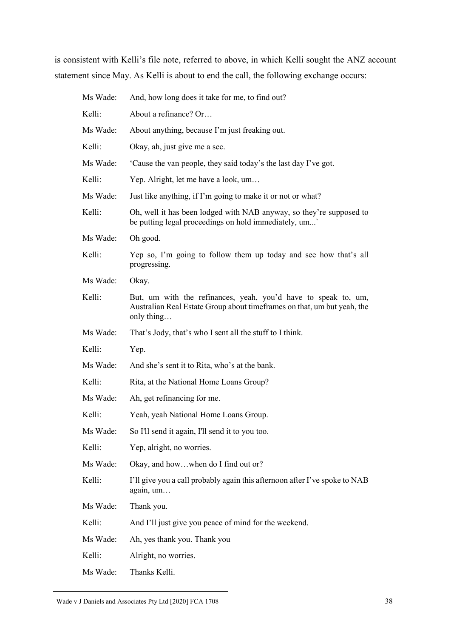is consistent with Kelli's file note, referred to above, in which Kelli sought the ANZ account statement since May. As Kelli is about to end the call, the following exchange occurs:

| Ms Wade: | And, how long does it take for me, to find out?                                                                                                         |
|----------|---------------------------------------------------------------------------------------------------------------------------------------------------------|
| Kelli:   | About a refinance? Or                                                                                                                                   |
| Ms Wade: | About anything, because I'm just freaking out.                                                                                                          |
| Kelli:   | Okay, ah, just give me a sec.                                                                                                                           |
| Ms Wade: | Cause the van people, they said today's the last day I've got.                                                                                          |
| Kelli:   | Yep. Alright, let me have a look, um                                                                                                                    |
| Ms Wade: | Just like anything, if I'm going to make it or not or what?                                                                                             |
| Kelli:   | Oh, well it has been lodged with NAB anyway, so they're supposed to<br>be putting legal proceedings on hold immediately, um'                            |
| Ms Wade: | Oh good.                                                                                                                                                |
| Kelli:   | Yep so, I'm going to follow them up today and see how that's all<br>progressing.                                                                        |
| Ms Wade: | Okay.                                                                                                                                                   |
| Kelli:   | But, um with the refinances, yeah, you'd have to speak to, um,<br>Australian Real Estate Group about timeframes on that, um but yeah, the<br>only thing |
| Ms Wade: | That's Jody, that's who I sent all the stuff to I think.                                                                                                |
| Kelli:   | Yep.                                                                                                                                                    |
| Ms Wade: | And she's sent it to Rita, who's at the bank.                                                                                                           |
| Kelli:   | Rita, at the National Home Loans Group?                                                                                                                 |
| Ms Wade: | Ah, get refinancing for me.                                                                                                                             |
| Kelli:   | Yeah, yeah National Home Loans Group.                                                                                                                   |
| Ms Wade: | So I'll send it again, I'll send it to you too.                                                                                                         |
| Kelli:   | Yep, alright, no worries.                                                                                                                               |
| Ms Wade: | Okay, and howwhen do I find out or?                                                                                                                     |
| Kelli:   | I'll give you a call probably again this afternoon after I've spoke to NAB<br>again, um                                                                 |
| Ms Wade: | Thank you.                                                                                                                                              |
| Kelli:   | And I'll just give you peace of mind for the weekend.                                                                                                   |
| Ms Wade: | Ah, yes thank you. Thank you                                                                                                                            |
| Kelli:   | Alright, no worries.                                                                                                                                    |
| Ms Wade: | Thanks Kelli.                                                                                                                                           |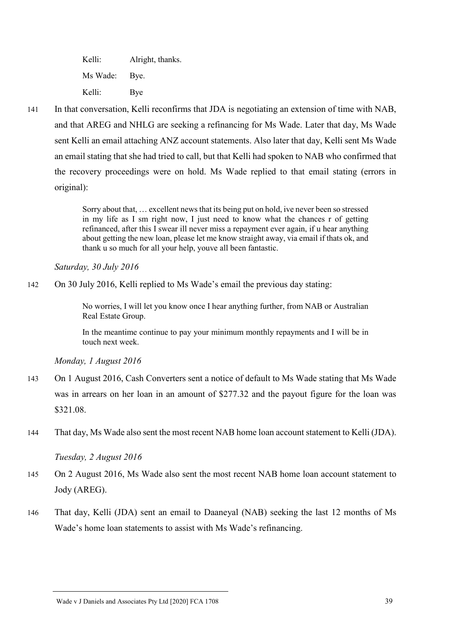Kelli: Alright, thanks. Ms Wade: Bye. Kelli: Bye

141 In that conversation, Kelli reconfirms that JDA is negotiating an extension of time with NAB, and that AREG and NHLG are seeking a refinancing for Ms Wade. Later that day, Ms Wade sent Kelli an email attaching ANZ account statements. Also later that day, Kelli sent Ms Wade an email stating that she had tried to call, but that Kelli had spoken to NAB who confirmed that the recovery proceedings were on hold. Ms Wade replied to that email stating (errors in original):

> Sorry about that, … excellent news that its being put on hold, ive never been so stressed in my life as I sm right now, I just need to know what the chances r of getting refinanced, after this I swear ill never miss a repayment ever again, if u hear anything about getting the new loan, please let me know straight away, via email if thats ok, and thank u so much for all your help, youve all been fantastic.

*Saturday, 30 July 2016*

142 On 30 July 2016, Kelli replied to Ms Wade's email the previous day stating:

No worries, I will let you know once I hear anything further, from NAB or Australian Real Estate Group.

In the meantime continue to pay your minimum monthly repayments and I will be in touch next week.

*Monday, 1 August 2016*

- 143 On 1 August 2016, Cash Converters sent a notice of default to Ms Wade stating that Ms Wade was in arrears on her loan in an amount of \$277.32 and the payout figure for the loan was \$321.08.
- 144 That day, Ms Wade also sent the most recent NAB home loan account statement to Kelli (JDA).

*Tuesday, 2 August 2016*

- 145 On 2 August 2016, Ms Wade also sent the most recent NAB home loan account statement to Jody (AREG).
- 146 That day, Kelli (JDA) sent an email to Daaneyal (NAB) seeking the last 12 months of Ms Wade's home loan statements to assist with Ms Wade's refinancing.

#### Wade v J Daniels and Associates Pty Ltd [2020] FCA 1708 39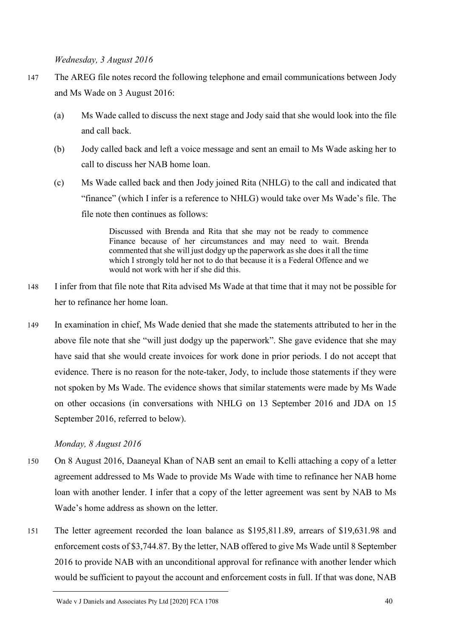*Wednesday, 3 August 2016*

- 147 The AREG file notes record the following telephone and email communications between Jody and Ms Wade on 3 August 2016:
	- (a) Ms Wade called to discuss the next stage and Jody said that she would look into the file and call back.
	- (b) Jody called back and left a voice message and sent an email to Ms Wade asking her to call to discuss her NAB home loan.
	- (c) Ms Wade called back and then Jody joined Rita (NHLG) to the call and indicated that "finance" (which I infer is a reference to NHLG) would take over Ms Wade's file. The file note then continues as follows:

Discussed with Brenda and Rita that she may not be ready to commence Finance because of her circumstances and may need to wait. Brenda commented that she will just dodgy up the paperwork as she does it all the time which I strongly told her not to do that because it is a Federal Offence and we would not work with her if she did this.

- 148 I infer from that file note that Rita advised Ms Wade at that time that it may not be possible for her to refinance her home loan.
- 149 In examination in chief, Ms Wade denied that she made the statements attributed to her in the above file note that she "will just dodgy up the paperwork". She gave evidence that she may have said that she would create invoices for work done in prior periods. I do not accept that evidence. There is no reason for the note-taker, Jody, to include those statements if they were not spoken by Ms Wade. The evidence shows that similar statements were made by Ms Wade on other occasions (in conversations with NHLG on 13 September 2016 and JDA on 15 September 2016, referred to below).

# *Monday, 8 August 2016*

- 150 On 8 August 2016, Daaneyal Khan of NAB sent an email to Kelli attaching a copy of a letter agreement addressed to Ms Wade to provide Ms Wade with time to refinance her NAB home loan with another lender. I infer that a copy of the letter agreement was sent by NAB to Ms Wade's home address as shown on the letter.
- 151 The letter agreement recorded the loan balance as \$195,811.89, arrears of \$19,631.98 and enforcement costs of \$3,744.87. By the letter, NAB offered to give Ms Wade until 8 September 2016 to provide NAB with an unconditional approval for refinance with another lender which would be sufficient to payout the account and enforcement costs in full. If that was done, NAB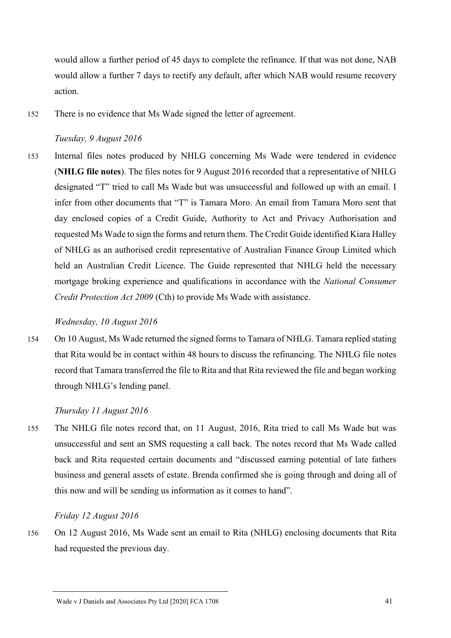would allow a further period of 45 days to complete the refinance. If that was not done, NAB would allow a further 7 days to rectify any default, after which NAB would resume recovery action.

152 There is no evidence that Ms Wade signed the letter of agreement.

#### *Tuesday, 9 August 2016*

153 Internal files notes produced by NHLG concerning Ms Wade were tendered in evidence (**NHLG file notes**). The files notes for 9 August 2016 recorded that a representative of NHLG designated "T" tried to call Ms Wade but was unsuccessful and followed up with an email. I infer from other documents that "T" is Tamara Moro. An email from Tamara Moro sent that day enclosed copies of a Credit Guide, Authority to Act and Privacy Authorisation and requested Ms Wade to sign the forms and return them. The Credit Guide identified Kiara Halley of NHLG as an authorised credit representative of Australian Finance Group Limited which held an Australian Credit Licence. The Guide represented that NHLG held the necessary mortgage broking experience and qualifications in accordance with the *National Consumer Credit Protection Act 2009* (Cth) to provide Ms Wade with assistance.

#### *Wednesday, 10 August 2016*

154 On 10 August, Ms Wade returned the signed forms to Tamara of NHLG. Tamara replied stating that Rita would be in contact within 48 hours to discuss the refinancing. The NHLG file notes record that Tamara transferred the file to Rita and that Rita reviewed the file and began working through NHLG's lending panel.

### *Thursday 11 August 2016*

155 The NHLG file notes record that, on 11 August, 2016, Rita tried to call Ms Wade but was unsuccessful and sent an SMS requesting a call back. The notes record that Ms Wade called back and Rita requested certain documents and "discussed earning potential of late fathers business and general assets of estate. Brenda confirmed she is going through and doing all of this now and will be sending us information as it comes to hand".

### *Friday 12 August 2016*

156 On 12 August 2016, Ms Wade sent an email to Rita (NHLG) enclosing documents that Rita had requested the previous day.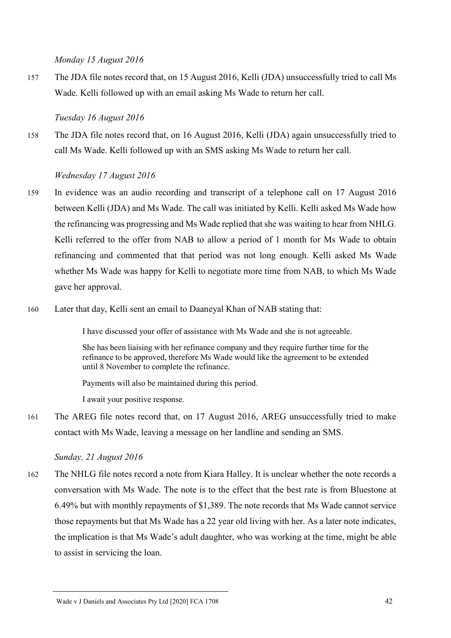*Monday 15 August 2016*

157 The JDA file notes record that, on 15 August 2016, Kelli (JDA) unsuccessfully tried to call Ms Wade. Kelli followed up with an email asking Ms Wade to return her call.

### *Tuesday 16 August 2016*

158 The JDA file notes record that, on 16 August 2016, Kelli (JDA) again unsuccessfully tried to call Ms Wade. Kelli followed up with an SMS asking Ms Wade to return her call.

### *Wednesday 17 August 2016*

- 159 In evidence was an audio recording and transcript of a telephone call on 17 August 2016 between Kelli (JDA) and Ms Wade. The call was initiated by Kelli. Kelli asked Ms Wade how the refinancing was progressing and Ms Wade replied that she was waiting to hear from NHLG. Kelli referred to the offer from NAB to allow a period of 1 month for Ms Wade to obtain refinancing and commented that that period was not long enough. Kelli asked Ms Wade whether Ms Wade was happy for Kelli to negotiate more time from NAB, to which Ms Wade gave her approval.
- 160 Later that day, Kelli sent an email to Daaneyal Khan of NAB stating that:

I have discussed your offer of assistance with Ms Wade and she is not agreeable.

She has been liaising with her refinance company and they require further time for the refinance to be approved, therefore Ms Wade would like the agreement to be extended until 8 November to complete the refinance.

Payments will also be maintained during this period.

I await your positive response.

161 The AREG file notes record that, on 17 August 2016, AREG unsuccessfully tried to make contact with Ms Wade, leaving a message on her landline and sending an SMS.

*Sunday, 21 August 2016*

162 The NHLG file notes record a note from Kiara Halley. It is unclear whether the note records a conversation with Ms Wade. The note is to the effect that the best rate is from Bluestone at 6.49% but with monthly repayments of \$1,389. The note records that Ms Wade cannot service those repayments but that Ms Wade has a 22 year old living with her. As a later note indicates, the implication is that Ms Wade's adult daughter, who was working at the time, might be able to assist in servicing the loan.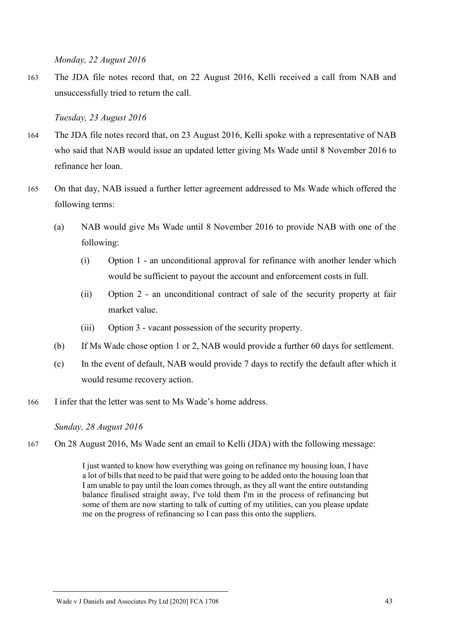*Monday, 22 August 2016*

163 The JDA file notes record that, on 22 August 2016, Kelli received a call from NAB and unsuccessfully tried to return the call.

# *Tuesday, 23 August 2016*

- 164 The JDA file notes record that, on 23 August 2016, Kelli spoke with a representative of NAB who said that NAB would issue an updated letter giving Ms Wade until 8 November 2016 to refinance her loan.
- 165 On that day, NAB issued a further letter agreement addressed to Ms Wade which offered the following terms:
	- (a) NAB would give Ms Wade until 8 November 2016 to provide NAB with one of the following:
		- (i) Option 1 an unconditional approval for refinance with another lender which would be sufficient to payout the account and enforcement costs in full.
		- (ii) Option 2 an unconditional contract of sale of the security property at fair market value.
		- (iii) Option 3 vacant possession of the security property.
	- (b) If Ms Wade chose option 1 or 2, NAB would provide a further 60 days for settlement.
	- (c) In the event of default, NAB would provide 7 days to rectify the default after which it would resume recovery action.
- 166 I infer that the letter was sent to Ms Wade's home address.

*Sunday, 28 August 2016*

167 On 28 August 2016, Ms Wade sent an email to Kelli (JDA) with the following message:

I just wanted to know how everything was going on refinance my housing loan, I have a lot of bills that need to be paid that were going to be added onto the housing loan that I am unable to pay until the loan comes through, as they all want the entire outstanding balance finalised straight away, I've told them I'm in the process of refinancing but some of them are now starting to talk of cutting of my utilities, can you please update me on the progress of refinancing so I can pass this onto the suppliers.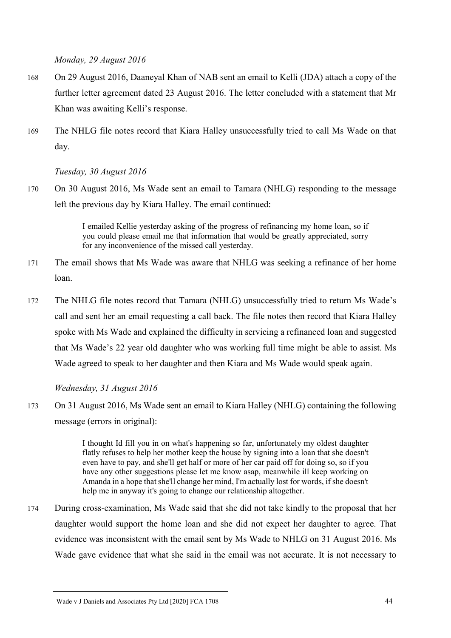*Monday, 29 August 2016*

- 168 On 29 August 2016, Daaneyal Khan of NAB sent an email to Kelli (JDA) attach a copy of the further letter agreement dated 23 August 2016. The letter concluded with a statement that Mr Khan was awaiting Kelli's response.
- 169 The NHLG file notes record that Kiara Halley unsuccessfully tried to call Ms Wade on that day.

*Tuesday, 30 August 2016*

170 On 30 August 2016, Ms Wade sent an email to Tamara (NHLG) responding to the message left the previous day by Kiara Halley. The email continued:

> I emailed Kellie yesterday asking of the progress of refinancing my home loan, so if you could please email me that information that would be greatly appreciated, sorry for any inconvenience of the missed call yesterday.

- 171 The email shows that Ms Wade was aware that NHLG was seeking a refinance of her home loan.
- 172 The NHLG file notes record that Tamara (NHLG) unsuccessfully tried to return Ms Wade's call and sent her an email requesting a call back. The file notes then record that Kiara Halley spoke with Ms Wade and explained the difficulty in servicing a refinanced loan and suggested that Ms Wade's 22 year old daughter who was working full time might be able to assist. Ms Wade agreed to speak to her daughter and then Kiara and Ms Wade would speak again.

*Wednesday, 31 August 2016*

173 On 31 August 2016, Ms Wade sent an email to Kiara Halley (NHLG) containing the following message (errors in original):

> I thought Id fill you in on what's happening so far, unfortunately my oldest daughter flatly refuses to help her mother keep the house by signing into a loan that she doesn't even have to pay, and she'll get half or more of her car paid off for doing so, so if you have any other suggestions please let me know asap, meanwhile ill keep working on Amanda in a hope that she'll change her mind, I'm actually lost for words, if she doesn't help me in anyway it's going to change our relationship altogether.

174 During cross-examination, Ms Wade said that she did not take kindly to the proposal that her daughter would support the home loan and she did not expect her daughter to agree. That evidence was inconsistent with the email sent by Ms Wade to NHLG on 31 August 2016. Ms Wade gave evidence that what she said in the email was not accurate. It is not necessary to

Wade v J Daniels and Associates Pty Ltd [2020] FCA 1708 44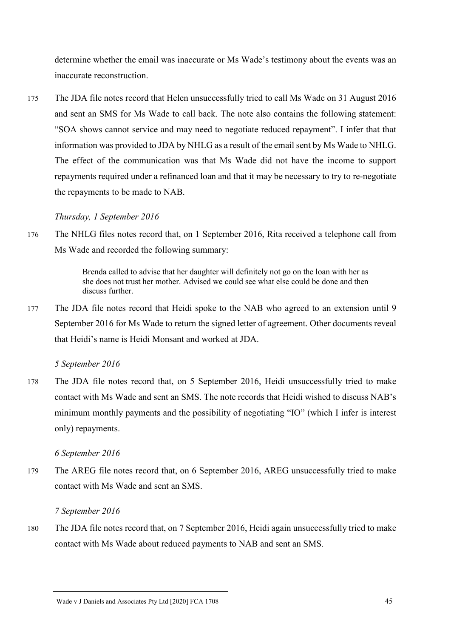determine whether the email was inaccurate or Ms Wade's testimony about the events was an inaccurate reconstruction.

175 The JDA file notes record that Helen unsuccessfully tried to call Ms Wade on 31 August 2016 and sent an SMS for Ms Wade to call back. The note also contains the following statement: "SOA shows cannot service and may need to negotiate reduced repayment". I infer that that information was provided to JDA by NHLG as a result of the email sent by Ms Wade to NHLG. The effect of the communication was that Ms Wade did not have the income to support repayments required under a refinanced loan and that it may be necessary to try to re-negotiate the repayments to be made to NAB.

# *Thursday, 1 September 2016*

176 The NHLG files notes record that, on 1 September 2016, Rita received a telephone call from Ms Wade and recorded the following summary:

> Brenda called to advise that her daughter will definitely not go on the loan with her as she does not trust her mother. Advised we could see what else could be done and then discuss further.

177 The JDA file notes record that Heidi spoke to the NAB who agreed to an extension until 9 September 2016 for Ms Wade to return the signed letter of agreement. Other documents reveal that Heidi's name is Heidi Monsant and worked at JDA.

# *5 September 2016*

178 The JDA file notes record that, on 5 September 2016, Heidi unsuccessfully tried to make contact with Ms Wade and sent an SMS. The note records that Heidi wished to discuss NAB's minimum monthly payments and the possibility of negotiating "IO" (which I infer is interest only) repayments.

# *6 September 2016*

179 The AREG file notes record that, on 6 September 2016, AREG unsuccessfully tried to make contact with Ms Wade and sent an SMS.

# *7 September 2016*

180 The JDA file notes record that, on 7 September 2016, Heidi again unsuccessfully tried to make contact with Ms Wade about reduced payments to NAB and sent an SMS.

Wade v J Daniels and Associates Pty Ltd [2020] FCA 1708 45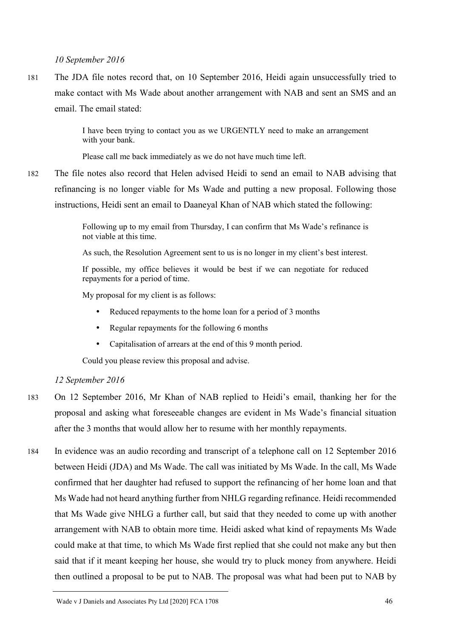*10 September 2016*

181 The JDA file notes record that, on 10 September 2016, Heidi again unsuccessfully tried to make contact with Ms Wade about another arrangement with NAB and sent an SMS and an email. The email stated:

> I have been trying to contact you as we URGENTLY need to make an arrangement with your bank.

Please call me back immediately as we do not have much time left.

182 The file notes also record that Helen advised Heidi to send an email to NAB advising that refinancing is no longer viable for Ms Wade and putting a new proposal. Following those instructions, Heidi sent an email to Daaneyal Khan of NAB which stated the following:

> Following up to my email from Thursday, I can confirm that Ms Wade's refinance is not viable at this time.

> As such, the Resolution Agreement sent to us is no longer in my client's best interest.

If possible, my office believes it would be best if we can negotiate for reduced repayments for a period of time.

My proposal for my client is as follows:

- Reduced repayments to the home loan for a period of 3 months
- Regular repayments for the following 6 months
- Capitalisation of arrears at the end of this 9 month period.

Could you please review this proposal and advise.

# *12 September 2016*

- 183 On 12 September 2016, Mr Khan of NAB replied to Heidi's email, thanking her for the proposal and asking what foreseeable changes are evident in Ms Wade's financial situation after the 3 months that would allow her to resume with her monthly repayments.
- 184 In evidence was an audio recording and transcript of a telephone call on 12 September 2016 between Heidi (JDA) and Ms Wade. The call was initiated by Ms Wade. In the call, Ms Wade confirmed that her daughter had refused to support the refinancing of her home loan and that Ms Wade had not heard anything further from NHLG regarding refinance. Heidi recommended that Ms Wade give NHLG a further call, but said that they needed to come up with another arrangement with NAB to obtain more time. Heidi asked what kind of repayments Ms Wade could make at that time, to which Ms Wade first replied that she could not make any but then said that if it meant keeping her house, she would try to pluck money from anywhere. Heidi then outlined a proposal to be put to NAB. The proposal was what had been put to NAB by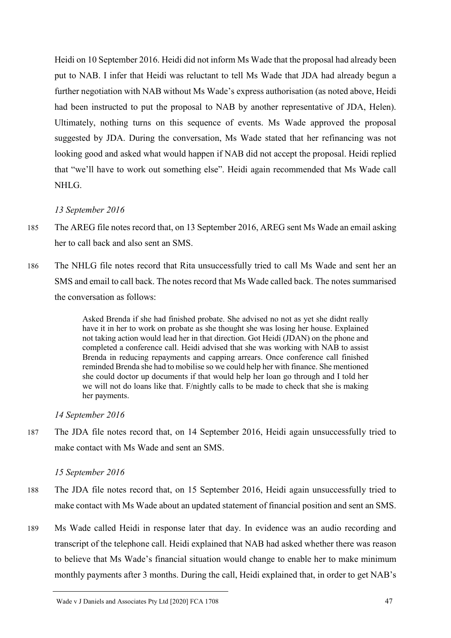Heidi on 10 September 2016. Heidi did not inform Ms Wade that the proposal had already been put to NAB. I infer that Heidi was reluctant to tell Ms Wade that JDA had already begun a further negotiation with NAB without Ms Wade's express authorisation (as noted above, Heidi had been instructed to put the proposal to NAB by another representative of JDA, Helen). Ultimately, nothing turns on this sequence of events. Ms Wade approved the proposal suggested by JDA. During the conversation, Ms Wade stated that her refinancing was not looking good and asked what would happen if NAB did not accept the proposal. Heidi replied that "we'll have to work out something else". Heidi again recommended that Ms Wade call NHLG.

# *13 September 2016*

- 185 The AREG file notes record that, on 13 September 2016, AREG sent Ms Wade an email asking her to call back and also sent an SMS.
- 186 The NHLG file notes record that Rita unsuccessfully tried to call Ms Wade and sent her an SMS and email to call back. The notes record that Ms Wade called back. The notes summarised the conversation as follows:

Asked Brenda if she had finished probate. She advised no not as yet she didnt really have it in her to work on probate as she thought she was losing her house. Explained not taking action would lead her in that direction. Got Heidi (JDAN) on the phone and completed a conference call. Heidi advised that she was working with NAB to assist Brenda in reducing repayments and capping arrears. Once conference call finished reminded Brenda she had to mobilise so we could help her with finance. She mentioned she could doctor up documents if that would help her loan go through and I told her we will not do loans like that. F/nightly calls to be made to check that she is making her payments.

# *14 September 2016*

187 The JDA file notes record that, on 14 September 2016, Heidi again unsuccessfully tried to make contact with Ms Wade and sent an SMS.

# *15 September 2016*

- 188 The JDA file notes record that, on 15 September 2016, Heidi again unsuccessfully tried to make contact with Ms Wade about an updated statement of financial position and sent an SMS.
- 189 Ms Wade called Heidi in response later that day. In evidence was an audio recording and transcript of the telephone call. Heidi explained that NAB had asked whether there was reason to believe that Ms Wade's financial situation would change to enable her to make minimum monthly payments after 3 months. During the call, Heidi explained that, in order to get NAB's

Wade v J Daniels and Associates Pty Ltd [2020] FCA 1708 47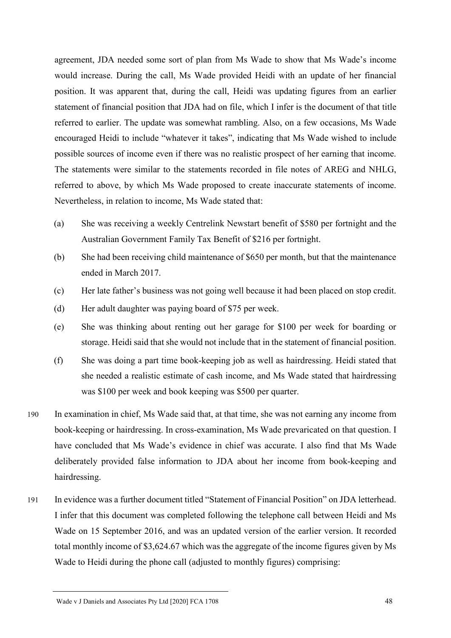agreement, JDA needed some sort of plan from Ms Wade to show that Ms Wade's income would increase. During the call, Ms Wade provided Heidi with an update of her financial position. It was apparent that, during the call, Heidi was updating figures from an earlier statement of financial position that JDA had on file, which I infer is the document of that title referred to earlier. The update was somewhat rambling. Also, on a few occasions, Ms Wade encouraged Heidi to include "whatever it takes", indicating that Ms Wade wished to include possible sources of income even if there was no realistic prospect of her earning that income. The statements were similar to the statements recorded in file notes of AREG and NHLG, referred to above, by which Ms Wade proposed to create inaccurate statements of income. Nevertheless, in relation to income, Ms Wade stated that:

- (a) She was receiving a weekly Centrelink Newstart benefit of \$580 per fortnight and the Australian Government Family Tax Benefit of \$216 per fortnight.
- (b) She had been receiving child maintenance of \$650 per month, but that the maintenance ended in March 2017.
- (c) Her late father's business was not going well because it had been placed on stop credit.
- (d) Her adult daughter was paying board of \$75 per week.
- (e) She was thinking about renting out her garage for \$100 per week for boarding or storage. Heidi said that she would not include that in the statement of financial position.
- (f) She was doing a part time book-keeping job as well as hairdressing. Heidi stated that she needed a realistic estimate of cash income, and Ms Wade stated that hairdressing was \$100 per week and book keeping was \$500 per quarter.
- 190 In examination in chief, Ms Wade said that, at that time, she was not earning any income from book-keeping or hairdressing. In cross-examination, Ms Wade prevaricated on that question. I have concluded that Ms Wade's evidence in chief was accurate. I also find that Ms Wade deliberately provided false information to JDA about her income from book-keeping and hairdressing.
- 191 In evidence was a further document titled "Statement of Financial Position" on JDA letterhead. I infer that this document was completed following the telephone call between Heidi and Ms Wade on 15 September 2016, and was an updated version of the earlier version. It recorded total monthly income of \$3,624.67 which was the aggregate of the income figures given by Ms Wade to Heidi during the phone call (adjusted to monthly figures) comprising:

Wade v J Daniels and Associates Pty Ltd [2020] FCA 1708 48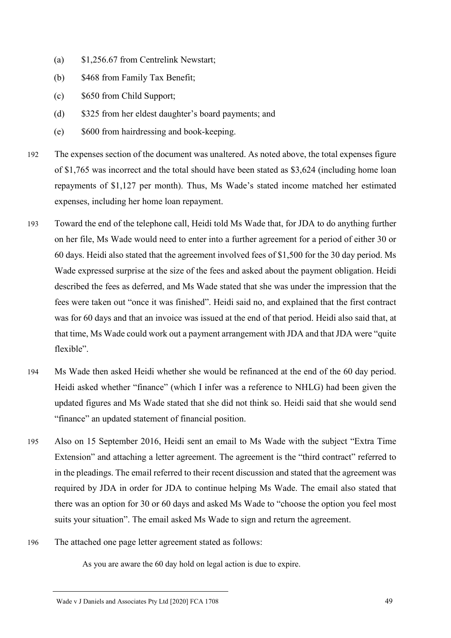- (a) \$1,256.67 from Centrelink Newstart;
- (b) \$468 from Family Tax Benefit;
- (c) \$650 from Child Support;
- (d) \$325 from her eldest daughter's board payments; and
- (e) \$600 from hairdressing and book-keeping.
- 192 The expenses section of the document was unaltered. As noted above, the total expenses figure of \$1,765 was incorrect and the total should have been stated as \$3,624 (including home loan repayments of \$1,127 per month). Thus, Ms Wade's stated income matched her estimated expenses, including her home loan repayment.
- 193 Toward the end of the telephone call, Heidi told Ms Wade that, for JDA to do anything further on her file, Ms Wade would need to enter into a further agreement for a period of either 30 or 60 days. Heidi also stated that the agreement involved fees of \$1,500 for the 30 day period. Ms Wade expressed surprise at the size of the fees and asked about the payment obligation. Heidi described the fees as deferred, and Ms Wade stated that she was under the impression that the fees were taken out "once it was finished". Heidi said no, and explained that the first contract was for 60 days and that an invoice was issued at the end of that period. Heidi also said that, at that time, Ms Wade could work out a payment arrangement with JDA and that JDA were "quite flexible".
- 194 Ms Wade then asked Heidi whether she would be refinanced at the end of the 60 day period. Heidi asked whether "finance" (which I infer was a reference to NHLG) had been given the updated figures and Ms Wade stated that she did not think so. Heidi said that she would send "finance" an updated statement of financial position.
- 195 Also on 15 September 2016, Heidi sent an email to Ms Wade with the subject "Extra Time Extension" and attaching a letter agreement. The agreement is the "third contract" referred to in the pleadings. The email referred to their recent discussion and stated that the agreement was required by JDA in order for JDA to continue helping Ms Wade. The email also stated that there was an option for 30 or 60 days and asked Ms Wade to "choose the option you feel most suits your situation". The email asked Ms Wade to sign and return the agreement.
- 196 The attached one page letter agreement stated as follows:

As you are aware the 60 day hold on legal action is due to expire.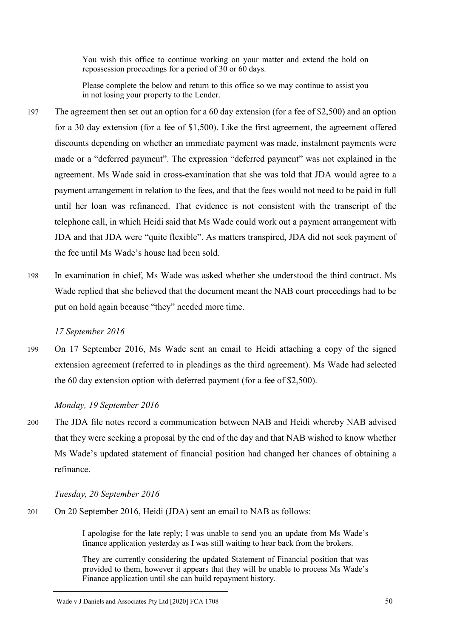You wish this office to continue working on your matter and extend the hold on repossession proceedings for a period of 30 or 60 days.

Please complete the below and return to this office so we may continue to assist you in not losing your property to the Lender.

- 197 The agreement then set out an option for a 60 day extension (for a fee of \$2,500) and an option for a 30 day extension (for a fee of \$1,500). Like the first agreement, the agreement offered discounts depending on whether an immediate payment was made, instalment payments were made or a "deferred payment". The expression "deferred payment" was not explained in the agreement. Ms Wade said in cross-examination that she was told that JDA would agree to a payment arrangement in relation to the fees, and that the fees would not need to be paid in full until her loan was refinanced. That evidence is not consistent with the transcript of the telephone call, in which Heidi said that Ms Wade could work out a payment arrangement with JDA and that JDA were "quite flexible". As matters transpired, JDA did not seek payment of the fee until Ms Wade's house had been sold.
- 198 In examination in chief, Ms Wade was asked whether she understood the third contract. Ms Wade replied that she believed that the document meant the NAB court proceedings had to be put on hold again because "they" needed more time.

### *17 September 2016*

199 On 17 September 2016, Ms Wade sent an email to Heidi attaching a copy of the signed extension agreement (referred to in pleadings as the third agreement). Ms Wade had selected the 60 day extension option with deferred payment (for a fee of \$2,500).

### *Monday, 19 September 2016*

200 The JDA file notes record a communication between NAB and Heidi whereby NAB advised that they were seeking a proposal by the end of the day and that NAB wished to know whether Ms Wade's updated statement of financial position had changed her chances of obtaining a refinance.

#### *Tuesday, 20 September 2016*

201 On 20 September 2016, Heidi (JDA) sent an email to NAB as follows:

I apologise for the late reply; I was unable to send you an update from Ms Wade's finance application yesterday as I was still waiting to hear back from the brokers.

They are currently considering the updated Statement of Financial position that was provided to them, however it appears that they will be unable to process Ms Wade's Finance application until she can build repayment history.

Wade v J Daniels and Associates Pty Ltd [2020] FCA 1708 50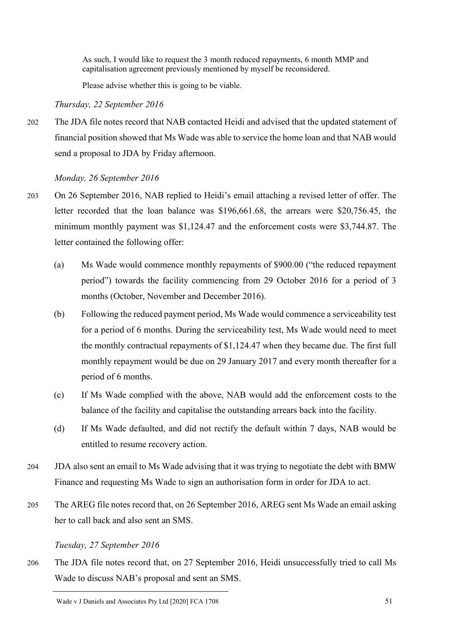As such, I would like to request the 3 month reduced repayments, 6 month MMP and capitalisation agreement previously mentioned by myself be reconsidered.

Please advise whether this is going to be viable.

*Thursday, 22 September 2016*

202 The JDA file notes record that NAB contacted Heidi and advised that the updated statement of financial position showed that Ms Wade was able to service the home loan and that NAB would send a proposal to JDA by Friday afternoon.

*Monday, 26 September 2016*

- 203 On 26 September 2016, NAB replied to Heidi's email attaching a revised letter of offer. The letter recorded that the loan balance was \$196,661.68, the arrears were \$20,756.45, the minimum monthly payment was \$1,124.47 and the enforcement costs were \$3,744.87. The letter contained the following offer:
	- (a) Ms Wade would commence monthly repayments of \$900.00 ("the reduced repayment period") towards the facility commencing from 29 October 2016 for a period of 3 months (October, November and December 2016).
	- (b) Following the reduced payment period, Ms Wade would commence a serviceability test for a period of 6 months. During the serviceability test, Ms Wade would need to meet the monthly contractual repayments of \$1,124.47 when they became due. The first full monthly repayment would be due on 29 January 2017 and every month thereafter for a period of 6 months.
	- (c) If Ms Wade complied with the above, NAB would add the enforcement costs to the balance of the facility and capitalise the outstanding arrears back into the facility.
	- (d) If Ms Wade defaulted, and did not rectify the default within 7 days, NAB would be entitled to resume recovery action.
- 204 JDA also sent an email to Ms Wade advising that it was trying to negotiate the debt with BMW Finance and requesting Ms Wade to sign an authorisation form in order for JDA to act.
- 205 The AREG file notes record that, on 26 September 2016, AREG sent Ms Wade an email asking her to call back and also sent an SMS.

*Tuesday, 27 September 2016*

206 The JDA file notes record that, on 27 September 2016, Heidi unsuccessfully tried to call Ms Wade to discuss NAB's proposal and sent an SMS.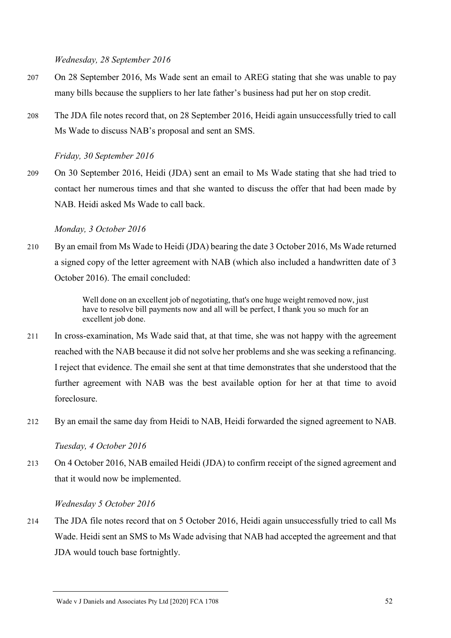*Wednesday, 28 September 2016*

- 207 On 28 September 2016, Ms Wade sent an email to AREG stating that she was unable to pay many bills because the suppliers to her late father's business had put her on stop credit.
- 208 The JDA file notes record that, on 28 September 2016, Heidi again unsuccessfully tried to call Ms Wade to discuss NAB's proposal and sent an SMS.

*Friday, 30 September 2016*

209 On 30 September 2016, Heidi (JDA) sent an email to Ms Wade stating that she had tried to contact her numerous times and that she wanted to discuss the offer that had been made by NAB. Heidi asked Ms Wade to call back.

### *Monday, 3 October 2016*

210 By an email from Ms Wade to Heidi (JDA) bearing the date 3 October 2016, Ms Wade returned a signed copy of the letter agreement with NAB (which also included a handwritten date of 3 October 2016). The email concluded:

> Well done on an excellent job of negotiating, that's one huge weight removed now, just have to resolve bill payments now and all will be perfect, I thank you so much for an excellent job done.

- 211 In cross-examination, Ms Wade said that, at that time, she was not happy with the agreement reached with the NAB because it did not solve her problems and she was seeking a refinancing. I reject that evidence. The email she sent at that time demonstrates that she understood that the further agreement with NAB was the best available option for her at that time to avoid foreclosure.
- 212 By an email the same day from Heidi to NAB, Heidi forwarded the signed agreement to NAB.

*Tuesday, 4 October 2016*

213 On 4 October 2016, NAB emailed Heidi (JDA) to confirm receipt of the signed agreement and that it would now be implemented.

*Wednesday 5 October 2016*

214 The JDA file notes record that on 5 October 2016, Heidi again unsuccessfully tried to call Ms Wade. Heidi sent an SMS to Ms Wade advising that NAB had accepted the agreement and that JDA would touch base fortnightly.

Wade v J Daniels and Associates Pty Ltd [2020] FCA 1708 52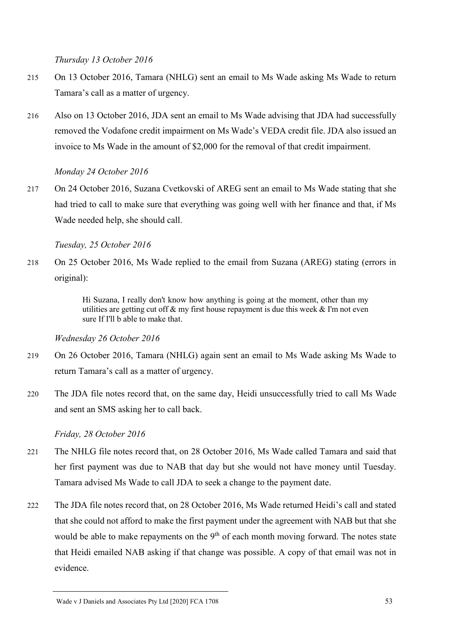*Thursday 13 October 2016*

- 215 On 13 October 2016, Tamara (NHLG) sent an email to Ms Wade asking Ms Wade to return Tamara's call as a matter of urgency.
- 216 Also on 13 October 2016, JDA sent an email to Ms Wade advising that JDA had successfully removed the Vodafone credit impairment on Ms Wade's VEDA credit file. JDA also issued an invoice to Ms Wade in the amount of \$2,000 for the removal of that credit impairment.

# *Monday 24 October 2016*

217 On 24 October 2016, Suzana Cvetkovski of AREG sent an email to Ms Wade stating that she had tried to call to make sure that everything was going well with her finance and that, if Ms Wade needed help, she should call.

*Tuesday, 25 October 2016*

218 On 25 October 2016, Ms Wade replied to the email from Suzana (AREG) stating (errors in original):

> Hi Suzana, I really don't know how anything is going at the moment, other than my utilities are getting cut off  $\&$  my first house repayment is due this week  $\&$  I'm not even sure If I'll b able to make that.

*Wednesday 26 October 2016*

- 219 On 26 October 2016, Tamara (NHLG) again sent an email to Ms Wade asking Ms Wade to return Tamara's call as a matter of urgency.
- 220 The JDA file notes record that, on the same day, Heidi unsuccessfully tried to call Ms Wade and sent an SMS asking her to call back.

*Friday, 28 October 2016*

- 221 The NHLG file notes record that, on 28 October 2016, Ms Wade called Tamara and said that her first payment was due to NAB that day but she would not have money until Tuesday. Tamara advised Ms Wade to call JDA to seek a change to the payment date.
- 222 The JDA file notes record that, on 28 October 2016, Ms Wade returned Heidi's call and stated that she could not afford to make the first payment under the agreement with NAB but that she would be able to make repayments on the  $9<sup>th</sup>$  of each month moving forward. The notes state that Heidi emailed NAB asking if that change was possible. A copy of that email was not in evidence.

Wade v J Daniels and Associates Pty Ltd [2020] FCA 1708 53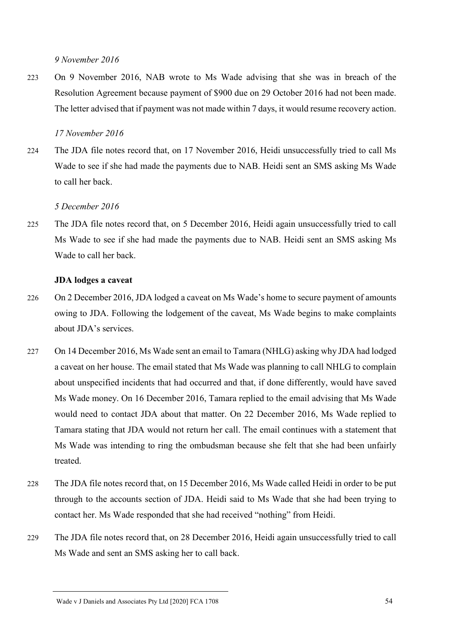*9 November 2016*

223 On 9 November 2016, NAB wrote to Ms Wade advising that she was in breach of the Resolution Agreement because payment of \$900 due on 29 October 2016 had not been made. The letter advised that if payment was not made within 7 days, it would resume recovery action.

### *17 November 2016*

224 The JDA file notes record that, on 17 November 2016, Heidi unsuccessfully tried to call Ms Wade to see if she had made the payments due to NAB. Heidi sent an SMS asking Ms Wade to call her back.

### *5 December 2016*

225 The JDA file notes record that, on 5 December 2016, Heidi again unsuccessfully tried to call Ms Wade to see if she had made the payments due to NAB. Heidi sent an SMS asking Ms Wade to call her back.

### **JDA lodges a caveat**

- 226 On 2 December 2016, JDA lodged a caveat on Ms Wade's home to secure payment of amounts owing to JDA. Following the lodgement of the caveat, Ms Wade begins to make complaints about JDA's services.
- 227 On 14 December 2016, Ms Wade sent an email to Tamara (NHLG) asking why JDA had lodged a caveat on her house. The email stated that Ms Wade was planning to call NHLG to complain about unspecified incidents that had occurred and that, if done differently, would have saved Ms Wade money. On 16 December 2016, Tamara replied to the email advising that Ms Wade would need to contact JDA about that matter. On 22 December 2016, Ms Wade replied to Tamara stating that JDA would not return her call. The email continues with a statement that Ms Wade was intending to ring the ombudsman because she felt that she had been unfairly treated.
- 228 The JDA file notes record that, on 15 December 2016, Ms Wade called Heidi in order to be put through to the accounts section of JDA. Heidi said to Ms Wade that she had been trying to contact her. Ms Wade responded that she had received "nothing" from Heidi.
- 229 The JDA file notes record that, on 28 December 2016, Heidi again unsuccessfully tried to call Ms Wade and sent an SMS asking her to call back.

Wade v J Daniels and Associates Pty Ltd [2020] FCA 1708 54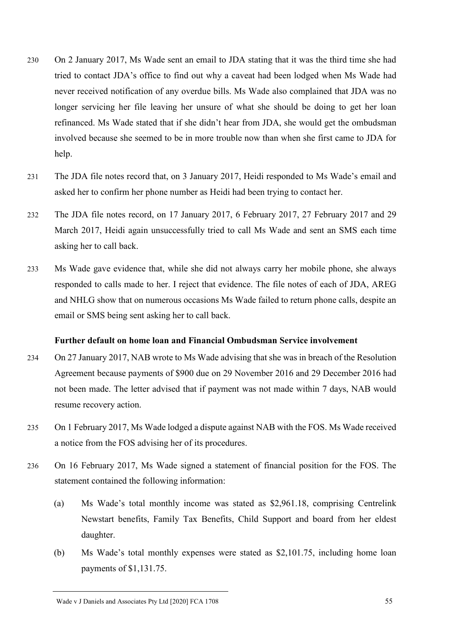- 230 On 2 January 2017, Ms Wade sent an email to JDA stating that it was the third time she had tried to contact JDA's office to find out why a caveat had been lodged when Ms Wade had never received notification of any overdue bills. Ms Wade also complained that JDA was no longer servicing her file leaving her unsure of what she should be doing to get her loan refinanced. Ms Wade stated that if she didn't hear from JDA, she would get the ombudsman involved because she seemed to be in more trouble now than when she first came to JDA for help.
- 231 The JDA file notes record that, on 3 January 2017, Heidi responded to Ms Wade's email and asked her to confirm her phone number as Heidi had been trying to contact her.
- 232 The JDA file notes record, on 17 January 2017, 6 February 2017, 27 February 2017 and 29 March 2017, Heidi again unsuccessfully tried to call Ms Wade and sent an SMS each time asking her to call back.
- 233 Ms Wade gave evidence that, while she did not always carry her mobile phone, she always responded to calls made to her. I reject that evidence. The file notes of each of JDA, AREG and NHLG show that on numerous occasions Ms Wade failed to return phone calls, despite an email or SMS being sent asking her to call back.

### **Further default on home loan and Financial Ombudsman Service involvement**

- 234 On 27 January 2017, NAB wrote to Ms Wade advising that she was in breach of the Resolution Agreement because payments of \$900 due on 29 November 2016 and 29 December 2016 had not been made. The letter advised that if payment was not made within 7 days, NAB would resume recovery action.
- 235 On 1 February 2017, Ms Wade lodged a dispute against NAB with the FOS. Ms Wade received a notice from the FOS advising her of its procedures.
- 236 On 16 February 2017, Ms Wade signed a statement of financial position for the FOS. The statement contained the following information:
	- (a) Ms Wade's total monthly income was stated as \$2,961.18, comprising Centrelink Newstart benefits, Family Tax Benefits, Child Support and board from her eldest daughter.
	- (b) Ms Wade's total monthly expenses were stated as \$2,101.75, including home loan payments of \$1,131.75.

Wade v J Daniels and Associates Pty Ltd [2020] FCA 1708 55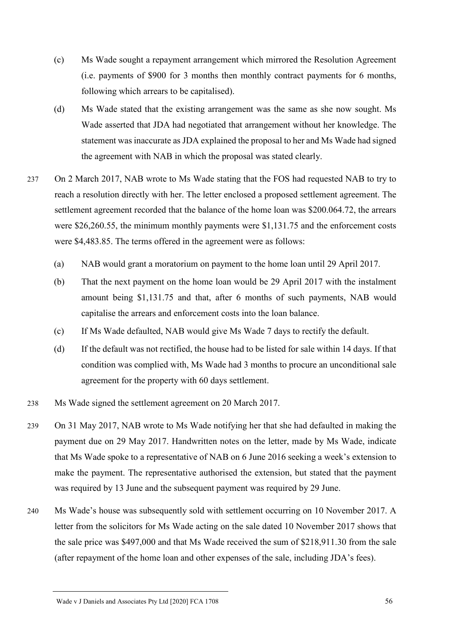- (c) Ms Wade sought a repayment arrangement which mirrored the Resolution Agreement (i.e. payments of \$900 for 3 months then monthly contract payments for 6 months, following which arrears to be capitalised).
- (d) Ms Wade stated that the existing arrangement was the same as she now sought. Ms Wade asserted that JDA had negotiated that arrangement without her knowledge. The statement was inaccurate as JDA explained the proposal to her and Ms Wade had signed the agreement with NAB in which the proposal was stated clearly.
- 237 On 2 March 2017, NAB wrote to Ms Wade stating that the FOS had requested NAB to try to reach a resolution directly with her. The letter enclosed a proposed settlement agreement. The settlement agreement recorded that the balance of the home loan was \$200.064.72, the arrears were \$26,260.55, the minimum monthly payments were \$1,131.75 and the enforcement costs were \$4,483.85. The terms offered in the agreement were as follows:
	- (a) NAB would grant a moratorium on payment to the home loan until 29 April 2017.
	- (b) That the next payment on the home loan would be 29 April 2017 with the instalment amount being \$1,131.75 and that, after 6 months of such payments, NAB would capitalise the arrears and enforcement costs into the loan balance.
	- (c) If Ms Wade defaulted, NAB would give Ms Wade 7 days to rectify the default.
	- (d) If the default was not rectified, the house had to be listed for sale within 14 days. If that condition was complied with, Ms Wade had 3 months to procure an unconditional sale agreement for the property with 60 days settlement.
- 238 Ms Wade signed the settlement agreement on 20 March 2017.
- 239 On 31 May 2017, NAB wrote to Ms Wade notifying her that she had defaulted in making the payment due on 29 May 2017. Handwritten notes on the letter, made by Ms Wade, indicate that Ms Wade spoke to a representative of NAB on 6 June 2016 seeking a week's extension to make the payment. The representative authorised the extension, but stated that the payment was required by 13 June and the subsequent payment was required by 29 June.
- 240 Ms Wade's house was subsequently sold with settlement occurring on 10 November 2017. A letter from the solicitors for Ms Wade acting on the sale dated 10 November 2017 shows that the sale price was \$497,000 and that Ms Wade received the sum of \$218,911.30 from the sale (after repayment of the home loan and other expenses of the sale, including JDA's fees).

Wade v J Daniels and Associates Pty Ltd [2020] FCA 1708 56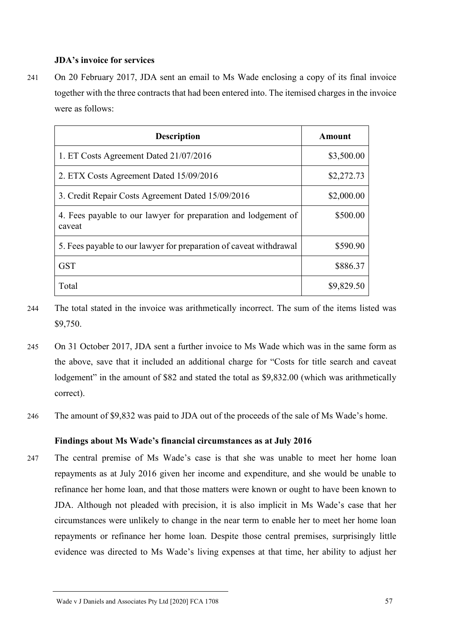### **JDA's invoice for services**

241 On 20 February 2017, JDA sent an email to Ms Wade enclosing a copy of its final invoice together with the three contracts that had been entered into. The itemised charges in the invoice were as follows:

| <b>Description</b>                                                       | <b>Amount</b> |
|--------------------------------------------------------------------------|---------------|
| 1. ET Costs Agreement Dated 21/07/2016                                   | \$3,500.00    |
| 2. ETX Costs Agreement Dated 15/09/2016                                  | \$2,272.73    |
| 3. Credit Repair Costs Agreement Dated 15/09/2016                        | \$2,000.00    |
| 4. Fees payable to our lawyer for preparation and lodgement of<br>caveat | \$500.00      |
| 5. Fees payable to our lawyer for preparation of caveat withdrawal       | \$590.90      |
| GST                                                                      | \$886.37      |
| Total                                                                    | \$9,829.50    |

- 244 The total stated in the invoice was arithmetically incorrect. The sum of the items listed was \$9,750.
- 245 On 31 October 2017, JDA sent a further invoice to Ms Wade which was in the same form as the above, save that it included an additional charge for "Costs for title search and caveat lodgement" in the amount of \$82 and stated the total as \$9,832.00 (which was arithmetically correct).
- 246 The amount of \$9,832 was paid to JDA out of the proceeds of the sale of Ms Wade's home.

### **Findings about Ms Wade's financial circumstances as at July 2016**

247 The central premise of Ms Wade's case is that she was unable to meet her home loan repayments as at July 2016 given her income and expenditure, and she would be unable to refinance her home loan, and that those matters were known or ought to have been known to JDA. Although not pleaded with precision, it is also implicit in Ms Wade's case that her circumstances were unlikely to change in the near term to enable her to meet her home loan repayments or refinance her home loan. Despite those central premises, surprisingly little evidence was directed to Ms Wade's living expenses at that time, her ability to adjust her

Wade v J Daniels and Associates Pty Ltd [2020] FCA 1708 57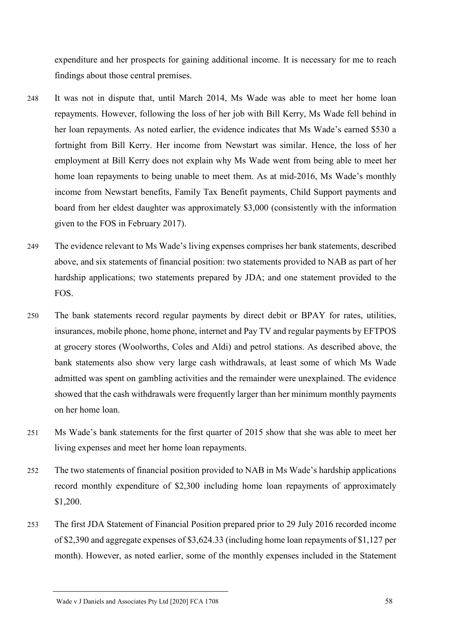expenditure and her prospects for gaining additional income. It is necessary for me to reach findings about those central premises.

- 248 It was not in dispute that, until March 2014, Ms Wade was able to meet her home loan repayments. However, following the loss of her job with Bill Kerry, Ms Wade fell behind in her loan repayments. As noted earlier, the evidence indicates that Ms Wade's earned \$530 a fortnight from Bill Kerry. Her income from Newstart was similar. Hence, the loss of her employment at Bill Kerry does not explain why Ms Wade went from being able to meet her home loan repayments to being unable to meet them. As at mid-2016, Ms Wade's monthly income from Newstart benefits, Family Tax Benefit payments, Child Support payments and board from her eldest daughter was approximately \$3,000 (consistently with the information given to the FOS in February 2017).
- 249 The evidence relevant to Ms Wade's living expenses comprises her bank statements, described above, and six statements of financial position: two statements provided to NAB as part of her hardship applications; two statements prepared by JDA; and one statement provided to the FOS.
- 250 The bank statements record regular payments by direct debit or BPAY for rates, utilities, insurances, mobile phone, home phone, internet and Pay TV and regular payments by EFTPOS at grocery stores (Woolworths, Coles and Aldi) and petrol stations. As described above, the bank statements also show very large cash withdrawals, at least some of which Ms Wade admitted was spent on gambling activities and the remainder were unexplained. The evidence showed that the cash withdrawals were frequently larger than her minimum monthly payments on her home loan.
- 251 Ms Wade's bank statements for the first quarter of 2015 show that she was able to meet her living expenses and meet her home loan repayments.
- 252 The two statements of financial position provided to NAB in Ms Wade's hardship applications record monthly expenditure of \$2,300 including home loan repayments of approximately \$1,200.
- 253 The first JDA Statement of Financial Position prepared prior to 29 July 2016 recorded income of \$2,390 and aggregate expenses of \$3,624.33 (including home loan repayments of \$1,127 per month). However, as noted earlier, some of the monthly expenses included in the Statement

Wade v J Daniels and Associates Pty Ltd [2020] FCA 1708 58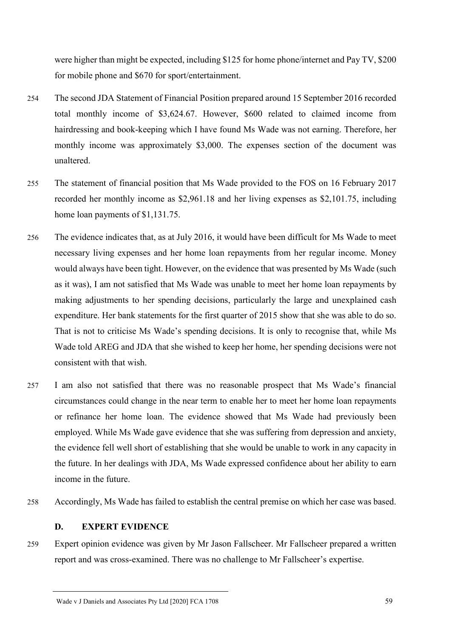were higher than might be expected, including \$125 for home phone/internet and Pay TV, \$200 for mobile phone and \$670 for sport/entertainment.

- 254 The second JDA Statement of Financial Position prepared around 15 September 2016 recorded total monthly income of \$3,624.67. However, \$600 related to claimed income from hairdressing and book-keeping which I have found Ms Wade was not earning. Therefore, her monthly income was approximately \$3,000. The expenses section of the document was unaltered.
- 255 The statement of financial position that Ms Wade provided to the FOS on 16 February 2017 recorded her monthly income as \$2,961.18 and her living expenses as \$2,101.75, including home loan payments of \$1,131.75.
- 256 The evidence indicates that, as at July 2016, it would have been difficult for Ms Wade to meet necessary living expenses and her home loan repayments from her regular income. Money would always have been tight. However, on the evidence that was presented by Ms Wade (such as it was), I am not satisfied that Ms Wade was unable to meet her home loan repayments by making adjustments to her spending decisions, particularly the large and unexplained cash expenditure. Her bank statements for the first quarter of 2015 show that she was able to do so. That is not to criticise Ms Wade's spending decisions. It is only to recognise that, while Ms Wade told AREG and JDA that she wished to keep her home, her spending decisions were not consistent with that wish.
- 257 I am also not satisfied that there was no reasonable prospect that Ms Wade's financial circumstances could change in the near term to enable her to meet her home loan repayments or refinance her home loan. The evidence showed that Ms Wade had previously been employed. While Ms Wade gave evidence that she was suffering from depression and anxiety, the evidence fell well short of establishing that she would be unable to work in any capacity in the future. In her dealings with JDA, Ms Wade expressed confidence about her ability to earn income in the future.
- 258 Accordingly, Ms Wade has failed to establish the central premise on which her case was based.

# **D. EXPERT EVIDENCE**

259 Expert opinion evidence was given by Mr Jason Fallscheer. Mr Fallscheer prepared a written report and was cross-examined. There was no challenge to Mr Fallscheer's expertise.

Wade v J Daniels and Associates Pty Ltd [2020] FCA 1708 59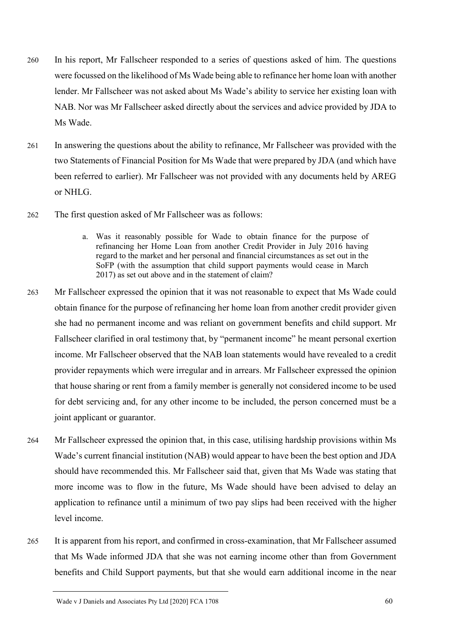- 260 In his report, Mr Fallscheer responded to a series of questions asked of him. The questions were focussed on the likelihood of Ms Wade being able to refinance her home loan with another lender. Mr Fallscheer was not asked about Ms Wade's ability to service her existing loan with NAB. Nor was Mr Fallscheer asked directly about the services and advice provided by JDA to Ms Wade.
- 261 In answering the questions about the ability to refinance, Mr Fallscheer was provided with the two Statements of Financial Position for Ms Wade that were prepared by JDA (and which have been referred to earlier). Mr Fallscheer was not provided with any documents held by AREG or NHLG.
- 262 The first question asked of Mr Fallscheer was as follows:
	- a. Was it reasonably possible for Wade to obtain finance for the purpose of refinancing her Home Loan from another Credit Provider in July 2016 having regard to the market and her personal and financial circumstances as set out in the SoFP (with the assumption that child support payments would cease in March 2017) as set out above and in the statement of claim?
- 263 Mr Fallscheer expressed the opinion that it was not reasonable to expect that Ms Wade could obtain finance for the purpose of refinancing her home loan from another credit provider given she had no permanent income and was reliant on government benefits and child support. Mr Fallscheer clarified in oral testimony that, by "permanent income" he meant personal exertion income. Mr Fallscheer observed that the NAB loan statements would have revealed to a credit provider repayments which were irregular and in arrears. Mr Fallscheer expressed the opinion that house sharing or rent from a family member is generally not considered income to be used for debt servicing and, for any other income to be included, the person concerned must be a joint applicant or guarantor.
- 264 Mr Fallscheer expressed the opinion that, in this case, utilising hardship provisions within Ms Wade's current financial institution (NAB) would appear to have been the best option and JDA should have recommended this. Mr Fallscheer said that, given that Ms Wade was stating that more income was to flow in the future, Ms Wade should have been advised to delay an application to refinance until a minimum of two pay slips had been received with the higher level income.
- 265 It is apparent from his report, and confirmed in cross-examination, that Mr Fallscheer assumed that Ms Wade informed JDA that she was not earning income other than from Government benefits and Child Support payments, but that she would earn additional income in the near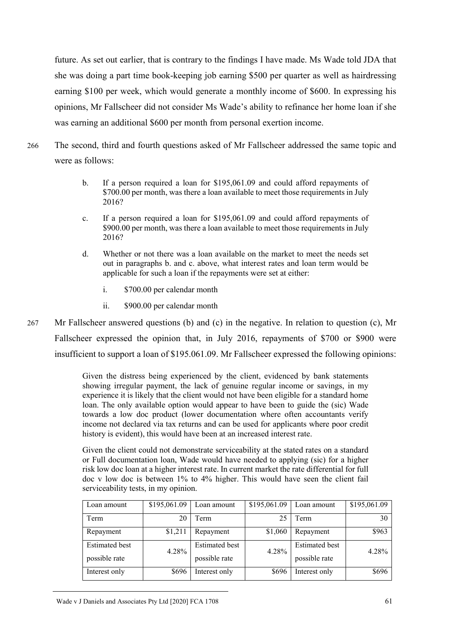future. As set out earlier, that is contrary to the findings I have made. Ms Wade told JDA that she was doing a part time book-keeping job earning \$500 per quarter as well as hairdressing earning \$100 per week, which would generate a monthly income of \$600. In expressing his opinions, Mr Fallscheer did not consider Ms Wade's ability to refinance her home loan if she was earning an additional \$600 per month from personal exertion income.

- 266 The second, third and fourth questions asked of Mr Fallscheer addressed the same topic and were as follows:
	- b. If a person required a loan for \$195,061.09 and could afford repayments of \$700.00 per month, was there a loan available to meet those requirements in July 2016?
	- c. If a person required a loan for \$195,061.09 and could afford repayments of \$900.00 per month, was there a loan available to meet those requirements in July 2016?
	- d. Whether or not there was a loan available on the market to meet the needs set out in paragraphs b. and c. above, what interest rates and loan term would be applicable for such a loan if the repayments were set at either:
		- i. \$700.00 per calendar month
		- ii. \$900.00 per calendar month
- 267 Mr Fallscheer answered questions (b) and (c) in the negative. In relation to question (c), Mr Fallscheer expressed the opinion that, in July 2016, repayments of \$700 or \$900 were insufficient to support a loan of \$195.061.09. Mr Fallscheer expressed the following opinions:

Given the distress being experienced by the client, evidenced by bank statements showing irregular payment, the lack of genuine regular income or savings, in my experience it is likely that the client would not have been eligible for a standard home loan. The only available option would appear to have been to guide the (sic) Wade towards a low doc product (lower documentation where often accountants verify income not declared via tax returns and can be used for applicants where poor credit history is evident), this would have been at an increased interest rate.

Given the client could not demonstrate serviceability at the stated rates on a standard or Full documentation loan, Wade would have needed to applying (sic) for a higher risk low doc loan at a higher interest rate. In current market the rate differential for full doc v low doc is between 1% to 4% higher. This would have seen the client fail serviceability tests, in my opinion.

| Loan amount           | \$195,061.09 | Loan amount           | \$195,061.09 | Loan amount           | \$195,061.09 |
|-----------------------|--------------|-----------------------|--------------|-----------------------|--------------|
| Term                  | 20           | Term                  | 25           | Term                  | 30           |
| Repayment             | \$1,211      | Repayment             | \$1,060      | Repayment             | \$963        |
| <b>Estimated</b> best | 4.28%        | <b>Estimated best</b> | 4.28%        | <b>Estimated</b> best | 4.28%        |
| possible rate         |              | possible rate         |              | possible rate         |              |
| Interest only         | \$696        | Interest only         | \$696        | Interest only         | \$696        |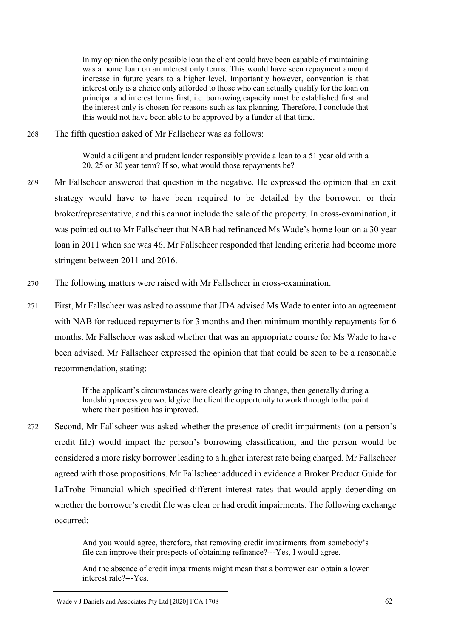In my opinion the only possible loan the client could have been capable of maintaining was a home loan on an interest only terms. This would have seen repayment amount increase in future years to a higher level. Importantly however, convention is that interest only is a choice only afforded to those who can actually qualify for the loan on principal and interest terms first, i.e. borrowing capacity must be established first and the interest only is chosen for reasons such as tax planning. Therefore, I conclude that this would not have been able to be approved by a funder at that time.

268 The fifth question asked of Mr Fallscheer was as follows:

Would a diligent and prudent lender responsibly provide a loan to a 51 year old with a 20, 25 or 30 year term? If so, what would those repayments be?

- 269 Mr Fallscheer answered that question in the negative. He expressed the opinion that an exit strategy would have to have been required to be detailed by the borrower, or their broker/representative, and this cannot include the sale of the property. In cross-examination, it was pointed out to Mr Fallscheer that NAB had refinanced Ms Wade's home loan on a 30 year loan in 2011 when she was 46. Mr Fallscheer responded that lending criteria had become more stringent between 2011 and 2016.
- 270 The following matters were raised with Mr Fallscheer in cross-examination.
- 271 First, Mr Fallscheer was asked to assume that JDA advised Ms Wade to enter into an agreement with NAB for reduced repayments for 3 months and then minimum monthly repayments for 6 months. Mr Fallscheer was asked whether that was an appropriate course for Ms Wade to have been advised. Mr Fallscheer expressed the opinion that that could be seen to be a reasonable recommendation, stating:

If the applicant's circumstances were clearly going to change, then generally during a hardship process you would give the client the opportunity to work through to the point where their position has improved.

272 Second, Mr Fallscheer was asked whether the presence of credit impairments (on a person's credit file) would impact the person's borrowing classification, and the person would be considered a more risky borrower leading to a higher interest rate being charged. Mr Fallscheer agreed with those propositions. Mr Fallscheer adduced in evidence a Broker Product Guide for LaTrobe Financial which specified different interest rates that would apply depending on whether the borrower's credit file was clear or had credit impairments. The following exchange occurred:

> And you would agree, therefore, that removing credit impairments from somebody's file can improve their prospects of obtaining refinance?---Yes, I would agree.

> And the absence of credit impairments might mean that a borrower can obtain a lower interest rate?---Yes.

Wade v J Daniels and Associates Pty Ltd [2020] FCA 1708 62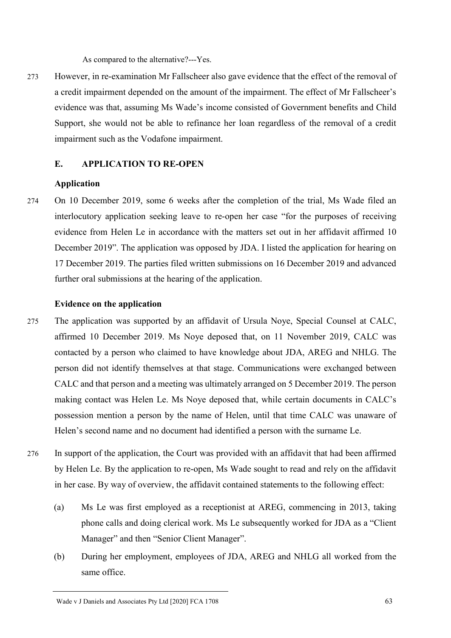As compared to the alternative?---Yes.

273 However, in re-examination Mr Fallscheer also gave evidence that the effect of the removal of a credit impairment depended on the amount of the impairment. The effect of Mr Fallscheer's evidence was that, assuming Ms Wade's income consisted of Government benefits and Child Support, she would not be able to refinance her loan regardless of the removal of a credit impairment such as the Vodafone impairment.

### **E. APPLICATION TO RE-OPEN**

### **Application**

274 On 10 December 2019, some 6 weeks after the completion of the trial, Ms Wade filed an interlocutory application seeking leave to re-open her case "for the purposes of receiving evidence from Helen Le in accordance with the matters set out in her affidavit affirmed 10 December 2019". The application was opposed by JDA. I listed the application for hearing on 17 December 2019. The parties filed written submissions on 16 December 2019 and advanced further oral submissions at the hearing of the application.

#### **Evidence on the application**

- 275 The application was supported by an affidavit of Ursula Noye, Special Counsel at CALC, affirmed 10 December 2019. Ms Noye deposed that, on 11 November 2019, CALC was contacted by a person who claimed to have knowledge about JDA, AREG and NHLG. The person did not identify themselves at that stage. Communications were exchanged between CALC and that person and a meeting was ultimately arranged on 5 December 2019. The person making contact was Helen Le. Ms Noye deposed that, while certain documents in CALC's possession mention a person by the name of Helen, until that time CALC was unaware of Helen's second name and no document had identified a person with the surname Le.
- 276 In support of the application, the Court was provided with an affidavit that had been affirmed by Helen Le. By the application to re-open, Ms Wade sought to read and rely on the affidavit in her case. By way of overview, the affidavit contained statements to the following effect:
	- (a) Ms Le was first employed as a receptionist at AREG, commencing in 2013, taking phone calls and doing clerical work. Ms Le subsequently worked for JDA as a "Client Manager" and then "Senior Client Manager".
	- (b) During her employment, employees of JDA, AREG and NHLG all worked from the same office.

Wade v J Daniels and Associates Pty Ltd [2020] FCA 1708 63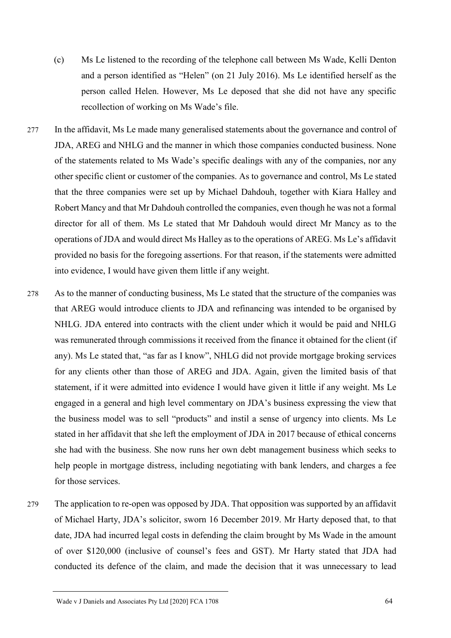- (c) Ms Le listened to the recording of the telephone call between Ms Wade, Kelli Denton and a person identified as "Helen" (on 21 July 2016). Ms Le identified herself as the person called Helen. However, Ms Le deposed that she did not have any specific recollection of working on Ms Wade's file.
- 277 In the affidavit, Ms Le made many generalised statements about the governance and control of JDA, AREG and NHLG and the manner in which those companies conducted business. None of the statements related to Ms Wade's specific dealings with any of the companies, nor any other specific client or customer of the companies. As to governance and control, Ms Le stated that the three companies were set up by Michael Dahdouh, together with Kiara Halley and Robert Mancy and that Mr Dahdouh controlled the companies, even though he was not a formal director for all of them. Ms Le stated that Mr Dahdouh would direct Mr Mancy as to the operations of JDA and would direct Ms Halley as to the operations of AREG. Ms Le's affidavit provided no basis for the foregoing assertions. For that reason, if the statements were admitted into evidence, I would have given them little if any weight.
- 278 As to the manner of conducting business, Ms Le stated that the structure of the companies was that AREG would introduce clients to JDA and refinancing was intended to be organised by NHLG. JDA entered into contracts with the client under which it would be paid and NHLG was remunerated through commissions it received from the finance it obtained for the client (if any). Ms Le stated that, "as far as I know", NHLG did not provide mortgage broking services for any clients other than those of AREG and JDA. Again, given the limited basis of that statement, if it were admitted into evidence I would have given it little if any weight. Ms Le engaged in a general and high level commentary on JDA's business expressing the view that the business model was to sell "products" and instil a sense of urgency into clients. Ms Le stated in her affidavit that she left the employment of JDA in 2017 because of ethical concerns she had with the business. She now runs her own debt management business which seeks to help people in mortgage distress, including negotiating with bank lenders, and charges a fee for those services.
- 279 The application to re-open was opposed by JDA. That opposition was supported by an affidavit of Michael Harty, JDA's solicitor, sworn 16 December 2019. Mr Harty deposed that, to that date, JDA had incurred legal costs in defending the claim brought by Ms Wade in the amount of over \$120,000 (inclusive of counsel's fees and GST). Mr Harty stated that JDA had conducted its defence of the claim, and made the decision that it was unnecessary to lead

Wade v J Daniels and Associates Pty Ltd [2020] FCA 1708 64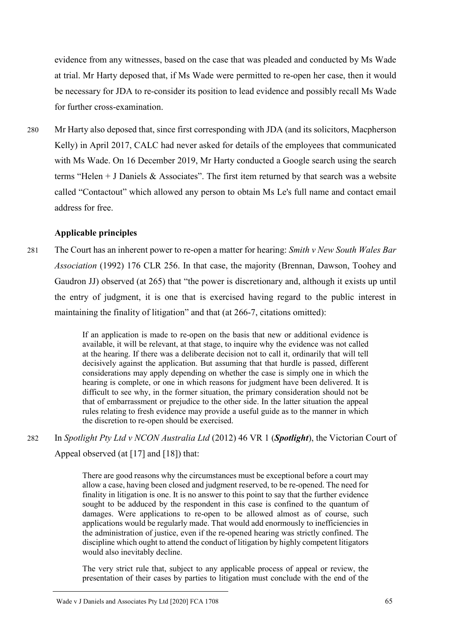evidence from any witnesses, based on the case that was pleaded and conducted by Ms Wade at trial. Mr Harty deposed that, if Ms Wade were permitted to re-open her case, then it would be necessary for JDA to re-consider its position to lead evidence and possibly recall Ms Wade for further cross-examination.

280 Mr Harty also deposed that, since first corresponding with JDA (and its solicitors, Macpherson Kelly) in April 2017, CALC had never asked for details of the employees that communicated with Ms Wade. On 16 December 2019, Mr Harty conducted a Google search using the search terms "Helen + J Daniels & Associates". The first item returned by that search was a website called "Contactout" which allowed any person to obtain Ms Le's full name and contact email address for free.

### **Applicable principles**

281 The Court has an inherent power to re-open a matter for hearing: *Smith v New South Wales Bar Association* (1992) 176 CLR 256. In that case, the majority (Brennan, Dawson, Toohey and Gaudron JJ) observed (at 265) that "the power is discretionary and, although it exists up until the entry of judgment, it is one that is exercised having regard to the public interest in maintaining the finality of litigation" and that (at 266-7, citations omitted):

> If an application is made to re-open on the basis that new or additional evidence is available, it will be relevant, at that stage, to inquire why the evidence was not called at the hearing. If there was a deliberate decision not to call it, ordinarily that will tell decisively against the application. But assuming that that hurdle is passed, different considerations may apply depending on whether the case is simply one in which the hearing is complete, or one in which reasons for judgment have been delivered. It is difficult to see why, in the former situation, the primary consideration should not be that of embarrassment or prejudice to the other side. In the latter situation the appeal rules relating to fresh evidence may provide a useful guide as to the manner in which the discretion to re-open should be exercised.

282 In *Spotlight Pty Ltd v NCON Australia Ltd* (2012) 46 VR 1 (*Spotlight*), the Victorian Court of Appeal observed (at [17] and [18]) that:

> There are good reasons why the circumstances must be exceptional before a court may allow a case, having been closed and judgment reserved, to be re-opened. The need for finality in litigation is one. It is no answer to this point to say that the further evidence sought to be adduced by the respondent in this case is confined to the quantum of damages. Were applications to re-open to be allowed almost as of course, such applications would be regularly made. That would add enormously to inefficiencies in the administration of justice, even if the re-opened hearing was strictly confined. The discipline which ought to attend the conduct of litigation by highly competent litigators would also inevitably decline.

> The very strict rule that, subject to any applicable process of appeal or review, the presentation of their cases by parties to litigation must conclude with the end of the

Wade v J Daniels and Associates Pty Ltd [2020] FCA 1708 65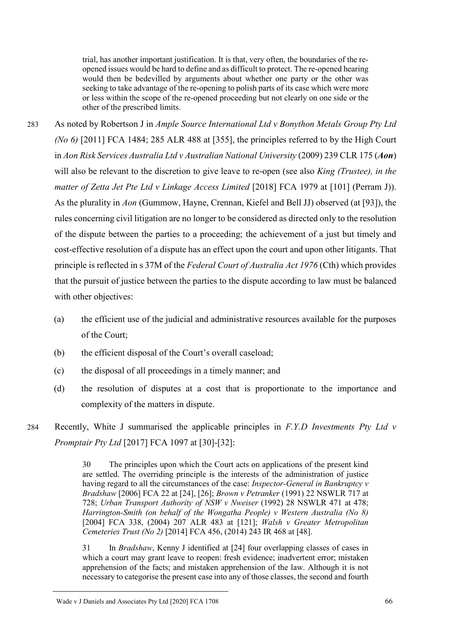trial, has another important justification. It is that, very often, the boundaries of the reopened issues would be hard to define and as difficult to protect. The re-opened hearing would then be bedevilled by arguments about whether one party or the other was seeking to take advantage of the re-opening to polish parts of its case which were more or less within the scope of the re-opened proceeding but not clearly on one side or the other of the prescribed limits.

283 As noted by Robertson J in *Ample Source International Ltd v Bonython Metals Group Pty Ltd (No 6)* [2011] FCA 1484; 285 ALR 488 at [355], the principles referred to by the High Court in *Aon Risk Services Australia Ltd v Australian National University* (2009) 239 CLR 175 (*Aon*) will also be relevant to the discretion to give leave to re-open (see also *King (Trustee), in the matter of Zetta Jet Pte Ltd v Linkage Access Limited* [2018] FCA 1979 at [101] (Perram J)). As the plurality in *Aon* (Gummow, Hayne, Crennan, Kiefel and Bell JJ) observed (at [93]), the rules concerning civil litigation are no longer to be considered as directed only to the resolution of the dispute between the parties to a proceeding; the achievement of a just but timely and cost-effective resolution of a dispute has an effect upon the court and upon other litigants. That principle is reflected in s 37M of the *Federal Court of Australia Act 1976* (Cth) which provides that the pursuit of justice between the parties to the dispute according to law must be balanced with other objectives:

- (a) the efficient use of the judicial and administrative resources available for the purposes of the Court;
- (b) the efficient disposal of the Court's overall caseload;
- (c) the disposal of all proceedings in a timely manner; and
- (d) the resolution of disputes at a cost that is proportionate to the importance and complexity of the matters in dispute.
- 284 Recently, White J summarised the applicable principles in *F.Y.D Investments Pty Ltd v Promptair Pty Ltd* [2017] FCA 1097 at [30]-[32]:

30 The principles upon which the Court acts on applications of the present kind are settled. The overriding principle is the interests of the administration of justice having regard to all the circumstances of the case: *Inspector-General in Bankruptcy v Bradshaw* [2006] FCA 22 at [24], [26]; *Brown v Petranker* (1991) 22 NSWLR 717 at 728; *Urban Transport Authority of NSW v Nweiser* (1992) 28 NSWLR 471 at 478; *Harrington-Smith (on behalf of the Wongatha People) v Western Australia (No 8)* [2004] FCA 338, (2004) 207 ALR 483 at [121]; *Walsh v Greater Metropolitan Cemeteries Trust (No 2)* [2014] FCA 456, (2014) 243 IR 468 at [48].

31 In *Bradshaw*, Kenny J identified at [24] four overlapping classes of cases in which a court may grant leave to reopen: fresh evidence; inadvertent error; mistaken apprehension of the facts; and mistaken apprehension of the law. Although it is not necessary to categorise the present case into any of those classes, the second and fourth

Wade v J Daniels and Associates Pty Ltd [2020] FCA 1708 66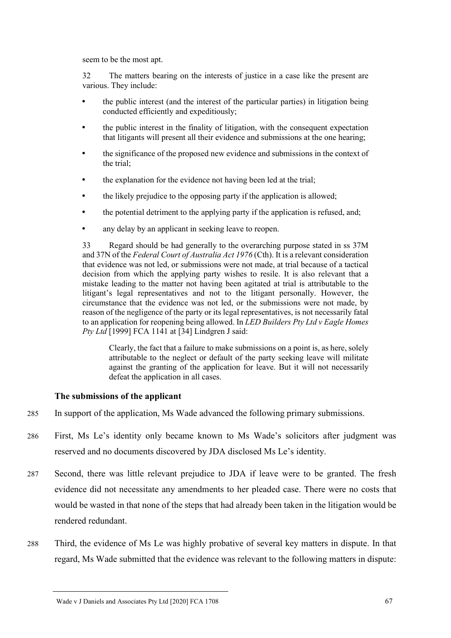seem to be the most apt.

32 The matters bearing on the interests of justice in a case like the present are various. They include:

- the public interest (and the interest of the particular parties) in litigation being conducted efficiently and expeditiously;
- the public interest in the finality of litigation, with the consequent expectation that litigants will present all their evidence and submissions at the one hearing;
- the significance of the proposed new evidence and submissions in the context of the trial;
- the explanation for the evidence not having been led at the trial;
- the likely prejudice to the opposing party if the application is allowed;
- the potential detriment to the applying party if the application is refused, and;
- any delay by an applicant in seeking leave to reopen.

33 Regard should be had generally to the overarching purpose stated in ss 37M and 37N of the *Federal Court of Australia Act 1976* (Cth). It is a relevant consideration that evidence was not led, or submissions were not made, at trial because of a tactical decision from which the applying party wishes to resile. It is also relevant that a mistake leading to the matter not having been agitated at trial is attributable to the litigant's legal representatives and not to the litigant personally. However, the circumstance that the evidence was not led, or the submissions were not made, by reason of the negligence of the party or its legal representatives, is not necessarily fatal to an application for reopening being allowed. In *LED Builders Pty Ltd v Eagle Homes Pty Ltd* [1999] FCA 1141 at [34] Lindgren J said:

Clearly, the fact that a failure to make submissions on a point is, as here, solely attributable to the neglect or default of the party seeking leave will militate against the granting of the application for leave. But it will not necessarily defeat the application in all cases.

### **The submissions of the applicant**

- 285 In support of the application, Ms Wade advanced the following primary submissions.
- 286 First, Ms Le's identity only became known to Ms Wade's solicitors after judgment was reserved and no documents discovered by JDA disclosed Ms Le's identity.
- 287 Second, there was little relevant prejudice to JDA if leave were to be granted. The fresh evidence did not necessitate any amendments to her pleaded case. There were no costs that would be wasted in that none of the steps that had already been taken in the litigation would be rendered redundant.
- 288 Third, the evidence of Ms Le was highly probative of several key matters in dispute. In that regard, Ms Wade submitted that the evidence was relevant to the following matters in dispute:

Wade v J Daniels and Associates Pty Ltd [2020] FCA 1708 67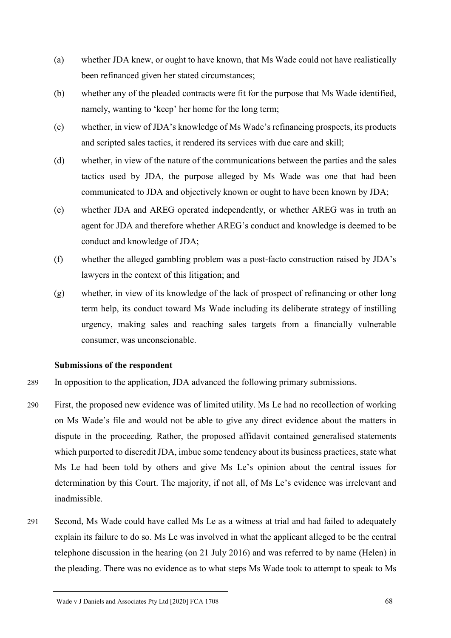- (a) whether JDA knew, or ought to have known, that Ms Wade could not have realistically been refinanced given her stated circumstances;
- (b) whether any of the pleaded contracts were fit for the purpose that Ms Wade identified, namely, wanting to 'keep' her home for the long term;
- (c) whether, in view of JDA's knowledge of Ms Wade's refinancing prospects, its products and scripted sales tactics, it rendered its services with due care and skill;
- (d) whether, in view of the nature of the communications between the parties and the sales tactics used by JDA, the purpose alleged by Ms Wade was one that had been communicated to JDA and objectively known or ought to have been known by JDA;
- (e) whether JDA and AREG operated independently, or whether AREG was in truth an agent for JDA and therefore whether AREG's conduct and knowledge is deemed to be conduct and knowledge of JDA;
- (f) whether the alleged gambling problem was a post-facto construction raised by JDA's lawyers in the context of this litigation; and
- (g) whether, in view of its knowledge of the lack of prospect of refinancing or other long term help, its conduct toward Ms Wade including its deliberate strategy of instilling urgency, making sales and reaching sales targets from a financially vulnerable consumer, was unconscionable.

# **Submissions of the respondent**

- 289 In opposition to the application, JDA advanced the following primary submissions.
- 290 First, the proposed new evidence was of limited utility. Ms Le had no recollection of working on Ms Wade's file and would not be able to give any direct evidence about the matters in dispute in the proceeding. Rather, the proposed affidavit contained generalised statements which purported to discredit JDA, imbue some tendency about its business practices, state what Ms Le had been told by others and give Ms Le's opinion about the central issues for determination by this Court. The majority, if not all, of Ms Le's evidence was irrelevant and inadmissible.
- 291 Second, Ms Wade could have called Ms Le as a witness at trial and had failed to adequately explain its failure to do so. Ms Le was involved in what the applicant alleged to be the central telephone discussion in the hearing (on 21 July 2016) and was referred to by name (Helen) in the pleading. There was no evidence as to what steps Ms Wade took to attempt to speak to Ms

Wade v J Daniels and Associates Pty Ltd [2020] FCA 1708 68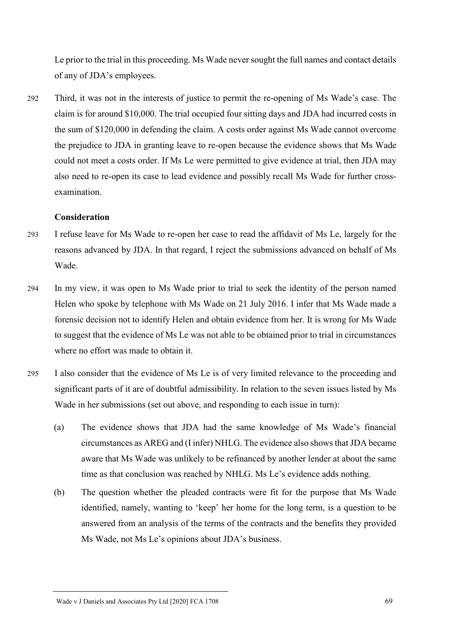Le prior to the trial in this proceeding. Ms Wade never sought the full names and contact details of any of JDA's employees.

292 Third, it was not in the interests of justice to permit the re-opening of Ms Wade's case. The claim is for around \$10,000. The trial occupied four sitting days and JDA had incurred costs in the sum of \$120,000 in defending the claim. A costs order against Ms Wade cannot overcome the prejudice to JDA in granting leave to re-open because the evidence shows that Ms Wade could not meet a costs order. If Ms Le were permitted to give evidence at trial, then JDA may also need to re-open its case to lead evidence and possibly recall Ms Wade for further crossexamination.

### **Consideration**

- 293 I refuse leave for Ms Wade to re-open her case to read the affidavit of Ms Le, largely for the reasons advanced by JDA. In that regard, I reject the submissions advanced on behalf of Ms Wade.
- 294 In my view, it was open to Ms Wade prior to trial to seek the identity of the person named Helen who spoke by telephone with Ms Wade on 21 July 2016. I infer that Ms Wade made a forensic decision not to identify Helen and obtain evidence from her. It is wrong for Ms Wade to suggest that the evidence of Ms Le was not able to be obtained prior to trial in circumstances where no effort was made to obtain it.
- 295 I also consider that the evidence of Ms Le is of very limited relevance to the proceeding and significant parts of it are of doubtful admissibility. In relation to the seven issues listed by Ms Wade in her submissions (set out above, and responding to each issue in turn):
	- (a) The evidence shows that JDA had the same knowledge of Ms Wade's financial circumstances as AREG and (I infer) NHLG. The evidence also shows that JDA became aware that Ms Wade was unlikely to be refinanced by another lender at about the same time as that conclusion was reached by NHLG. Ms Le's evidence adds nothing.
	- (b) The question whether the pleaded contracts were fit for the purpose that Ms Wade identified, namely, wanting to 'keep' her home for the long term, is a question to be answered from an analysis of the terms of the contracts and the benefits they provided Ms Wade, not Ms Le's opinions about JDA's business.

Wade v J Daniels and Associates Pty Ltd [2020] FCA 1708 69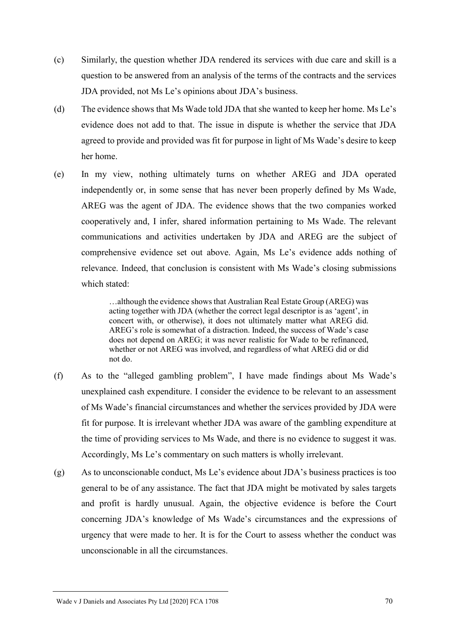- (c) Similarly, the question whether JDA rendered its services with due care and skill is a question to be answered from an analysis of the terms of the contracts and the services JDA provided, not Ms Le's opinions about JDA's business.
- (d) The evidence shows that Ms Wade told JDA that she wanted to keep her home. Ms Le's evidence does not add to that. The issue in dispute is whether the service that JDA agreed to provide and provided was fit for purpose in light of Ms Wade's desire to keep her home.
- (e) In my view, nothing ultimately turns on whether AREG and JDA operated independently or, in some sense that has never been properly defined by Ms Wade, AREG was the agent of JDA. The evidence shows that the two companies worked cooperatively and, I infer, shared information pertaining to Ms Wade. The relevant communications and activities undertaken by JDA and AREG are the subject of comprehensive evidence set out above. Again, Ms Le's evidence adds nothing of relevance. Indeed, that conclusion is consistent with Ms Wade's closing submissions which stated:

…although the evidence shows that Australian Real Estate Group (AREG) was acting together with JDA (whether the correct legal descriptor is as 'agent', in concert with, or otherwise), it does not ultimately matter what AREG did. AREG's role is somewhat of a distraction. Indeed, the success of Wade's case does not depend on AREG; it was never realistic for Wade to be refinanced, whether or not AREG was involved, and regardless of what AREG did or did not do.

- (f) As to the "alleged gambling problem", I have made findings about Ms Wade's unexplained cash expenditure. I consider the evidence to be relevant to an assessment of Ms Wade's financial circumstances and whether the services provided by JDA were fit for purpose. It is irrelevant whether JDA was aware of the gambling expenditure at the time of providing services to Ms Wade, and there is no evidence to suggest it was. Accordingly, Ms Le's commentary on such matters is wholly irrelevant.
- (g) As to unconscionable conduct, Ms Le's evidence about JDA's business practices is too general to be of any assistance. The fact that JDA might be motivated by sales targets and profit is hardly unusual. Again, the objective evidence is before the Court concerning JDA's knowledge of Ms Wade's circumstances and the expressions of urgency that were made to her. It is for the Court to assess whether the conduct was unconscionable in all the circumstances.

Wade v J Daniels and Associates Pty Ltd [2020] FCA 1708 70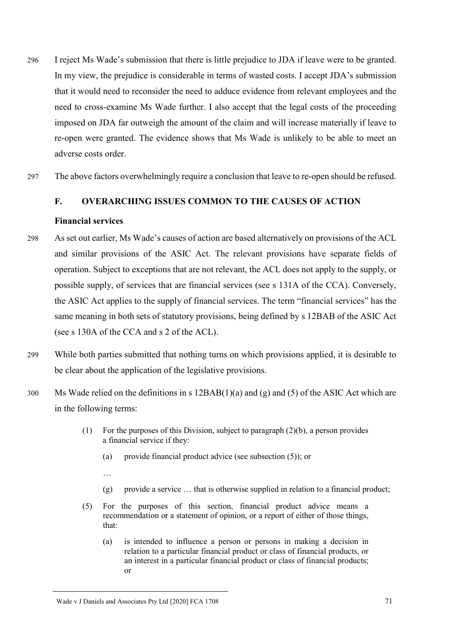- 296 I reject Ms Wade's submission that there is little prejudice to JDA if leave were to be granted. In my view, the prejudice is considerable in terms of wasted costs. I accept JDA's submission that it would need to reconsider the need to adduce evidence from relevant employees and the need to cross-examine Ms Wade further. I also accept that the legal costs of the proceeding imposed on JDA far outweigh the amount of the claim and will increase materially if leave to re-open were granted. The evidence shows that Ms Wade is unlikely to be able to meet an adverse costs order.
- 297 The above factors overwhelmingly require a conclusion that leave to re-open should be refused.

### **F. OVERARCHING ISSUES COMMON TO THE CAUSES OF ACTION**

#### **Financial services**

- 298 As set out earlier, Ms Wade's causes of action are based alternatively on provisions of the ACL and similar provisions of the ASIC Act. The relevant provisions have separate fields of operation. Subject to exceptions that are not relevant, the ACL does not apply to the supply, or possible supply, of services that are financial services (see s 131A of the CCA). Conversely, the ASIC Act applies to the supply of financial services. The term "financial services" has the same meaning in both sets of statutory provisions, being defined by s 12BAB of the ASIC Act (see s 130A of the CCA and s 2 of the ACL).
- 299 While both parties submitted that nothing turns on which provisions applied, it is desirable to be clear about the application of the legislative provisions.
- 300 Ms Wade relied on the definitions in s 12BAB(1)(a) and (g) and (5) of the ASIC Act which are in the following terms:
	- (1) For the purposes of this Division, subject to paragraph (2)(b), a person provides a financial service if they:
		- (a) provide financial product advice (see subsection (5)); or
		- …
		- (g) provide a service … that is otherwise supplied in relation to a financial product;
	- (5) For the purposes of this section, financial product advice means a recommendation or a statement of opinion, or a report of either of those things, that:
		- (a) is intended to influence a person or persons in making a decision in relation to a particular financial product or class of financial products, or an interest in a particular financial product or class of financial products; or

Wade v J Daniels and Associates Pty Ltd [2020] FCA 1708 71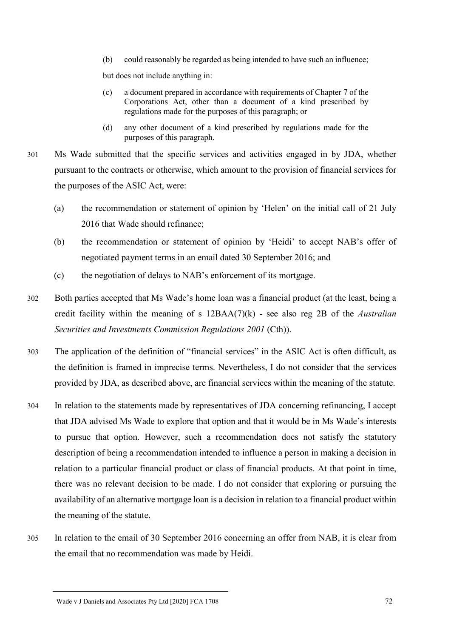(b) could reasonably be regarded as being intended to have such an influence;

but does not include anything in:

- (c) a document prepared in accordance with requirements of Chapter 7 of the Corporations Act, other than a document of a kind prescribed by regulations made for the purposes of this paragraph; or
- (d) any other document of a kind prescribed by regulations made for the purposes of this paragraph.
- 301 Ms Wade submitted that the specific services and activities engaged in by JDA, whether pursuant to the contracts or otherwise, which amount to the provision of financial services for the purposes of the ASIC Act, were:
	- (a) the recommendation or statement of opinion by 'Helen' on the initial call of 21 July 2016 that Wade should refinance;
	- (b) the recommendation or statement of opinion by 'Heidi' to accept NAB's offer of negotiated payment terms in an email dated 30 September 2016; and
	- (c) the negotiation of delays to NAB's enforcement of its mortgage.
- 302 Both parties accepted that Ms Wade's home loan was a financial product (at the least, being a credit facility within the meaning of s 12BAA(7)(k) - see also reg 2B of the *Australian Securities and Investments Commission Regulations 2001* (Cth)).
- 303 The application of the definition of "financial services" in the ASIC Act is often difficult, as the definition is framed in imprecise terms. Nevertheless, I do not consider that the services provided by JDA, as described above, are financial services within the meaning of the statute.
- 304 In relation to the statements made by representatives of JDA concerning refinancing, I accept that JDA advised Ms Wade to explore that option and that it would be in Ms Wade's interests to pursue that option. However, such a recommendation does not satisfy the statutory description of being a recommendation intended to influence a person in making a decision in relation to a particular financial product or class of financial products. At that point in time, there was no relevant decision to be made. I do not consider that exploring or pursuing the availability of an alternative mortgage loan is a decision in relation to a financial product within the meaning of the statute.
- 305 In relation to the email of 30 September 2016 concerning an offer from NAB, it is clear from the email that no recommendation was made by Heidi.

Wade v J Daniels and Associates Pty Ltd [2020] FCA 1708 72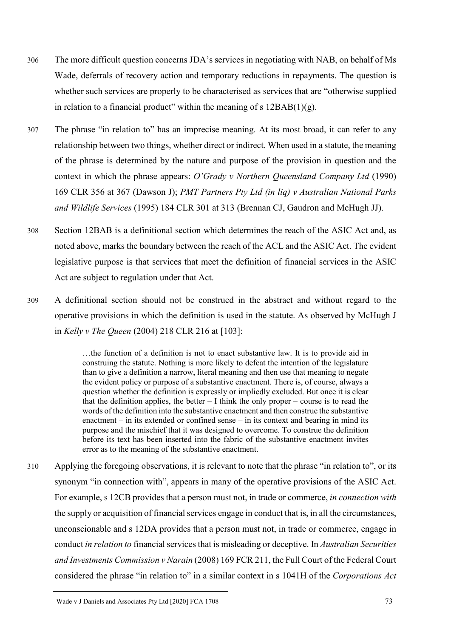- 306 The more difficult question concerns JDA's services in negotiating with NAB, on behalf of Ms Wade, deferrals of recovery action and temporary reductions in repayments. The question is whether such services are properly to be characterised as services that are "otherwise supplied in relation to a financial product" within the meaning of s  $12BAB(1)(g)$ .
- 307 The phrase "in relation to" has an imprecise meaning. At its most broad, it can refer to any relationship between two things, whether direct or indirect. When used in a statute, the meaning of the phrase is determined by the nature and purpose of the provision in question and the context in which the phrase appears: *O'Grady v Northern Queensland Company Ltd* (1990) 169 CLR 356 at 367 (Dawson J); *PMT Partners Pty Ltd (in liq) v Australian National Parks and Wildlife Services* (1995) 184 CLR 301 at 313 (Brennan CJ, Gaudron and McHugh JJ).
- 308 Section 12BAB is a definitional section which determines the reach of the ASIC Act and, as noted above, marks the boundary between the reach of the ACL and the ASIC Act. The evident legislative purpose is that services that meet the definition of financial services in the ASIC Act are subject to regulation under that Act.
- 309 A definitional section should not be construed in the abstract and without regard to the operative provisions in which the definition is used in the statute. As observed by McHugh J in *Kelly v The Queen* (2004) 218 CLR 216 at [103]:

…the function of a definition is not to enact substantive law. It is to provide aid in construing the statute. Nothing is more likely to defeat the intention of the legislature than to give a definition a narrow, literal meaning and then use that meaning to negate the evident policy or purpose of a substantive enactment. There is, of course, always a question whether the definition is expressly or impliedly excluded. But once it is clear that the definition applies, the better  $-1$  think the only proper – course is to read the words of the definition into the substantive enactment and then construe the substantive enactment – in its extended or confined sense – in its context and bearing in mind its purpose and the mischief that it was designed to overcome. To construe the definition before its text has been inserted into the fabric of the substantive enactment invites error as to the meaning of the substantive enactment.

310 Applying the foregoing observations, it is relevant to note that the phrase "in relation to", or its synonym "in connection with", appears in many of the operative provisions of the ASIC Act. For example, s 12CB provides that a person must not, in trade or commerce, *in connection with* the supply or acquisition of financial services engage in conduct that is, in all the circumstances, unconscionable and s 12DA provides that a person must not, in trade or commerce, engage in conduct *in relation to* financial services that is misleading or deceptive. In *Australian Securities and Investments Commission v Narain* (2008) 169 FCR 211, the Full Court of the Federal Court considered the phrase "in relation to" in a similar context in s 1041H of the *Corporations Act*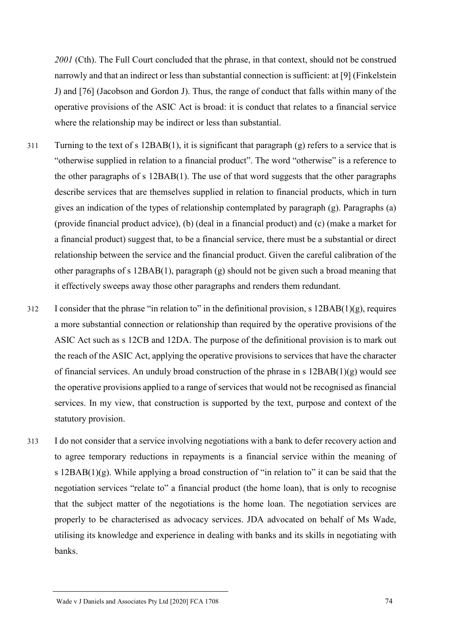*2001* (Cth). The Full Court concluded that the phrase, in that context, should not be construed narrowly and that an indirect or less than substantial connection is sufficient: at [9] (Finkelstein J) and [76] (Jacobson and Gordon J). Thus, the range of conduct that falls within many of the operative provisions of the ASIC Act is broad: it is conduct that relates to a financial service where the relationship may be indirect or less than substantial.

- 311 Turning to the text of s 12BAB(1), it is significant that paragraph (g) refers to a service that is "otherwise supplied in relation to a financial product". The word "otherwise" is a reference to the other paragraphs of s 12BAB(1). The use of that word suggests that the other paragraphs describe services that are themselves supplied in relation to financial products, which in turn gives an indication of the types of relationship contemplated by paragraph (g). Paragraphs (a) (provide financial product advice), (b) (deal in a financial product) and (c) (make a market for a financial product) suggest that, to be a financial service, there must be a substantial or direct relationship between the service and the financial product. Given the careful calibration of the other paragraphs of s 12BAB(1), paragraph (g) should not be given such a broad meaning that it effectively sweeps away those other paragraphs and renders them redundant.
- 312 I consider that the phrase "in relation to" in the definitional provision, s 12BAB(1)(g), requires a more substantial connection or relationship than required by the operative provisions of the ASIC Act such as s 12CB and 12DA. The purpose of the definitional provision is to mark out the reach of the ASIC Act, applying the operative provisions to services that have the character of financial services. An unduly broad construction of the phrase in s 12BAB(1)(g) would see the operative provisions applied to a range of services that would not be recognised as financial services. In my view, that construction is supported by the text, purpose and context of the statutory provision.
- 313 I do not consider that a service involving negotiations with a bank to defer recovery action and to agree temporary reductions in repayments is a financial service within the meaning of s  $12BAB(1)(g)$ . While applying a broad construction of "in relation to" it can be said that the negotiation services "relate to" a financial product (the home loan), that is only to recognise that the subject matter of the negotiations is the home loan. The negotiation services are properly to be characterised as advocacy services. JDA advocated on behalf of Ms Wade, utilising its knowledge and experience in dealing with banks and its skills in negotiating with banks.

Wade v J Daniels and Associates Pty Ltd [2020] FCA 1708 74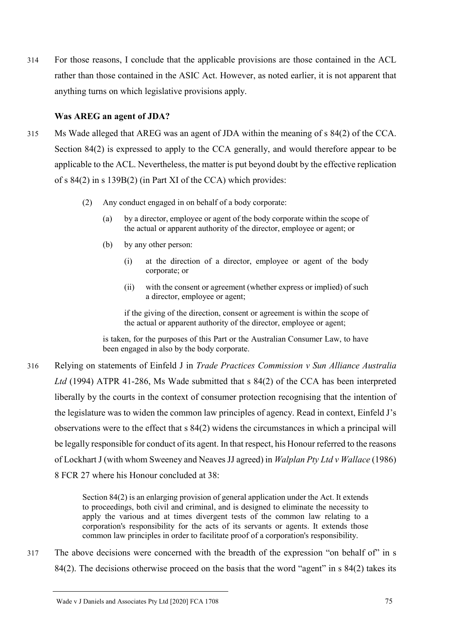314 For those reasons, I conclude that the applicable provisions are those contained in the ACL rather than those contained in the ASIC Act. However, as noted earlier, it is not apparent that anything turns on which legislative provisions apply.

## **Was AREG an agent of JDA?**

- 315 Ms Wade alleged that AREG was an agent of JDA within the meaning of s 84(2) of the CCA. Section 84(2) is expressed to apply to the CCA generally, and would therefore appear to be applicable to the ACL. Nevertheless, the matter is put beyond doubt by the effective replication of s 84(2) in s 139B(2) (in Part XI of the CCA) which provides:
	- (2) Any conduct engaged in on behalf of a body corporate:
		- (a) by a director, employee or agent of the body corporate within the scope of the actual or apparent authority of the director, employee or agent; or
		- (b) by any other person:
			- (i) at the direction of a director, employee or agent of the body corporate; or
			- (ii) with the consent or agreement (whether express or implied) of such a director, employee or agent;

if the giving of the direction, consent or agreement is within the scope of the actual or apparent authority of the director, employee or agent;

is taken, for the purposes of this Part or the Australian Consumer Law, to have been engaged in also by the body corporate.

316 Relying on statements of Einfeld J in *Trade Practices Commission v Sun Alliance Australia Ltd* (1994) ATPR 41-286, Ms Wade submitted that s 84(2) of the CCA has been interpreted liberally by the courts in the context of consumer protection recognising that the intention of the legislature was to widen the common law principles of agency. Read in context, Einfeld J's observations were to the effect that s 84(2) widens the circumstances in which a principal will be legally responsible for conduct of its agent. In that respect, his Honour referred to the reasons of Lockhart J (with whom Sweeney and Neaves JJ agreed) in *Walplan Pty Ltd v Wallace* (1986) 8 FCR 27 where his Honour concluded at 38:

> Section 84(2) is an enlarging provision of general application under the Act. It extends to proceedings, both civil and criminal, and is designed to eliminate the necessity to apply the various and at times divergent tests of the common law relating to a corporation's responsibility for the acts of its servants or agents. It extends those common law principles in order to facilitate proof of a corporation's responsibility.

317 The above decisions were concerned with the breadth of the expression "on behalf of" in s 84(2). The decisions otherwise proceed on the basis that the word "agent" in s 84(2) takes its

Wade v J Daniels and Associates Pty Ltd [2020] FCA 1708 75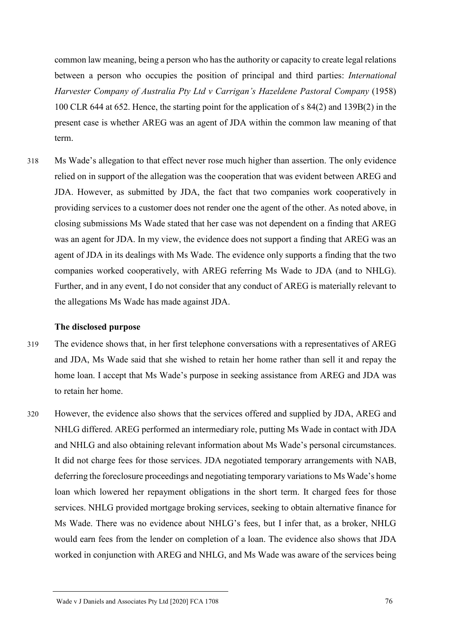common law meaning, being a person who has the authority or capacity to create legal relations between a person who occupies the position of principal and third parties: *International Harvester Company of Australia Pty Ltd v Carrigan's Hazeldene Pastoral Company* (1958) 100 CLR 644 at 652. Hence, the starting point for the application of s 84(2) and 139B(2) in the present case is whether AREG was an agent of JDA within the common law meaning of that term.

318 Ms Wade's allegation to that effect never rose much higher than assertion. The only evidence relied on in support of the allegation was the cooperation that was evident between AREG and JDA. However, as submitted by JDA, the fact that two companies work cooperatively in providing services to a customer does not render one the agent of the other. As noted above, in closing submissions Ms Wade stated that her case was not dependent on a finding that AREG was an agent for JDA. In my view, the evidence does not support a finding that AREG was an agent of JDA in its dealings with Ms Wade. The evidence only supports a finding that the two companies worked cooperatively, with AREG referring Ms Wade to JDA (and to NHLG). Further, and in any event, I do not consider that any conduct of AREG is materially relevant to the allegations Ms Wade has made against JDA.

#### **The disclosed purpose**

- 319 The evidence shows that, in her first telephone conversations with a representatives of AREG and JDA, Ms Wade said that she wished to retain her home rather than sell it and repay the home loan. I accept that Ms Wade's purpose in seeking assistance from AREG and JDA was to retain her home.
- 320 However, the evidence also shows that the services offered and supplied by JDA, AREG and NHLG differed. AREG performed an intermediary role, putting Ms Wade in contact with JDA and NHLG and also obtaining relevant information about Ms Wade's personal circumstances. It did not charge fees for those services. JDA negotiated temporary arrangements with NAB, deferring the foreclosure proceedings and negotiating temporary variations to Ms Wade's home loan which lowered her repayment obligations in the short term. It charged fees for those services. NHLG provided mortgage broking services, seeking to obtain alternative finance for Ms Wade. There was no evidence about NHLG's fees, but I infer that, as a broker, NHLG would earn fees from the lender on completion of a loan. The evidence also shows that JDA worked in conjunction with AREG and NHLG, and Ms Wade was aware of the services being

Wade v J Daniels and Associates Pty Ltd [2020] FCA 1708 76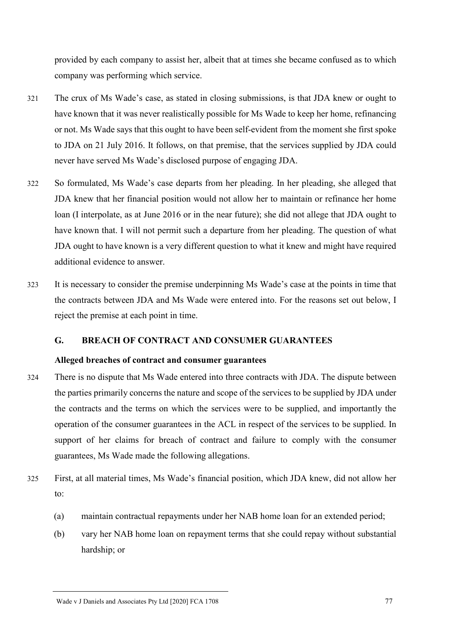provided by each company to assist her, albeit that at times she became confused as to which company was performing which service.

- 321 The crux of Ms Wade's case, as stated in closing submissions, is that JDA knew or ought to have known that it was never realistically possible for Ms Wade to keep her home, refinancing or not. Ms Wade says that this ought to have been self-evident from the moment she first spoke to JDA on 21 July 2016. It follows, on that premise, that the services supplied by JDA could never have served Ms Wade's disclosed purpose of engaging JDA.
- 322 So formulated, Ms Wade's case departs from her pleading. In her pleading, she alleged that JDA knew that her financial position would not allow her to maintain or refinance her home loan (I interpolate, as at June 2016 or in the near future); she did not allege that JDA ought to have known that. I will not permit such a departure from her pleading. The question of what JDA ought to have known is a very different question to what it knew and might have required additional evidence to answer.
- 323 It is necessary to consider the premise underpinning Ms Wade's case at the points in time that the contracts between JDA and Ms Wade were entered into. For the reasons set out below, I reject the premise at each point in time.

## **G. BREACH OF CONTRACT AND CONSUMER GUARANTEES**

# **Alleged breaches of contract and consumer guarantees**

- 324 There is no dispute that Ms Wade entered into three contracts with JDA. The dispute between the parties primarily concerns the nature and scope of the services to be supplied by JDA under the contracts and the terms on which the services were to be supplied, and importantly the operation of the consumer guarantees in the ACL in respect of the services to be supplied. In support of her claims for breach of contract and failure to comply with the consumer guarantees, Ms Wade made the following allegations.
- 325 First, at all material times, Ms Wade's financial position, which JDA knew, did not allow her to:
	- (a) maintain contractual repayments under her NAB home loan for an extended period;
	- (b) vary her NAB home loan on repayment terms that she could repay without substantial hardship; or

Wade v J Daniels and Associates Pty Ltd [2020] FCA 1708 77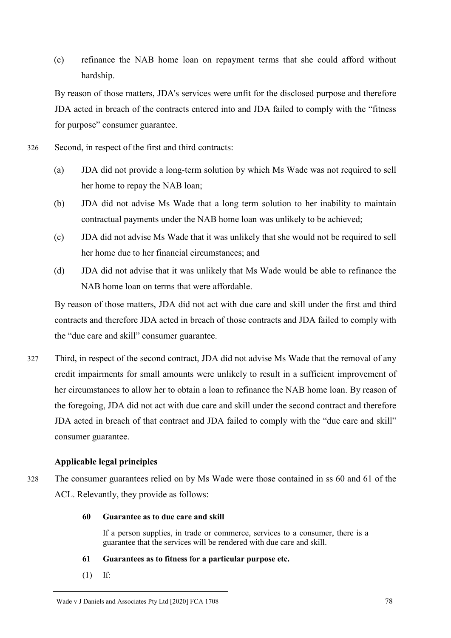(c) refinance the NAB home loan on repayment terms that she could afford without hardship.

By reason of those matters, JDA's services were unfit for the disclosed purpose and therefore JDA acted in breach of the contracts entered into and JDA failed to comply with the "fitness for purpose" consumer guarantee.

- 326 Second, in respect of the first and third contracts:
	- (a) JDA did not provide a long-term solution by which Ms Wade was not required to sell her home to repay the NAB loan;
	- (b) JDA did not advise Ms Wade that a long term solution to her inability to maintain contractual payments under the NAB home loan was unlikely to be achieved;
	- (c) JDA did not advise Ms Wade that it was unlikely that she would not be required to sell her home due to her financial circumstances; and
	- (d) JDA did not advise that it was unlikely that Ms Wade would be able to refinance the NAB home loan on terms that were affordable.

By reason of those matters, JDA did not act with due care and skill under the first and third contracts and therefore JDA acted in breach of those contracts and JDA failed to comply with the "due care and skill" consumer guarantee.

327 Third, in respect of the second contract, JDA did not advise Ms Wade that the removal of any credit impairments for small amounts were unlikely to result in a sufficient improvement of her circumstances to allow her to obtain a loan to refinance the NAB home loan. By reason of the foregoing, JDA did not act with due care and skill under the second contract and therefore JDA acted in breach of that contract and JDA failed to comply with the "due care and skill" consumer guarantee.

# **Applicable legal principles**

328 The consumer guarantees relied on by Ms Wade were those contained in ss 60 and 61 of the ACL. Relevantly, they provide as follows:

### **60 Guarantee as to due care and skill**

If a person supplies, in trade or commerce, services to a consumer, there is a guarantee that the services will be rendered with due care and skill.

- **61 Guarantees as to fitness for a particular purpose etc.**
- (1) If: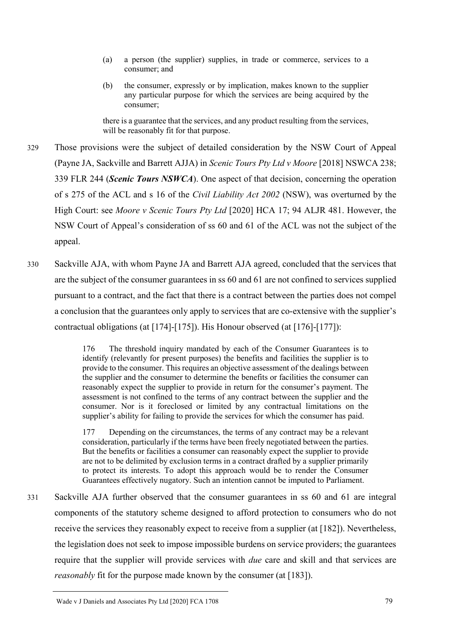- (a) a person (the supplier) supplies, in trade or commerce, services to a consumer; and
- (b) the consumer, expressly or by implication, makes known to the supplier any particular purpose for which the services are being acquired by the consumer;

there is a guarantee that the services, and any product resulting from the services, will be reasonably fit for that purpose.

- 329 Those provisions were the subject of detailed consideration by the NSW Court of Appeal (Payne JA, Sackville and Barrett AJJA) in *Scenic Tours Pty Ltd v Moore* [2018] NSWCA 238; 339 FLR 244 (*Scenic Tours NSWCA*). One aspect of that decision, concerning the operation of s 275 of the ACL and s 16 of the *Civil Liability Act 2002* (NSW), was overturned by the High Court: see *Moore v Scenic Tours Pty Ltd* [2020] HCA 17; 94 ALJR 481. However, the NSW Court of Appeal's consideration of ss 60 and 61 of the ACL was not the subject of the appeal.
- 330 Sackville AJA, with whom Payne JA and Barrett AJA agreed, concluded that the services that are the subject of the consumer guarantees in ss 60 and 61 are not confined to services supplied pursuant to a contract, and the fact that there is a contract between the parties does not compel a conclusion that the guarantees only apply to services that are co-extensive with the supplier's contractual obligations (at [174]-[175]). His Honour observed (at [176]-[177]):

176 The threshold inquiry mandated by each of the Consumer Guarantees is to identify (relevantly for present purposes) the benefits and facilities the supplier is to provide to the consumer. This requires an objective assessment of the dealings between the supplier and the consumer to determine the benefits or facilities the consumer can reasonably expect the supplier to provide in return for the consumer's payment. The assessment is not confined to the terms of any contract between the supplier and the consumer. Nor is it foreclosed or limited by any contractual limitations on the supplier's ability for failing to provide the services for which the consumer has paid.

177 Depending on the circumstances, the terms of any contract may be a relevant consideration, particularly if the terms have been freely negotiated between the parties. But the benefits or facilities a consumer can reasonably expect the supplier to provide are not to be delimited by exclusion terms in a contract drafted by a supplier primarily to protect its interests. To adopt this approach would be to render the Consumer Guarantees effectively nugatory. Such an intention cannot be imputed to Parliament.

331 Sackville AJA further observed that the consumer guarantees in ss 60 and 61 are integral components of the statutory scheme designed to afford protection to consumers who do not receive the services they reasonably expect to receive from a supplier (at [182]). Nevertheless, the legislation does not seek to impose impossible burdens on service providers; the guarantees require that the supplier will provide services with *due* care and skill and that services are *reasonably* fit for the purpose made known by the consumer (at [183]).

Wade v J Daniels and Associates Pty Ltd [2020] FCA 1708 79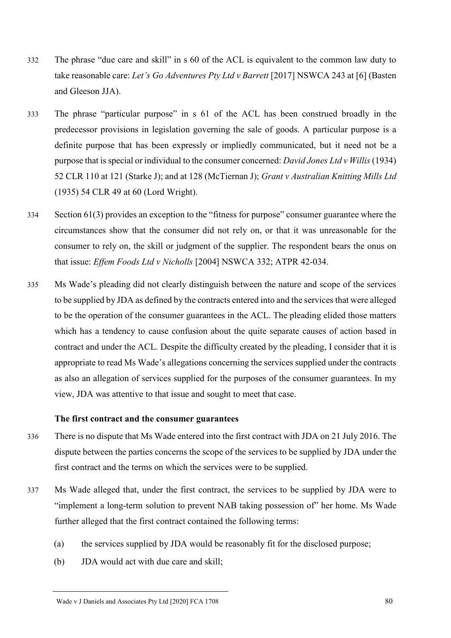- 332 The phrase "due care and skill" in s 60 of the ACL is equivalent to the common law duty to take reasonable care: *Let's Go Adventures Pty Ltd v Barrett* [2017] NSWCA 243 at [6] (Basten and Gleeson JJA).
- 333 The phrase "particular purpose" in s 61 of the ACL has been construed broadly in the predecessor provisions in legislation governing the sale of goods. A particular purpose is a definite purpose that has been expressly or impliedly communicated, but it need not be a purpose that is special or individual to the consumer concerned: *David Jones Ltd v Willis*(1934) 52 CLR 110 at 121 (Starke J); and at 128 (McTiernan J); *Grant v Australian Knitting Mills Ltd* (1935) 54 CLR 49 at 60 (Lord Wright).
- 334 Section 61(3) provides an exception to the "fitness for purpose" consumer guarantee where the circumstances show that the consumer did not rely on, or that it was unreasonable for the consumer to rely on, the skill or judgment of the supplier. The respondent bears the onus on that issue: *Effem Foods Ltd v Nicholls* [2004] NSWCA 332; ATPR 42-034.
- 335 Ms Wade's pleading did not clearly distinguish between the nature and scope of the services to be supplied by JDA as defined by the contracts entered into and the services that were alleged to be the operation of the consumer guarantees in the ACL. The pleading elided those matters which has a tendency to cause confusion about the quite separate causes of action based in contract and under the ACL. Despite the difficulty created by the pleading, I consider that it is appropriate to read Ms Wade's allegations concerning the services supplied under the contracts as also an allegation of services supplied for the purposes of the consumer guarantees. In my view, JDA was attentive to that issue and sought to meet that case.

#### **The first contract and the consumer guarantees**

- 336 There is no dispute that Ms Wade entered into the first contract with JDA on 21 July 2016. The dispute between the parties concerns the scope of the services to be supplied by JDA under the first contract and the terms on which the services were to be supplied.
- 337 Ms Wade alleged that, under the first contract, the services to be supplied by JDA were to "implement a long-term solution to prevent NAB taking possession of" her home. Ms Wade further alleged that the first contract contained the following terms:
	- (a) the services supplied by JDA would be reasonably fit for the disclosed purpose;
	- (b) JDA would act with due care and skill;

Wade v J Daniels and Associates Pty Ltd [2020] FCA 1708 80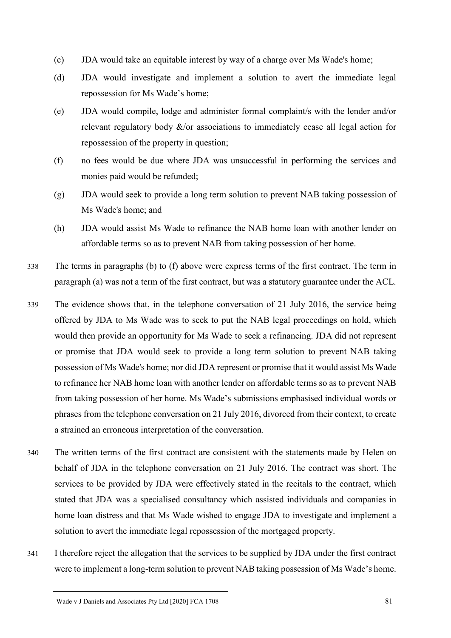- (c) JDA would take an equitable interest by way of a charge over Ms Wade's home;
- (d) JDA would investigate and implement a solution to avert the immediate legal repossession for Ms Wade's home;
- (e) JDA would compile, lodge and administer formal complaint/s with the lender and/or relevant regulatory body  $\&$ /or associations to immediately cease all legal action for repossession of the property in question;
- (f) no fees would be due where JDA was unsuccessful in performing the services and monies paid would be refunded;
- (g) JDA would seek to provide a long term solution to prevent NAB taking possession of Ms Wade's home; and
- (h) JDA would assist Ms Wade to refinance the NAB home loan with another lender on affordable terms so as to prevent NAB from taking possession of her home.
- 338 The terms in paragraphs (b) to (f) above were express terms of the first contract. The term in paragraph (a) was not a term of the first contract, but was a statutory guarantee under the ACL.
- 339 The evidence shows that, in the telephone conversation of 21 July 2016, the service being offered by JDA to Ms Wade was to seek to put the NAB legal proceedings on hold, which would then provide an opportunity for Ms Wade to seek a refinancing. JDA did not represent or promise that JDA would seek to provide a long term solution to prevent NAB taking possession of Ms Wade's home; nor did JDA represent or promise that it would assist Ms Wade to refinance her NAB home loan with another lender on affordable terms so as to prevent NAB from taking possession of her home. Ms Wade's submissions emphasised individual words or phrases from the telephone conversation on 21 July 2016, divorced from their context, to create a strained an erroneous interpretation of the conversation.
- 340 The written terms of the first contract are consistent with the statements made by Helen on behalf of JDA in the telephone conversation on 21 July 2016. The contract was short. The services to be provided by JDA were effectively stated in the recitals to the contract, which stated that JDA was a specialised consultancy which assisted individuals and companies in home loan distress and that Ms Wade wished to engage JDA to investigate and implement a solution to avert the immediate legal repossession of the mortgaged property.
- 341 I therefore reject the allegation that the services to be supplied by JDA under the first contract were to implement a long-term solution to prevent NAB taking possession of Ms Wade's home.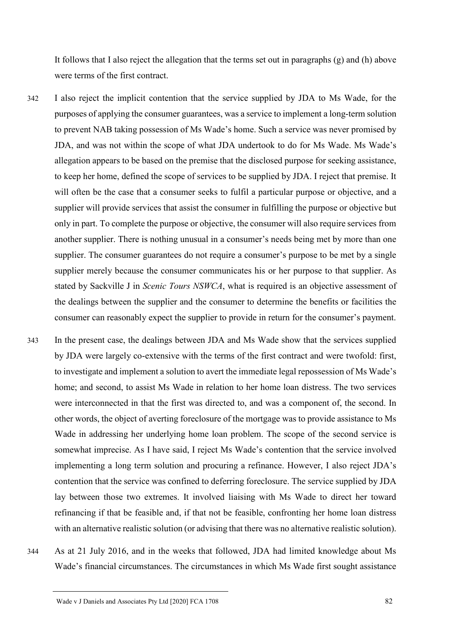It follows that I also reject the allegation that the terms set out in paragraphs (g) and (h) above were terms of the first contract.

- 342 I also reject the implicit contention that the service supplied by JDA to Ms Wade, for the purposes of applying the consumer guarantees, was a service to implement a long-term solution to prevent NAB taking possession of Ms Wade's home. Such a service was never promised by JDA, and was not within the scope of what JDA undertook to do for Ms Wade. Ms Wade's allegation appears to be based on the premise that the disclosed purpose for seeking assistance, to keep her home, defined the scope of services to be supplied by JDA. I reject that premise. It will often be the case that a consumer seeks to fulfil a particular purpose or objective, and a supplier will provide services that assist the consumer in fulfilling the purpose or objective but only in part. To complete the purpose or objective, the consumer will also require services from another supplier. There is nothing unusual in a consumer's needs being met by more than one supplier. The consumer guarantees do not require a consumer's purpose to be met by a single supplier merely because the consumer communicates his or her purpose to that supplier. As stated by Sackville J in *Scenic Tours NSWCA*, what is required is an objective assessment of the dealings between the supplier and the consumer to determine the benefits or facilities the consumer can reasonably expect the supplier to provide in return for the consumer's payment.
- 343 In the present case, the dealings between JDA and Ms Wade show that the services supplied by JDA were largely co-extensive with the terms of the first contract and were twofold: first, to investigate and implement a solution to avert the immediate legal repossession of Ms Wade's home; and second, to assist Ms Wade in relation to her home loan distress. The two services were interconnected in that the first was directed to, and was a component of, the second. In other words, the object of averting foreclosure of the mortgage was to provide assistance to Ms Wade in addressing her underlying home loan problem. The scope of the second service is somewhat imprecise. As I have said, I reject Ms Wade's contention that the service involved implementing a long term solution and procuring a refinance. However, I also reject JDA's contention that the service was confined to deferring foreclosure. The service supplied by JDA lay between those two extremes. It involved liaising with Ms Wade to direct her toward refinancing if that be feasible and, if that not be feasible, confronting her home loan distress with an alternative realistic solution (or advising that there was no alternative realistic solution).
- 344 As at 21 July 2016, and in the weeks that followed, JDA had limited knowledge about Ms Wade's financial circumstances. The circumstances in which Ms Wade first sought assistance

Wade v J Daniels and Associates Pty Ltd [2020] FCA 1708 82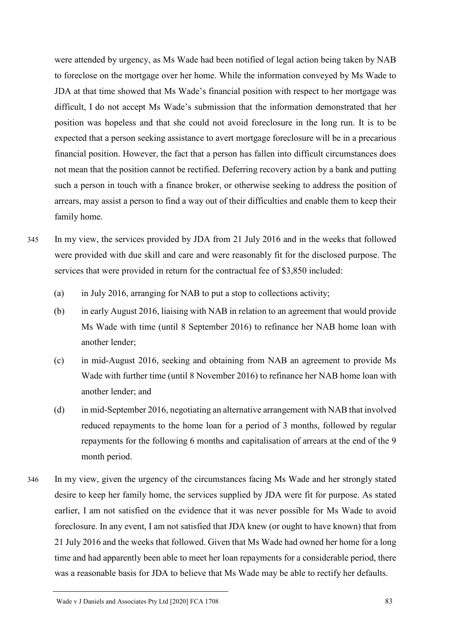were attended by urgency, as Ms Wade had been notified of legal action being taken by NAB to foreclose on the mortgage over her home. While the information conveyed by Ms Wade to JDA at that time showed that Ms Wade's financial position with respect to her mortgage was difficult, I do not accept Ms Wade's submission that the information demonstrated that her position was hopeless and that she could not avoid foreclosure in the long run. It is to be expected that a person seeking assistance to avert mortgage foreclosure will be in a precarious financial position. However, the fact that a person has fallen into difficult circumstances does not mean that the position cannot be rectified. Deferring recovery action by a bank and putting such a person in touch with a finance broker, or otherwise seeking to address the position of arrears, may assist a person to find a way out of their difficulties and enable them to keep their family home.

- 345 In my view, the services provided by JDA from 21 July 2016 and in the weeks that followed were provided with due skill and care and were reasonably fit for the disclosed purpose. The services that were provided in return for the contractual fee of \$3,850 included:
	- (a) in July 2016, arranging for NAB to put a stop to collections activity;
	- (b) in early August 2016, liaising with NAB in relation to an agreement that would provide Ms Wade with time (until 8 September 2016) to refinance her NAB home loan with another lender;
	- (c) in mid-August 2016, seeking and obtaining from NAB an agreement to provide Ms Wade with further time (until 8 November 2016) to refinance her NAB home loan with another lender; and
	- (d) in mid-September 2016, negotiating an alternative arrangement with NAB that involved reduced repayments to the home loan for a period of 3 months, followed by regular repayments for the following 6 months and capitalisation of arrears at the end of the 9 month period.
- 346 In my view, given the urgency of the circumstances facing Ms Wade and her strongly stated desire to keep her family home, the services supplied by JDA were fit for purpose. As stated earlier, I am not satisfied on the evidence that it was never possible for Ms Wade to avoid foreclosure. In any event, I am not satisfied that JDA knew (or ought to have known) that from 21 July 2016 and the weeks that followed. Given that Ms Wade had owned her home for a long time and had apparently been able to meet her loan repayments for a considerable period, there was a reasonable basis for JDA to believe that Ms Wade may be able to rectify her defaults.

Wade v J Daniels and Associates Pty Ltd [2020] FCA 1708 83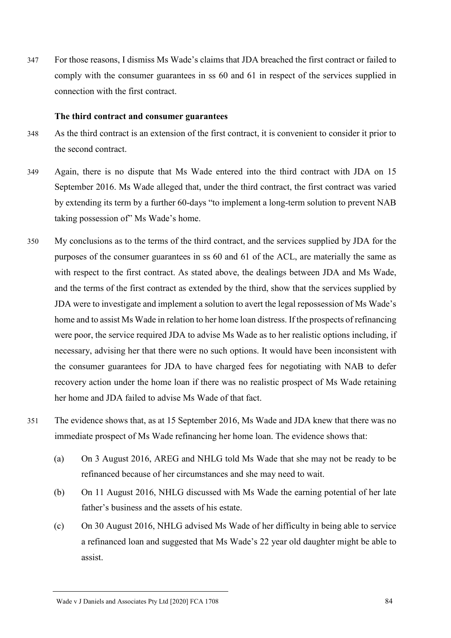347 For those reasons, I dismiss Ms Wade's claims that JDA breached the first contract or failed to comply with the consumer guarantees in ss 60 and 61 in respect of the services supplied in connection with the first contract.

#### **The third contract and consumer guarantees**

- 348 As the third contract is an extension of the first contract, it is convenient to consider it prior to the second contract.
- 349 Again, there is no dispute that Ms Wade entered into the third contract with JDA on 15 September 2016. Ms Wade alleged that, under the third contract, the first contract was varied by extending its term by a further 60-days "to implement a long-term solution to prevent NAB taking possession of" Ms Wade's home.
- 350 My conclusions as to the terms of the third contract, and the services supplied by JDA for the purposes of the consumer guarantees in ss 60 and 61 of the ACL, are materially the same as with respect to the first contract. As stated above, the dealings between JDA and Ms Wade, and the terms of the first contract as extended by the third, show that the services supplied by JDA were to investigate and implement a solution to avert the legal repossession of Ms Wade's home and to assist Ms Wade in relation to her home loan distress. If the prospects of refinancing were poor, the service required JDA to advise Ms Wade as to her realistic options including, if necessary, advising her that there were no such options. It would have been inconsistent with the consumer guarantees for JDA to have charged fees for negotiating with NAB to defer recovery action under the home loan if there was no realistic prospect of Ms Wade retaining her home and JDA failed to advise Ms Wade of that fact.
- 351 The evidence shows that, as at 15 September 2016, Ms Wade and JDA knew that there was no immediate prospect of Ms Wade refinancing her home loan. The evidence shows that:
	- (a) On 3 August 2016, AREG and NHLG told Ms Wade that she may not be ready to be refinanced because of her circumstances and she may need to wait.
	- (b) On 11 August 2016, NHLG discussed with Ms Wade the earning potential of her late father's business and the assets of his estate.
	- (c) On 30 August 2016, NHLG advised Ms Wade of her difficulty in being able to service a refinanced loan and suggested that Ms Wade's 22 year old daughter might be able to assist.

Wade v J Daniels and Associates Pty Ltd [2020] FCA 1708 84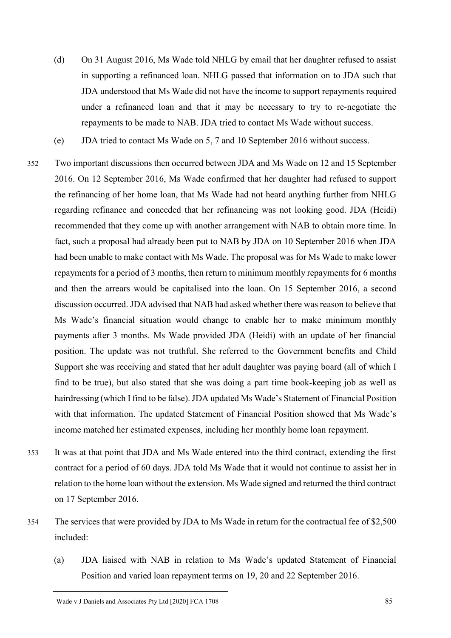- (d) On 31 August 2016, Ms Wade told NHLG by email that her daughter refused to assist in supporting a refinanced loan. NHLG passed that information on to JDA such that JDA understood that Ms Wade did not have the income to support repayments required under a refinanced loan and that it may be necessary to try to re-negotiate the repayments to be made to NAB. JDA tried to contact Ms Wade without success.
- (e) JDA tried to contact Ms Wade on 5, 7 and 10 September 2016 without success.
- 352 Two important discussions then occurred between JDA and Ms Wade on 12 and 15 September 2016. On 12 September 2016, Ms Wade confirmed that her daughter had refused to support the refinancing of her home loan, that Ms Wade had not heard anything further from NHLG regarding refinance and conceded that her refinancing was not looking good. JDA (Heidi) recommended that they come up with another arrangement with NAB to obtain more time. In fact, such a proposal had already been put to NAB by JDA on 10 September 2016 when JDA had been unable to make contact with Ms Wade. The proposal was for Ms Wade to make lower repayments for a period of 3 months, then return to minimum monthly repayments for 6 months and then the arrears would be capitalised into the loan. On 15 September 2016, a second discussion occurred. JDA advised that NAB had asked whether there was reason to believe that Ms Wade's financial situation would change to enable her to make minimum monthly payments after 3 months. Ms Wade provided JDA (Heidi) with an update of her financial position. The update was not truthful. She referred to the Government benefits and Child Support she was receiving and stated that her adult daughter was paying board (all of which I find to be true), but also stated that she was doing a part time book-keeping job as well as hairdressing (which I find to be false). JDA updated Ms Wade's Statement of Financial Position with that information. The updated Statement of Financial Position showed that Ms Wade's income matched her estimated expenses, including her monthly home loan repayment.
- 353 It was at that point that JDA and Ms Wade entered into the third contract, extending the first contract for a period of 60 days. JDA told Ms Wade that it would not continue to assist her in relation to the home loan without the extension. Ms Wade signed and returned the third contract on 17 September 2016.
- 354 The services that were provided by JDA to Ms Wade in return for the contractual fee of \$2,500 included:
	- (a) JDA liaised with NAB in relation to Ms Wade's updated Statement of Financial Position and varied loan repayment terms on 19, 20 and 22 September 2016.

Wade v J Daniels and Associates Pty Ltd [2020] FCA 1708 85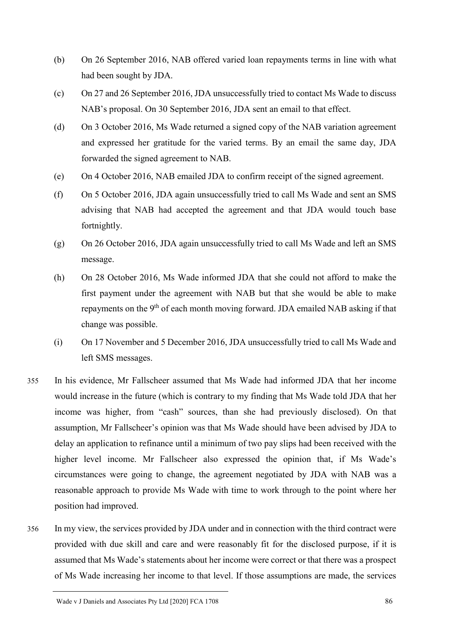- (b) On 26 September 2016, NAB offered varied loan repayments terms in line with what had been sought by JDA.
- (c) On 27 and 26 September 2016, JDA unsuccessfully tried to contact Ms Wade to discuss NAB's proposal. On 30 September 2016, JDA sent an email to that effect.
- (d) On 3 October 2016, Ms Wade returned a signed copy of the NAB variation agreement and expressed her gratitude for the varied terms. By an email the same day, JDA forwarded the signed agreement to NAB.
- (e) On 4 October 2016, NAB emailed JDA to confirm receipt of the signed agreement.
- (f) On 5 October 2016, JDA again unsuccessfully tried to call Ms Wade and sent an SMS advising that NAB had accepted the agreement and that JDA would touch base fortnightly.
- (g) On 26 October 2016, JDA again unsuccessfully tried to call Ms Wade and left an SMS message.
- (h) On 28 October 2016, Ms Wade informed JDA that she could not afford to make the first payment under the agreement with NAB but that she would be able to make repayments on the 9<sup>th</sup> of each month moving forward. JDA emailed NAB asking if that change was possible.
- (i) On 17 November and 5 December 2016, JDA unsuccessfully tried to call Ms Wade and left SMS messages.
- 355 In his evidence, Mr Fallscheer assumed that Ms Wade had informed JDA that her income would increase in the future (which is contrary to my finding that Ms Wade told JDA that her income was higher, from "cash" sources, than she had previously disclosed). On that assumption, Mr Fallscheer's opinion was that Ms Wade should have been advised by JDA to delay an application to refinance until a minimum of two pay slips had been received with the higher level income. Mr Fallscheer also expressed the opinion that, if Ms Wade's circumstances were going to change, the agreement negotiated by JDA with NAB was a reasonable approach to provide Ms Wade with time to work through to the point where her position had improved.
- 356 In my view, the services provided by JDA under and in connection with the third contract were provided with due skill and care and were reasonably fit for the disclosed purpose, if it is assumed that Ms Wade's statements about her income were correct or that there was a prospect of Ms Wade increasing her income to that level. If those assumptions are made, the services

Wade v J Daniels and Associates Pty Ltd [2020] FCA 1708 86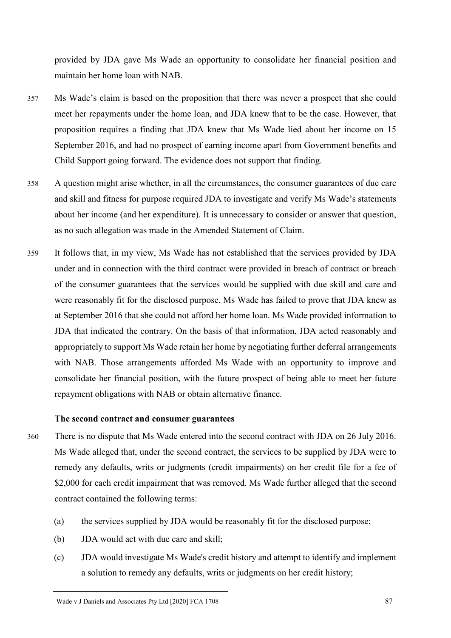provided by JDA gave Ms Wade an opportunity to consolidate her financial position and maintain her home loan with NAB.

- 357 Ms Wade's claim is based on the proposition that there was never a prospect that she could meet her repayments under the home loan, and JDA knew that to be the case. However, that proposition requires a finding that JDA knew that Ms Wade lied about her income on 15 September 2016, and had no prospect of earning income apart from Government benefits and Child Support going forward. The evidence does not support that finding.
- 358 A question might arise whether, in all the circumstances, the consumer guarantees of due care and skill and fitness for purpose required JDA to investigate and verify Ms Wade's statements about her income (and her expenditure). It is unnecessary to consider or answer that question, as no such allegation was made in the Amended Statement of Claim.
- 359 It follows that, in my view, Ms Wade has not established that the services provided by JDA under and in connection with the third contract were provided in breach of contract or breach of the consumer guarantees that the services would be supplied with due skill and care and were reasonably fit for the disclosed purpose. Ms Wade has failed to prove that JDA knew as at September 2016 that she could not afford her home loan. Ms Wade provided information to JDA that indicated the contrary. On the basis of that information, JDA acted reasonably and appropriately to support Ms Wade retain her home by negotiating further deferral arrangements with NAB. Those arrangements afforded Ms Wade with an opportunity to improve and consolidate her financial position, with the future prospect of being able to meet her future repayment obligations with NAB or obtain alternative finance.

#### **The second contract and consumer guarantees**

- 360 There is no dispute that Ms Wade entered into the second contract with JDA on 26 July 2016. Ms Wade alleged that, under the second contract, the services to be supplied by JDA were to remedy any defaults, writs or judgments (credit impairments) on her credit file for a fee of \$2,000 for each credit impairment that was removed. Ms Wade further alleged that the second contract contained the following terms:
	- (a) the services supplied by JDA would be reasonably fit for the disclosed purpose;
	- (b) JDA would act with due care and skill;
	- (c) JDA would investigate Ms Wade's credit history and attempt to identify and implement a solution to remedy any defaults, writs or judgments on her credit history;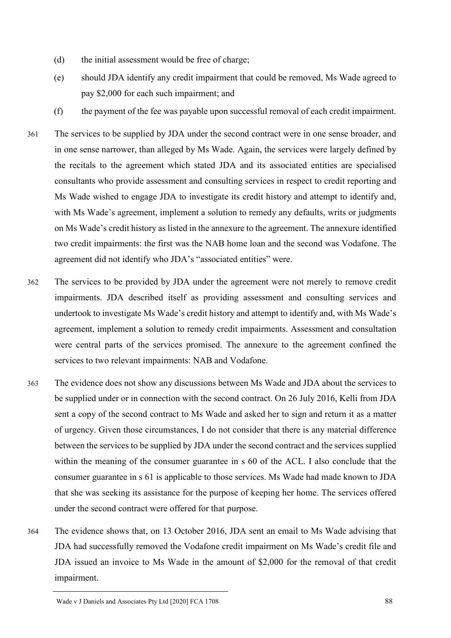- (d) the initial assessment would be free of charge;
- (e) should JDA identify any credit impairment that could be removed, Ms Wade agreed to pay \$2,000 for each such impairment; and
- (f) the payment of the fee was payable upon successful removal of each credit impairment.
- 361 The services to be supplied by JDA under the second contract were in one sense broader, and in one sense narrower, than alleged by Ms Wade. Again, the services were largely defined by the recitals to the agreement which stated JDA and its associated entities are specialised consultants who provide assessment and consulting services in respect to credit reporting and Ms Wade wished to engage JDA to investigate its credit history and attempt to identify and, with Ms Wade's agreement, implement a solution to remedy any defaults, writs or judgments on Ms Wade's credit history as listed in the annexure to the agreement. The annexure identified two credit impairments: the first was the NAB home loan and the second was Vodafone. The agreement did not identify who JDA's "associated entities" were.
- 362 The services to be provided by JDA under the agreement were not merely to remove credit impairments. JDA described itself as providing assessment and consulting services and undertook to investigate Ms Wade's credit history and attempt to identify and, with Ms Wade's agreement, implement a solution to remedy credit impairments. Assessment and consultation were central parts of the services promised. The annexure to the agreement confined the services to two relevant impairments: NAB and Vodafone.
- 363 The evidence does not show any discussions between Ms Wade and JDA about the services to be supplied under or in connection with the second contract. On 26 July 2016, Kelli from JDA sent a copy of the second contract to Ms Wade and asked her to sign and return it as a matter of urgency. Given those circumstances, I do not consider that there is any material difference between the services to be supplied by JDA under the second contract and the services supplied within the meaning of the consumer guarantee in s 60 of the ACL. I also conclude that the consumer guarantee in s 61 is applicable to those services. Ms Wade had made known to JDA that she was seeking its assistance for the purpose of keeping her home. The services offered under the second contract were offered for that purpose.
- 364 The evidence shows that, on 13 October 2016, JDA sent an email to Ms Wade advising that JDA had successfully removed the Vodafone credit impairment on Ms Wade's credit file and JDA issued an invoice to Ms Wade in the amount of \$2,000 for the removal of that credit impairment.

Wade v J Daniels and Associates Pty Ltd [2020] FCA 1708 88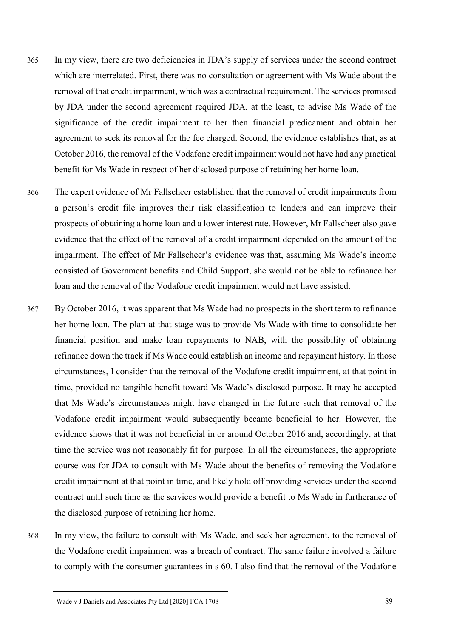- 365 In my view, there are two deficiencies in JDA's supply of services under the second contract which are interrelated. First, there was no consultation or agreement with Ms Wade about the removal of that credit impairment, which was a contractual requirement. The services promised by JDA under the second agreement required JDA, at the least, to advise Ms Wade of the significance of the credit impairment to her then financial predicament and obtain her agreement to seek its removal for the fee charged. Second, the evidence establishes that, as at October 2016, the removal of the Vodafone credit impairment would not have had any practical benefit for Ms Wade in respect of her disclosed purpose of retaining her home loan.
- 366 The expert evidence of Mr Fallscheer established that the removal of credit impairments from a person's credit file improves their risk classification to lenders and can improve their prospects of obtaining a home loan and a lower interest rate. However, Mr Fallscheer also gave evidence that the effect of the removal of a credit impairment depended on the amount of the impairment. The effect of Mr Fallscheer's evidence was that, assuming Ms Wade's income consisted of Government benefits and Child Support, she would not be able to refinance her loan and the removal of the Vodafone credit impairment would not have assisted.
- 367 By October 2016, it was apparent that Ms Wade had no prospects in the short term to refinance her home loan. The plan at that stage was to provide Ms Wade with time to consolidate her financial position and make loan repayments to NAB, with the possibility of obtaining refinance down the track if Ms Wade could establish an income and repayment history. In those circumstances, I consider that the removal of the Vodafone credit impairment, at that point in time, provided no tangible benefit toward Ms Wade's disclosed purpose. It may be accepted that Ms Wade's circumstances might have changed in the future such that removal of the Vodafone credit impairment would subsequently became beneficial to her. However, the evidence shows that it was not beneficial in or around October 2016 and, accordingly, at that time the service was not reasonably fit for purpose. In all the circumstances, the appropriate course was for JDA to consult with Ms Wade about the benefits of removing the Vodafone credit impairment at that point in time, and likely hold off providing services under the second contract until such time as the services would provide a benefit to Ms Wade in furtherance of the disclosed purpose of retaining her home.
- 368 In my view, the failure to consult with Ms Wade, and seek her agreement, to the removal of the Vodafone credit impairment was a breach of contract. The same failure involved a failure to comply with the consumer guarantees in s 60. I also find that the removal of the Vodafone

Wade v J Daniels and Associates Pty Ltd [2020] FCA 1708 89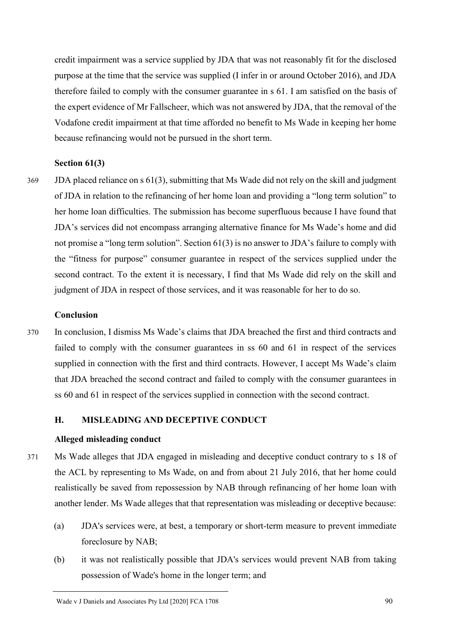credit impairment was a service supplied by JDA that was not reasonably fit for the disclosed purpose at the time that the service was supplied (I infer in or around October 2016), and JDA therefore failed to comply with the consumer guarantee in s 61. I am satisfied on the basis of the expert evidence of Mr Fallscheer, which was not answered by JDA, that the removal of the Vodafone credit impairment at that time afforded no benefit to Ms Wade in keeping her home because refinancing would not be pursued in the short term.

### **Section 61(3)**

369 JDA placed reliance on s 61(3), submitting that Ms Wade did not rely on the skill and judgment of JDA in relation to the refinancing of her home loan and providing a "long term solution" to her home loan difficulties. The submission has become superfluous because I have found that JDA's services did not encompass arranging alternative finance for Ms Wade's home and did not promise a "long term solution". Section 61(3) is no answer to JDA's failure to comply with the "fitness for purpose" consumer guarantee in respect of the services supplied under the second contract. To the extent it is necessary, I find that Ms Wade did rely on the skill and judgment of JDA in respect of those services, and it was reasonable for her to do so.

## **Conclusion**

370 In conclusion, I dismiss Ms Wade's claims that JDA breached the first and third contracts and failed to comply with the consumer guarantees in ss 60 and 61 in respect of the services supplied in connection with the first and third contracts. However, I accept Ms Wade's claim that JDA breached the second contract and failed to comply with the consumer guarantees in ss 60 and 61 in respect of the services supplied in connection with the second contract.

### **H. MISLEADING AND DECEPTIVE CONDUCT**

### **Alleged misleading conduct**

- 371 Ms Wade alleges that JDA engaged in misleading and deceptive conduct contrary to s 18 of the ACL by representing to Ms Wade, on and from about 21 July 2016, that her home could realistically be saved from repossession by NAB through refinancing of her home loan with another lender. Ms Wade alleges that that representation was misleading or deceptive because:
	- (a) JDA's services were, at best, a temporary or short-term measure to prevent immediate foreclosure by NAB;
	- (b) it was not realistically possible that JDA's services would prevent NAB from taking possession of Wade's home in the longer term; and

Wade v J Daniels and Associates Pty Ltd [2020] FCA 1708 90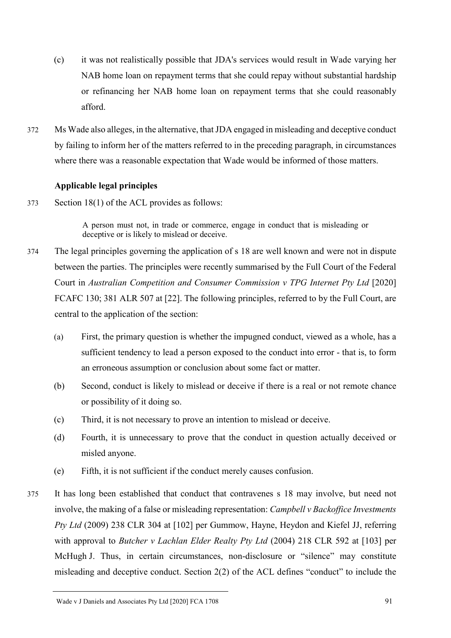- (c) it was not realistically possible that JDA's services would result in Wade varying her NAB home loan on repayment terms that she could repay without substantial hardship or refinancing her NAB home loan on repayment terms that she could reasonably afford.
- 372 Ms Wade also alleges, in the alternative, that JDA engaged in misleading and deceptive conduct by failing to inform her of the matters referred to in the preceding paragraph, in circumstances where there was a reasonable expectation that Wade would be informed of those matters.

# **Applicable legal principles**

373 Section 18(1) of the ACL provides as follows:

A person must not, in trade or commerce, engage in conduct that is misleading or deceptive or is likely to mislead or deceive.

- 374 The legal principles governing the application of s 18 are well known and were not in dispute between the parties. The principles were recently summarised by the Full Court of the Federal Court in *Australian Competition and Consumer Commission v TPG Internet Pty Ltd* [2020] FCAFC 130; 381 ALR 507 at [22]. The following principles, referred to by the Full Court, are central to the application of the section:
	- (a) First, the primary question is whether the impugned conduct, viewed as a whole, has a sufficient tendency to lead a person exposed to the conduct into error - that is, to form an erroneous assumption or conclusion about some fact or matter.
	- (b) Second, conduct is likely to mislead or deceive if there is a real or not remote chance or possibility of it doing so.
	- (c) Third, it is not necessary to prove an intention to mislead or deceive.
	- (d) Fourth, it is unnecessary to prove that the conduct in question actually deceived or misled anyone.
	- (e) Fifth, it is not sufficient if the conduct merely causes confusion.
- 375 It has long been established that conduct that contravenes s 18 may involve, but need not involve, the making of a false or misleading representation: *Campbell v Backoffice Investments Pty Ltd* (2009) 238 CLR 304 at [102] per Gummow, Hayne, Heydon and Kiefel JJ, referring with approval to *Butcher v Lachlan Elder Realty Pty Ltd* (2004) 218 CLR 592 at [103] per McHugh J. Thus, in certain circumstances, non-disclosure or "silence" may constitute misleading and deceptive conduct. Section 2(2) of the ACL defines "conduct" to include the

Wade v J Daniels and Associates Pty Ltd [2020] FCA 1708 91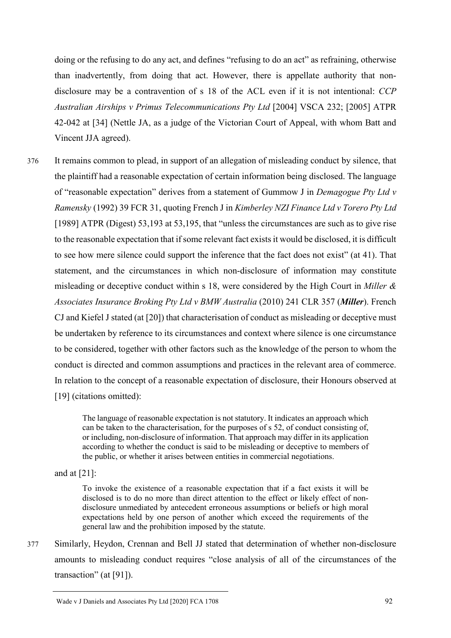doing or the refusing to do any act, and defines "refusing to do an act" as refraining, otherwise than inadvertently, from doing that act. However, there is appellate authority that nondisclosure may be a contravention of s 18 of the ACL even if it is not intentional: *CCP Australian Airships v Primus Telecommunications Pty Ltd* [2004] VSCA 232; [2005] ATPR 42-042 at [34] (Nettle JA, as a judge of the Victorian Court of Appeal, with whom Batt and Vincent JJA agreed).

376 It remains common to plead, in support of an allegation of misleading conduct by silence, that the plaintiff had a reasonable expectation of certain information being disclosed. The language of "reasonable expectation" derives from a statement of Gummow J in *Demagogue Pty Ltd v Ramensky* (1992) 39 FCR 31, quoting French J in *Kimberley NZI Finance Ltd v Torero Pty Ltd*  [1989] ATPR (Digest) 53,193 at 53,195, that "unless the circumstances are such as to give rise to the reasonable expectation that if some relevant fact exists it would be disclosed, it is difficult to see how mere silence could support the inference that the fact does not exist" (at 41). That statement, and the circumstances in which non-disclosure of information may constitute misleading or deceptive conduct within s 18, were considered by the High Court in *Miller & Associates Insurance Broking Pty Ltd v BMW Australia* (2010) 241 CLR 357 (*Miller*). French CJ and Kiefel J stated (at [20]) that characterisation of conduct as misleading or deceptive must be undertaken by reference to its circumstances and context where silence is one circumstance to be considered, together with other factors such as the knowledge of the person to whom the conduct is directed and common assumptions and practices in the relevant area of commerce. In relation to the concept of a reasonable expectation of disclosure, their Honours observed at [19] (citations omitted):

> The language of reasonable expectation is not statutory. It indicates an approach which can be taken to the characterisation, for the purposes of s 52, of conduct consisting of, or including, non-disclosure of information. That approach may differ in its application according to whether the conduct is said to be misleading or deceptive to members of the public, or whether it arises between entities in commercial negotiations.

and at  $[21]$ :

To invoke the existence of a reasonable expectation that if a fact exists it will be disclosed is to do no more than direct attention to the effect or likely effect of nondisclosure unmediated by antecedent erroneous assumptions or beliefs or high moral expectations held by one person of another which exceed the requirements of the general law and the prohibition imposed by the statute.

377 Similarly, Heydon, Crennan and Bell JJ stated that determination of whether non-disclosure amounts to misleading conduct requires "close analysis of all of the circumstances of the transaction" (at [91]).

Wade v J Daniels and Associates Pty Ltd [2020] FCA 1708 92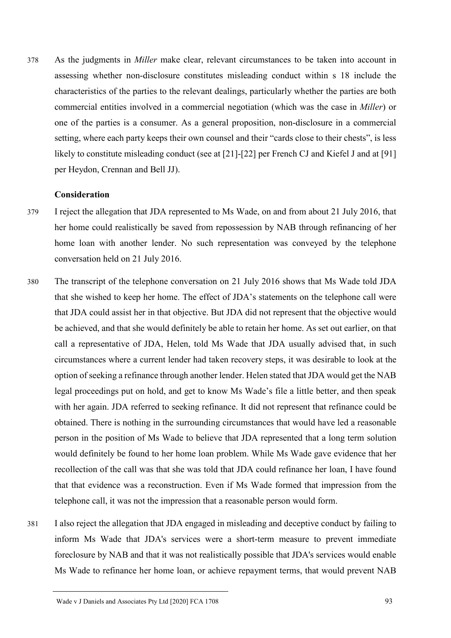378 As the judgments in *Miller* make clear, relevant circumstances to be taken into account in assessing whether non-disclosure constitutes misleading conduct within s 18 include the characteristics of the parties to the relevant dealings, particularly whether the parties are both commercial entities involved in a commercial negotiation (which was the case in *Miller*) or one of the parties is a consumer. As a general proposition, non-disclosure in a commercial setting, where each party keeps their own counsel and their "cards close to their chests", is less likely to constitute misleading conduct (see at [21]-[22] per French CJ and Kiefel J and at [91] per Heydon, Crennan and Bell JJ).

### **Consideration**

- 379 I reject the allegation that JDA represented to Ms Wade, on and from about 21 July 2016, that her home could realistically be saved from repossession by NAB through refinancing of her home loan with another lender. No such representation was conveyed by the telephone conversation held on 21 July 2016.
- 380 The transcript of the telephone conversation on 21 July 2016 shows that Ms Wade told JDA that she wished to keep her home. The effect of JDA's statements on the telephone call were that JDA could assist her in that objective. But JDA did not represent that the objective would be achieved, and that she would definitely be able to retain her home. As set out earlier, on that call a representative of JDA, Helen, told Ms Wade that JDA usually advised that, in such circumstances where a current lender had taken recovery steps, it was desirable to look at the option of seeking a refinance through another lender. Helen stated that JDA would get the NAB legal proceedings put on hold, and get to know Ms Wade's file a little better, and then speak with her again. JDA referred to seeking refinance. It did not represent that refinance could be obtained. There is nothing in the surrounding circumstances that would have led a reasonable person in the position of Ms Wade to believe that JDA represented that a long term solution would definitely be found to her home loan problem. While Ms Wade gave evidence that her recollection of the call was that she was told that JDA could refinance her loan, I have found that that evidence was a reconstruction. Even if Ms Wade formed that impression from the telephone call, it was not the impression that a reasonable person would form.
- 381 I also reject the allegation that JDA engaged in misleading and deceptive conduct by failing to inform Ms Wade that JDA's services were a short-term measure to prevent immediate foreclosure by NAB and that it was not realistically possible that JDA's services would enable Ms Wade to refinance her home loan, or achieve repayment terms, that would prevent NAB

Wade v J Daniels and Associates Pty Ltd [2020] FCA 1708 93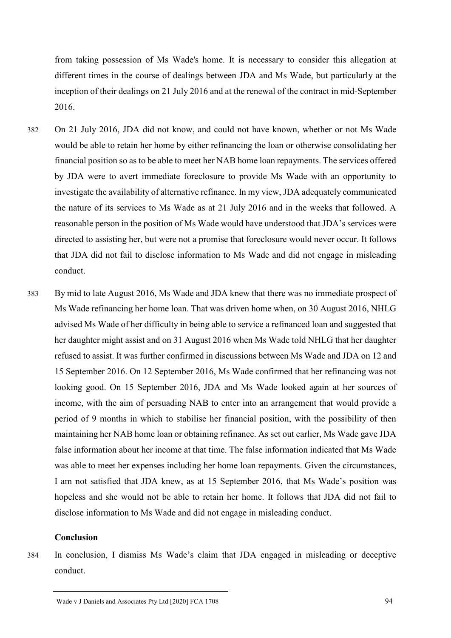from taking possession of Ms Wade's home. It is necessary to consider this allegation at different times in the course of dealings between JDA and Ms Wade, but particularly at the inception of their dealings on 21 July 2016 and at the renewal of the contract in mid-September 2016.

- 382 On 21 July 2016, JDA did not know, and could not have known, whether or not Ms Wade would be able to retain her home by either refinancing the loan or otherwise consolidating her financial position so as to be able to meet her NAB home loan repayments. The services offered by JDA were to avert immediate foreclosure to provide Ms Wade with an opportunity to investigate the availability of alternative refinance. In my view, JDA adequately communicated the nature of its services to Ms Wade as at 21 July 2016 and in the weeks that followed. A reasonable person in the position of Ms Wade would have understood that JDA's services were directed to assisting her, but were not a promise that foreclosure would never occur. It follows that JDA did not fail to disclose information to Ms Wade and did not engage in misleading conduct.
- 383 By mid to late August 2016, Ms Wade and JDA knew that there was no immediate prospect of Ms Wade refinancing her home loan. That was driven home when, on 30 August 2016, NHLG advised Ms Wade of her difficulty in being able to service a refinanced loan and suggested that her daughter might assist and on 31 August 2016 when Ms Wade told NHLG that her daughter refused to assist. It was further confirmed in discussions between Ms Wade and JDA on 12 and 15 September 2016. On 12 September 2016, Ms Wade confirmed that her refinancing was not looking good. On 15 September 2016, JDA and Ms Wade looked again at her sources of income, with the aim of persuading NAB to enter into an arrangement that would provide a period of 9 months in which to stabilise her financial position, with the possibility of then maintaining her NAB home loan or obtaining refinance. As set out earlier, Ms Wade gave JDA false information about her income at that time. The false information indicated that Ms Wade was able to meet her expenses including her home loan repayments. Given the circumstances, I am not satisfied that JDA knew, as at 15 September 2016, that Ms Wade's position was hopeless and she would not be able to retain her home. It follows that JDA did not fail to disclose information to Ms Wade and did not engage in misleading conduct.

## **Conclusion**

- 
- 384 In conclusion, I dismiss Ms Wade's claim that JDA engaged in misleading or deceptive conduct.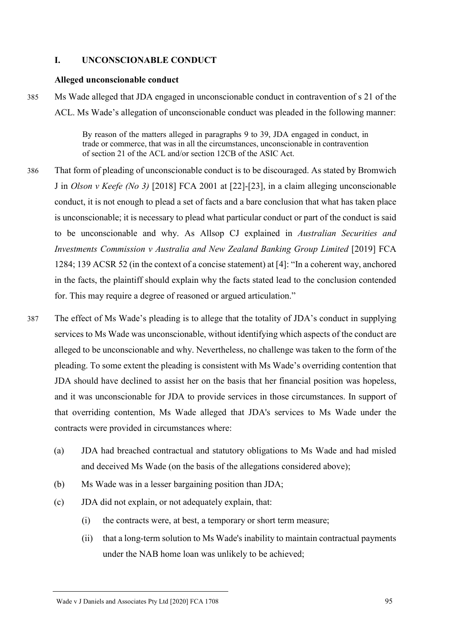## **I. UNCONSCIONABLE CONDUCT**

#### **Alleged unconscionable conduct**

385 Ms Wade alleged that JDA engaged in unconscionable conduct in contravention of s 21 of the ACL. Ms Wade's allegation of unconscionable conduct was pleaded in the following manner:

> By reason of the matters alleged in paragraphs 9 to 39, JDA engaged in conduct, in trade or commerce, that was in all the circumstances, unconscionable in contravention of section 21 of the ACL and/or section 12CB of the ASIC Act.

- 386 That form of pleading of unconscionable conduct is to be discouraged. As stated by Bromwich J in *Olson v Keefe (No 3)* [2018] FCA 2001 at [22]-[23], in a claim alleging unconscionable conduct, it is not enough to plead a set of facts and a bare conclusion that what has taken place is unconscionable; it is necessary to plead what particular conduct or part of the conduct is said to be unconscionable and why. As Allsop CJ explained in *Australian Securities and Investments Commission v Australia and New Zealand Banking Group Limited* [2019] FCA 1284; 139 ACSR 52 (in the context of a concise statement) at [4]: "In a coherent way, anchored in the facts, the plaintiff should explain why the facts stated lead to the conclusion contended for. This may require a degree of reasoned or argued articulation."
- 387 The effect of Ms Wade's pleading is to allege that the totality of JDA's conduct in supplying services to Ms Wade was unconscionable, without identifying which aspects of the conduct are alleged to be unconscionable and why. Nevertheless, no challenge was taken to the form of the pleading. To some extent the pleading is consistent with Ms Wade's overriding contention that JDA should have declined to assist her on the basis that her financial position was hopeless, and it was unconscionable for JDA to provide services in those circumstances. In support of that overriding contention, Ms Wade alleged that JDA's services to Ms Wade under the contracts were provided in circumstances where:
	- (a) JDA had breached contractual and statutory obligations to Ms Wade and had misled and deceived Ms Wade (on the basis of the allegations considered above);
	- (b) Ms Wade was in a lesser bargaining position than JDA;
	- (c) JDA did not explain, or not adequately explain, that:
		- (i) the contracts were, at best, a temporary or short term measure;
		- (ii) that a long-term solution to Ms Wade's inability to maintain contractual payments under the NAB home loan was unlikely to be achieved;

Wade v J Daniels and Associates Pty Ltd [2020] FCA 1708 95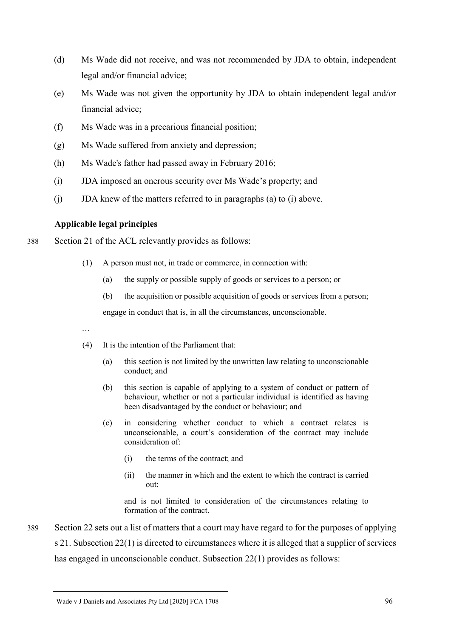- (d) Ms Wade did not receive, and was not recommended by JDA to obtain, independent legal and/or financial advice;
- (e) Ms Wade was not given the opportunity by JDA to obtain independent legal and/or financial advice;
- (f) Ms Wade was in a precarious financial position;
- (g) Ms Wade suffered from anxiety and depression;
- (h) Ms Wade's father had passed away in February 2016;
- (i) JDA imposed an onerous security over Ms Wade's property; and
- (j) JDA knew of the matters referred to in paragraphs (a) to (i) above.

# **Applicable legal principles**

- 388 Section 21 of the ACL relevantly provides as follows:
	- (1) A person must not, in trade or commerce, in connection with:
		- (a) the supply or possible supply of goods or services to a person; or
		- (b) the acquisition or possible acquisition of goods or services from a person;

engage in conduct that is, in all the circumstances, unconscionable.

…

- (4) It is the intention of the Parliament that:
	- (a) this section is not limited by the unwritten law relating to unconscionable conduct; and
	- (b) this section is capable of applying to a system of conduct or pattern of behaviour, whether or not a particular individual is identified as having been disadvantaged by the conduct or behaviour; and
	- (c) in considering whether conduct to which a contract relates is unconscionable, a court's consideration of the contract may include consideration of:
		- (i) the terms of the contract; and
		- (ii) the manner in which and the extent to which the contract is carried out;

and is not limited to consideration of the circumstances relating to formation of the contract.

389 Section 22 sets out a list of matters that a court may have regard to for the purposes of applying s 21. Subsection 22(1) is directed to circumstances where it is alleged that a supplier of services has engaged in unconscionable conduct. Subsection 22(1) provides as follows:

Wade v J Daniels and Associates Pty Ltd [2020] FCA 1708 96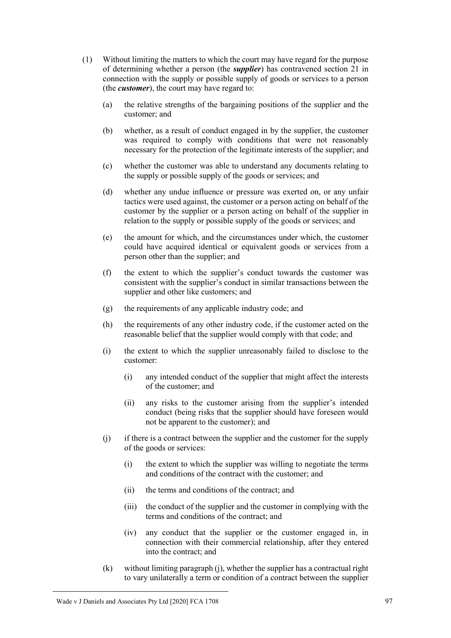- (1) Without limiting the matters to which the court may have regard for the purpose of determining whether a person (the *supplier*) has contravened section 21 in connection with the supply or possible supply of goods or services to a person (the *customer*), the court may have regard to:
	- (a) the relative strengths of the bargaining positions of the supplier and the customer; and
	- (b) whether, as a result of conduct engaged in by the supplier, the customer was required to comply with conditions that were not reasonably necessary for the protection of the legitimate interests of the supplier; and
	- (c) whether the customer was able to understand any documents relating to the supply or possible supply of the goods or services; and
	- (d) whether any undue influence or pressure was exerted on, or any unfair tactics were used against, the customer or a person acting on behalf of the customer by the supplier or a person acting on behalf of the supplier in relation to the supply or possible supply of the goods or services; and
	- (e) the amount for which, and the circumstances under which, the customer could have acquired identical or equivalent goods or services from a person other than the supplier; and
	- (f) the extent to which the supplier's conduct towards the customer was consistent with the supplier's conduct in similar transactions between the supplier and other like customers; and
	- (g) the requirements of any applicable industry code; and
	- (h) the requirements of any other industry code, if the customer acted on the reasonable belief that the supplier would comply with that code; and
	- (i) the extent to which the supplier unreasonably failed to disclose to the customer:
		- (i) any intended conduct of the supplier that might affect the interests of the customer; and
		- (ii) any risks to the customer arising from the supplier's intended conduct (being risks that the supplier should have foreseen would not be apparent to the customer); and
	- (j) if there is a contract between the supplier and the customer for the supply of the goods or services:
		- (i) the extent to which the supplier was willing to negotiate the terms and conditions of the contract with the customer; and
		- (ii) the terms and conditions of the contract; and
		- (iii) the conduct of the supplier and the customer in complying with the terms and conditions of the contract; and
		- (iv) any conduct that the supplier or the customer engaged in, in connection with their commercial relationship, after they entered into the contract; and
	- (k) without limiting paragraph (j), whether the supplier has a contractual right to vary unilaterally a term or condition of a contract between the supplier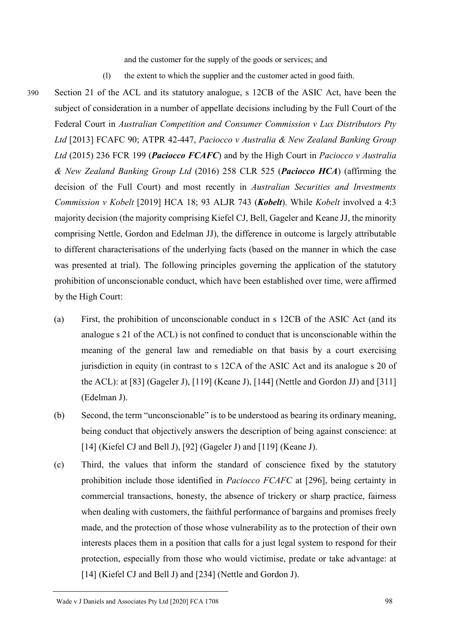and the customer for the supply of the goods or services; and

- (l) the extent to which the supplier and the customer acted in good faith.
- 390 Section 21 of the ACL and its statutory analogue, s 12CB of the ASIC Act, have been the subject of consideration in a number of appellate decisions including by the Full Court of the Federal Court in *Australian Competition and Consumer Commission v Lux Distributors Pty Ltd* [2013] FCAFC 90; ATPR 42-447, *Paciocco v Australia & New Zealand Banking Group Ltd* (2015) 236 FCR 199 (*Paciocco FCAFC*) and by the High Court in *Paciocco v Australia & New Zealand Banking Group Ltd* (2016) 258 CLR 525 (*Paciocco HCA*) (affirming the decision of the Full Court) and most recently in *Australian Securities and Investments Commission v Kobelt* [2019] HCA 18; 93 ALJR 743 (*Kobelt*). While *Kobelt* involved a 4:3 majority decision (the majority comprising Kiefel CJ, Bell, Gageler and Keane JJ, the minority comprising Nettle, Gordon and Edelman JJ), the difference in outcome is largely attributable to different characterisations of the underlying facts (based on the manner in which the case was presented at trial). The following principles governing the application of the statutory prohibition of unconscionable conduct, which have been established over time, were affirmed by the High Court:
	- (a) First, the prohibition of unconscionable conduct in s 12CB of the ASIC Act (and its analogue s 21 of the ACL) is not confined to conduct that is unconscionable within the meaning of the general law and remediable on that basis by a court exercising jurisdiction in equity (in contrast to s 12CA of the ASIC Act and its analogue s 20 of the ACL): at [83] (Gageler J), [119] (Keane J), [144] (Nettle and Gordon JJ) and [311] (Edelman J).
	- (b) Second, the term "unconscionable" is to be understood as bearing its ordinary meaning, being conduct that objectively answers the description of being against conscience: at [14] (Kiefel CJ and Bell J), [92] (Gageler J) and [119] (Keane J).
	- (c) Third, the values that inform the standard of conscience fixed by the statutory prohibition include those identified in *Paciocco FCAFC* at [296], being certainty in commercial transactions, honesty, the absence of trickery or sharp practice, fairness when dealing with customers, the faithful performance of bargains and promises freely made, and the protection of those whose vulnerability as to the protection of their own interests places them in a position that calls for a just legal system to respond for their protection, especially from those who would victimise, predate or take advantage: at [14] (Kiefel CJ and Bell J) and [234] (Nettle and Gordon J).

Wade v J Daniels and Associates Pty Ltd [2020] FCA 1708 98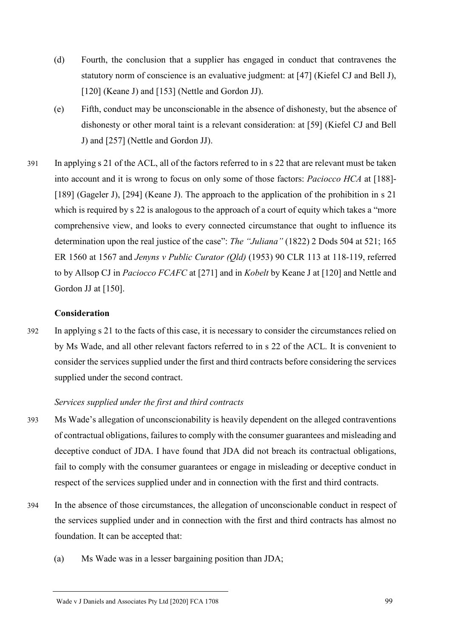- (d) Fourth, the conclusion that a supplier has engaged in conduct that contravenes the statutory norm of conscience is an evaluative judgment: at [47] (Kiefel CJ and Bell J), [120] (Keane J) and [153] (Nettle and Gordon JJ).
- (e) Fifth, conduct may be unconscionable in the absence of dishonesty, but the absence of dishonesty or other moral taint is a relevant consideration: at [59] (Kiefel CJ and Bell J) and [257] (Nettle and Gordon JJ).
- 391 In applying s 21 of the ACL, all of the factors referred to in s 22 that are relevant must be taken into account and it is wrong to focus on only some of those factors: *Paciocco HCA* at [188]- [189] (Gageler J), [294] (Keane J). The approach to the application of the prohibition in s 21 which is required by s 22 is analogous to the approach of a court of equity which takes a "more" comprehensive view, and looks to every connected circumstance that ought to influence its determination upon the real justice of the case": *The "Juliana"* (1822) 2 Dods 504 at 521; 165 ER 1560 at 1567 and *Jenyns v Public Curator (Qld)* (1953) 90 CLR 113 at 118-119, referred to by Allsop CJ in *Paciocco FCAFC* at [271] and in *Kobelt* by Keane J at [120] and Nettle and Gordon JJ at [150].

## **Consideration**

392 In applying s 21 to the facts of this case, it is necessary to consider the circumstances relied on by Ms Wade, and all other relevant factors referred to in s 22 of the ACL. It is convenient to consider the services supplied under the first and third contracts before considering the services supplied under the second contract.

#### *Services supplied under the first and third contracts*

- 393 Ms Wade's allegation of unconscionability is heavily dependent on the alleged contraventions of contractual obligations, failures to comply with the consumer guarantees and misleading and deceptive conduct of JDA. I have found that JDA did not breach its contractual obligations, fail to comply with the consumer guarantees or engage in misleading or deceptive conduct in respect of the services supplied under and in connection with the first and third contracts.
- 394 In the absence of those circumstances, the allegation of unconscionable conduct in respect of the services supplied under and in connection with the first and third contracts has almost no foundation. It can be accepted that:
	- (a) Ms Wade was in a lesser bargaining position than JDA;

#### Wade v J Daniels and Associates Pty Ltd [2020] FCA 1708 99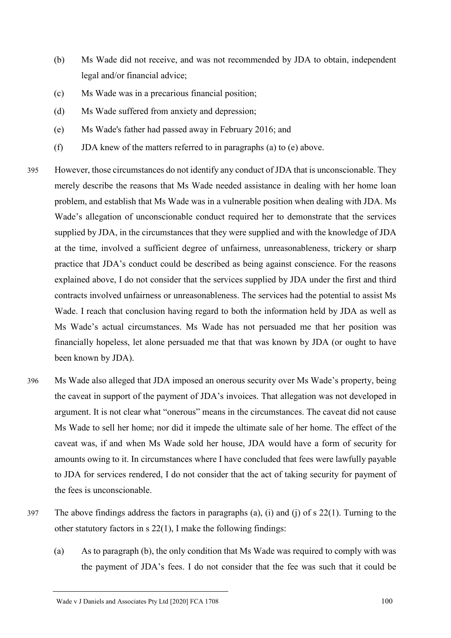- (b) Ms Wade did not receive, and was not recommended by JDA to obtain, independent legal and/or financial advice;
- (c) Ms Wade was in a precarious financial position;
- (d) Ms Wade suffered from anxiety and depression;
- (e) Ms Wade's father had passed away in February 2016; and
- (f) JDA knew of the matters referred to in paragraphs (a) to (e) above.
- 395 However, those circumstances do not identify any conduct of JDA that is unconscionable. They merely describe the reasons that Ms Wade needed assistance in dealing with her home loan problem, and establish that Ms Wade was in a vulnerable position when dealing with JDA. Ms Wade's allegation of unconscionable conduct required her to demonstrate that the services supplied by JDA, in the circumstances that they were supplied and with the knowledge of JDA at the time, involved a sufficient degree of unfairness, unreasonableness, trickery or sharp practice that JDA's conduct could be described as being against conscience. For the reasons explained above, I do not consider that the services supplied by JDA under the first and third contracts involved unfairness or unreasonableness. The services had the potential to assist Ms Wade. I reach that conclusion having regard to both the information held by JDA as well as Ms Wade's actual circumstances. Ms Wade has not persuaded me that her position was financially hopeless, let alone persuaded me that that was known by JDA (or ought to have been known by JDA).
- 396 Ms Wade also alleged that JDA imposed an onerous security over Ms Wade's property, being the caveat in support of the payment of JDA's invoices. That allegation was not developed in argument. It is not clear what "onerous" means in the circumstances. The caveat did not cause Ms Wade to sell her home; nor did it impede the ultimate sale of her home. The effect of the caveat was, if and when Ms Wade sold her house, JDA would have a form of security for amounts owing to it. In circumstances where I have concluded that fees were lawfully payable to JDA for services rendered, I do not consider that the act of taking security for payment of the fees is unconscionable.
- 397 The above findings address the factors in paragraphs (a), (i) and (j) of s 22(1). Turning to the other statutory factors in s 22(1), I make the following findings:
	- (a) As to paragraph (b), the only condition that Ms Wade was required to comply with was the payment of JDA's fees. I do not consider that the fee was such that it could be

Wade v J Daniels and Associates Pty Ltd [2020] FCA 1708 100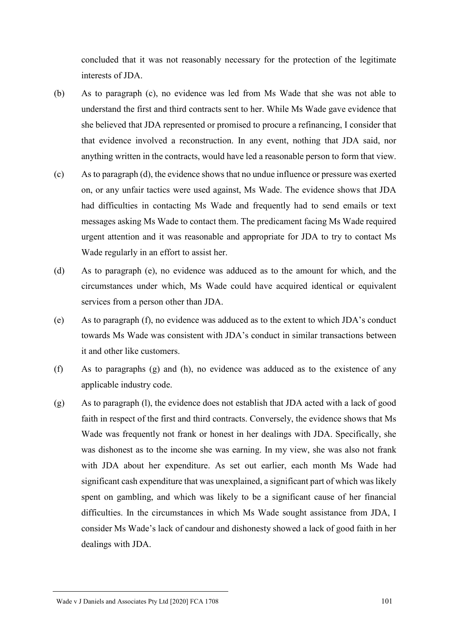concluded that it was not reasonably necessary for the protection of the legitimate interests of JDA.

- (b) As to paragraph (c), no evidence was led from Ms Wade that she was not able to understand the first and third contracts sent to her. While Ms Wade gave evidence that she believed that JDA represented or promised to procure a refinancing, I consider that that evidence involved a reconstruction. In any event, nothing that JDA said, nor anything written in the contracts, would have led a reasonable person to form that view.
- (c) As to paragraph (d), the evidence shows that no undue influence or pressure was exerted on, or any unfair tactics were used against, Ms Wade. The evidence shows that JDA had difficulties in contacting Ms Wade and frequently had to send emails or text messages asking Ms Wade to contact them. The predicament facing Ms Wade required urgent attention and it was reasonable and appropriate for JDA to try to contact Ms Wade regularly in an effort to assist her.
- (d) As to paragraph (e), no evidence was adduced as to the amount for which, and the circumstances under which, Ms Wade could have acquired identical or equivalent services from a person other than JDA.
- (e) As to paragraph (f), no evidence was adduced as to the extent to which JDA's conduct towards Ms Wade was consistent with JDA's conduct in similar transactions between it and other like customers.
- (f) As to paragraphs (g) and (h), no evidence was adduced as to the existence of any applicable industry code.
- (g) As to paragraph (l), the evidence does not establish that JDA acted with a lack of good faith in respect of the first and third contracts. Conversely, the evidence shows that Ms Wade was frequently not frank or honest in her dealings with JDA. Specifically, she was dishonest as to the income she was earning. In my view, she was also not frank with JDA about her expenditure. As set out earlier, each month Ms Wade had significant cash expenditure that was unexplained, a significant part of which was likely spent on gambling, and which was likely to be a significant cause of her financial difficulties. In the circumstances in which Ms Wade sought assistance from JDA, I consider Ms Wade's lack of candour and dishonesty showed a lack of good faith in her dealings with JDA.

Wade v J Daniels and Associates Pty Ltd [2020] FCA 1708 101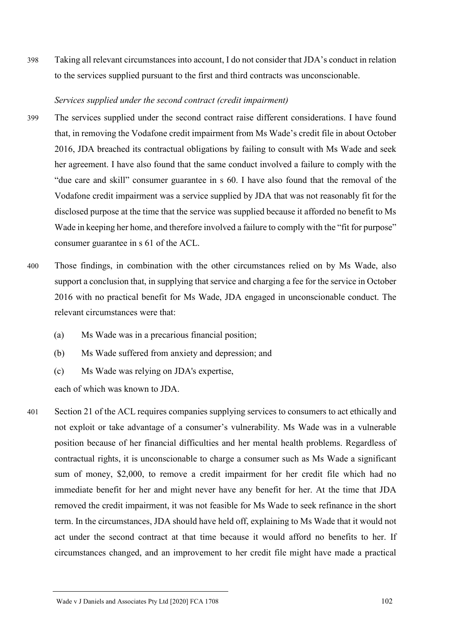398 Taking all relevant circumstances into account, I do not consider that JDA's conduct in relation to the services supplied pursuant to the first and third contracts was unconscionable.

## *Services supplied under the second contract (credit impairment)*

- 399 The services supplied under the second contract raise different considerations. I have found that, in removing the Vodafone credit impairment from Ms Wade's credit file in about October 2016, JDA breached its contractual obligations by failing to consult with Ms Wade and seek her agreement. I have also found that the same conduct involved a failure to comply with the "due care and skill" consumer guarantee in s 60. I have also found that the removal of the Vodafone credit impairment was a service supplied by JDA that was not reasonably fit for the disclosed purpose at the time that the service was supplied because it afforded no benefit to Ms Wade in keeping her home, and therefore involved a failure to comply with the "fit for purpose" consumer guarantee in s 61 of the ACL.
- 400 Those findings, in combination with the other circumstances relied on by Ms Wade, also support a conclusion that, in supplying that service and charging a fee for the service in October 2016 with no practical benefit for Ms Wade, JDA engaged in unconscionable conduct. The relevant circumstances were that:
	- (a) Ms Wade was in a precarious financial position;
	- (b) Ms Wade suffered from anxiety and depression; and
	- (c) Ms Wade was relying on JDA's expertise,

each of which was known to JDA.

401 Section 21 of the ACL requires companies supplying services to consumers to act ethically and not exploit or take advantage of a consumer's vulnerability. Ms Wade was in a vulnerable position because of her financial difficulties and her mental health problems. Regardless of contractual rights, it is unconscionable to charge a consumer such as Ms Wade a significant sum of money, \$2,000, to remove a credit impairment for her credit file which had no immediate benefit for her and might never have any benefit for her. At the time that JDA removed the credit impairment, it was not feasible for Ms Wade to seek refinance in the short term. In the circumstances, JDA should have held off, explaining to Ms Wade that it would not act under the second contract at that time because it would afford no benefits to her. If circumstances changed, and an improvement to her credit file might have made a practical

Wade v J Daniels and Associates Pty Ltd [2020] FCA 1708 102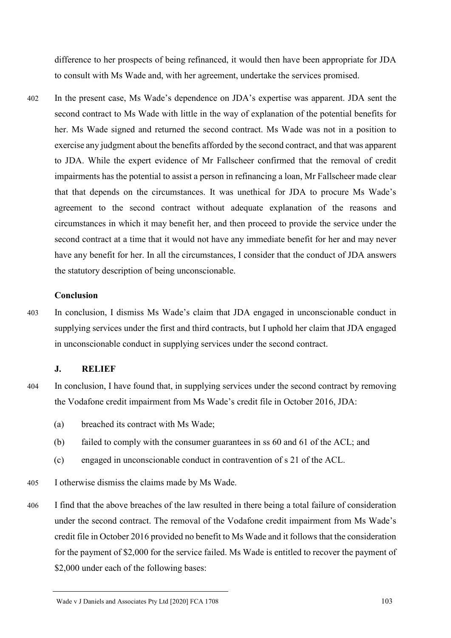difference to her prospects of being refinanced, it would then have been appropriate for JDA to consult with Ms Wade and, with her agreement, undertake the services promised.

402 In the present case, Ms Wade's dependence on JDA's expertise was apparent. JDA sent the second contract to Ms Wade with little in the way of explanation of the potential benefits for her. Ms Wade signed and returned the second contract. Ms Wade was not in a position to exercise any judgment about the benefits afforded by the second contract, and that was apparent to JDA. While the expert evidence of Mr Fallscheer confirmed that the removal of credit impairments has the potential to assist a person in refinancing a loan, Mr Fallscheer made clear that that depends on the circumstances. It was unethical for JDA to procure Ms Wade's agreement to the second contract without adequate explanation of the reasons and circumstances in which it may benefit her, and then proceed to provide the service under the second contract at a time that it would not have any immediate benefit for her and may never have any benefit for her. In all the circumstances, I consider that the conduct of JDA answers the statutory description of being unconscionable.

## **Conclusion**

403 In conclusion, I dismiss Ms Wade's claim that JDA engaged in unconscionable conduct in supplying services under the first and third contracts, but I uphold her claim that JDA engaged in unconscionable conduct in supplying services under the second contract.

## **J. RELIEF**

- 
- 404 In conclusion, I have found that, in supplying services under the second contract by removing the Vodafone credit impairment from Ms Wade's credit file in October 2016, JDA:
	- (a) breached its contract with Ms Wade;
	- (b) failed to comply with the consumer guarantees in ss 60 and 61 of the ACL; and
	- (c) engaged in unconscionable conduct in contravention of s 21 of the ACL.
- 405 I otherwise dismiss the claims made by Ms Wade.
- 406 I find that the above breaches of the law resulted in there being a total failure of consideration under the second contract. The removal of the Vodafone credit impairment from Ms Wade's credit file in October 2016 provided no benefit to Ms Wade and it follows that the consideration for the payment of \$2,000 for the service failed. Ms Wade is entitled to recover the payment of \$2,000 under each of the following bases:

Wade v J Daniels and Associates Pty Ltd [2020] FCA 1708 103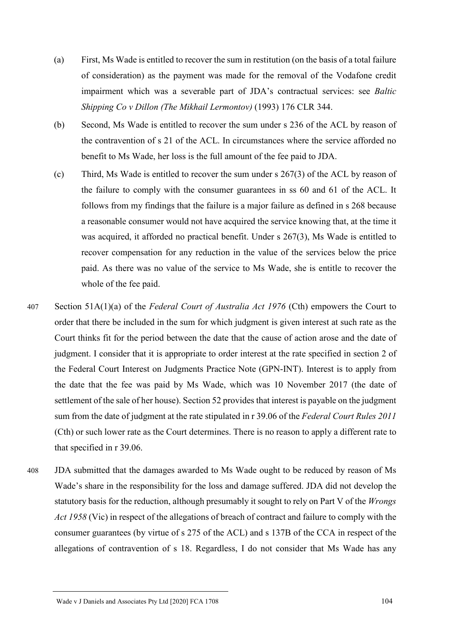- (a) First, Ms Wade is entitled to recover the sum in restitution (on the basis of a total failure of consideration) as the payment was made for the removal of the Vodafone credit impairment which was a severable part of JDA's contractual services: see *Baltic Shipping Co v Dillon (The Mikhail Lermontov)* (1993) 176 CLR 344.
- (b) Second, Ms Wade is entitled to recover the sum under s 236 of the ACL by reason of the contravention of s 21 of the ACL. In circumstances where the service afforded no benefit to Ms Wade, her loss is the full amount of the fee paid to JDA.
- (c) Third, Ms Wade is entitled to recover the sum under s 267(3) of the ACL by reason of the failure to comply with the consumer guarantees in ss 60 and 61 of the ACL. It follows from my findings that the failure is a major failure as defined in s 268 because a reasonable consumer would not have acquired the service knowing that, at the time it was acquired, it afforded no practical benefit. Under s 267(3), Ms Wade is entitled to recover compensation for any reduction in the value of the services below the price paid. As there was no value of the service to Ms Wade, she is entitle to recover the whole of the fee paid.
- 407 Section 51A(1)(a) of the *Federal Court of Australia Act 1976* (Cth) empowers the Court to order that there be included in the sum for which judgment is given interest at such rate as the Court thinks fit for the period between the date that the cause of action arose and the date of judgment. I consider that it is appropriate to order interest at the rate specified in section 2 of the Federal Court Interest on Judgments Practice Note (GPN-INT). Interest is to apply from the date that the fee was paid by Ms Wade, which was 10 November 2017 (the date of settlement of the sale of her house). Section 52 provides that interest is payable on the judgment sum from the date of judgment at the rate stipulated in r 39.06 of the *Federal Court Rules 2011*  (Cth) or such lower rate as the Court determines. There is no reason to apply a different rate to that specified in r 39.06.
- 408 JDA submitted that the damages awarded to Ms Wade ought to be reduced by reason of Ms Wade's share in the responsibility for the loss and damage suffered. JDA did not develop the statutory basis for the reduction, although presumably it sought to rely on Part V of the *Wrongs Act 1958* (Vic) in respect of the allegations of breach of contract and failure to comply with the consumer guarantees (by virtue of s 275 of the ACL) and s 137B of the CCA in respect of the allegations of contravention of s 18. Regardless, I do not consider that Ms Wade has any

Wade v J Daniels and Associates Pty Ltd [2020] FCA 1708 104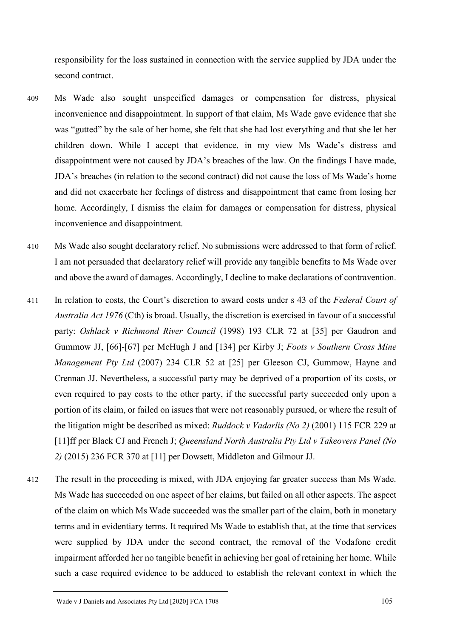responsibility for the loss sustained in connection with the service supplied by JDA under the second contract.

- 409 Ms Wade also sought unspecified damages or compensation for distress, physical inconvenience and disappointment. In support of that claim, Ms Wade gave evidence that she was "gutted" by the sale of her home, she felt that she had lost everything and that she let her children down. While I accept that evidence, in my view Ms Wade's distress and disappointment were not caused by JDA's breaches of the law. On the findings I have made, JDA's breaches (in relation to the second contract) did not cause the loss of Ms Wade's home and did not exacerbate her feelings of distress and disappointment that came from losing her home. Accordingly, I dismiss the claim for damages or compensation for distress, physical inconvenience and disappointment.
- 410 Ms Wade also sought declaratory relief. No submissions were addressed to that form of relief. I am not persuaded that declaratory relief will provide any tangible benefits to Ms Wade over and above the award of damages. Accordingly, I decline to make declarations of contravention.
- 411 In relation to costs, the Court's discretion to award costs under s 43 of the *Federal Court of Australia Act 1976* (Cth) is broad. Usually, the discretion is exercised in favour of a successful party: *Oshlack v Richmond River Council* (1998) 193 CLR 72 at [35] per Gaudron and Gummow JJ, [66]-[67] per McHugh J and [134] per Kirby J; *Foots v Southern Cross Mine Management Pty Ltd* (2007) 234 CLR 52 at [25] per Gleeson CJ, Gummow, Hayne and Crennan JJ. Nevertheless, a successful party may be deprived of a proportion of its costs, or even required to pay costs to the other party, if the successful party succeeded only upon a portion of its claim, or failed on issues that were not reasonably pursued, or where the result of the litigation might be described as mixed: *Ruddock v Vadarlis (No 2)* (2001) 115 FCR 229 at [11]ff per Black CJ and French J; *Queensland North Australia Pty Ltd v Takeovers Panel (No 2)* (2015) 236 FCR 370 at [11] per Dowsett, Middleton and Gilmour JJ.
- 412 The result in the proceeding is mixed, with JDA enjoying far greater success than Ms Wade. Ms Wade has succeeded on one aspect of her claims, but failed on all other aspects. The aspect of the claim on which Ms Wade succeeded was the smaller part of the claim, both in monetary terms and in evidentiary terms. It required Ms Wade to establish that, at the time that services were supplied by JDA under the second contract, the removal of the Vodafone credit impairment afforded her no tangible benefit in achieving her goal of retaining her home. While such a case required evidence to be adduced to establish the relevant context in which the

Wade v J Daniels and Associates Pty Ltd [2020] FCA 1708 105